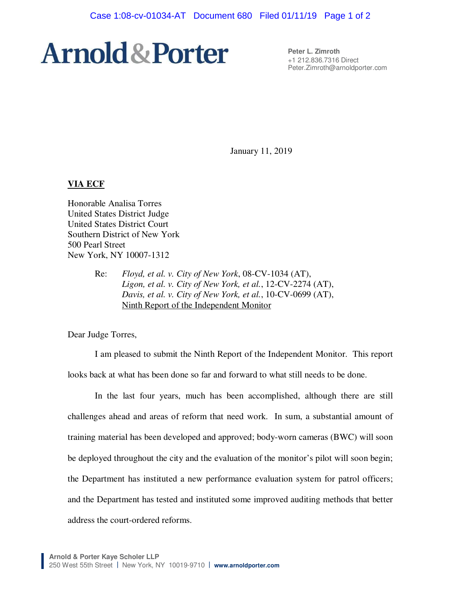# **Arnold & Porter**

**Peter L. Zimroth**  +1 212.836.7316 Direct Peter.Zimroth@arnoldporter.com

January 11, 2019

# **VIA ECF**

Honorable Analisa Torres United States District Judge United States District Court Southern District of New York 500 Pearl Street New York, NY 10007-1312

> Re: *Floyd, et al. v. City of New York*, 08-CV-1034 (AT), *Ligon, et al. v. City of New York, et al.*, 12-CV-2274 (AT), *Davis, et al. v. City of New York, et al.*, 10-CV-0699 (AT), Ninth Report of the Independent Monitor

Dear Judge Torres,

I am pleased to submit the Ninth Report of the Independent Monitor. This report looks back at what has been done so far and forward to what still needs to be done.

In the last four years, much has been accomplished, although there are still challenges ahead and areas of reform that need work. In sum, a substantial amount of training material has been developed and approved; body-worn cameras (BWC) will soon be deployed throughout the city and the evaluation of the monitor's pilot will soon begin; the Department has instituted a new performance evaluation system for patrol officers; and the Department has tested and instituted some improved auditing methods that better address the court-ordered reforms.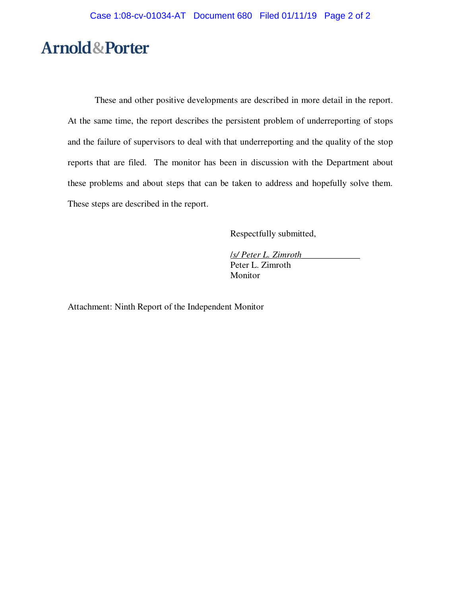# **Arnold&Porter**

These and other positive developments are described in more detail in the report. At the same time, the report describes the persistent problem of underreporting of stops and the failure of supervisors to deal with that underreporting and the quality of the stop reports that are filed. The monitor has been in discussion with the Department about these problems and about steps that can be taken to address and hopefully solve them. These steps are described in the report.

Respectfully submitted,

/*s/ Peter L. Zimroth\_\_\_\_\_\_\_\_\_\_\_\_\_* Peter L. Zimroth Monitor

Attachment: Ninth Report of the Independent Monitor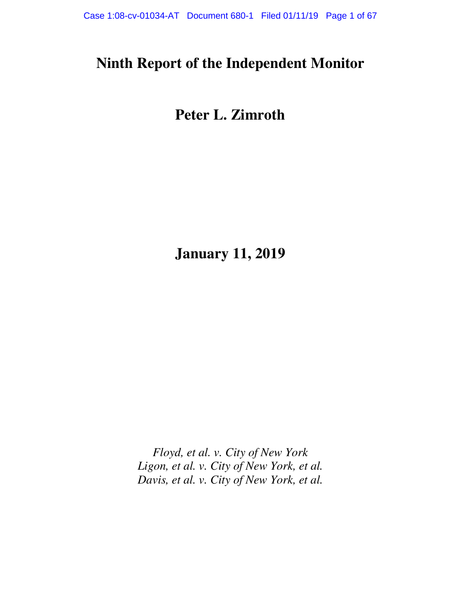# **Ninth Report of the Independent Monitor**

# **Peter L. Zimroth**

**January 11, 2019** 

*Floyd, et al. v. City of New York Ligon, et al. v. City of New York, et al. Davis, et al. v. City of New York, et al.*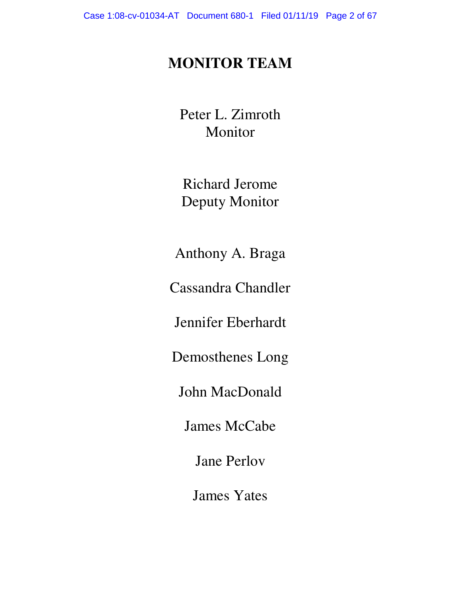# **MONITOR TEAM**

Peter L. Zimroth Monitor

Richard Jerome Deputy Monitor

Anthony A. Braga

Cassandra Chandler

Jennifer Eberhardt

Demosthenes Long

John MacDonald

James McCabe

Jane Perlov

James Yates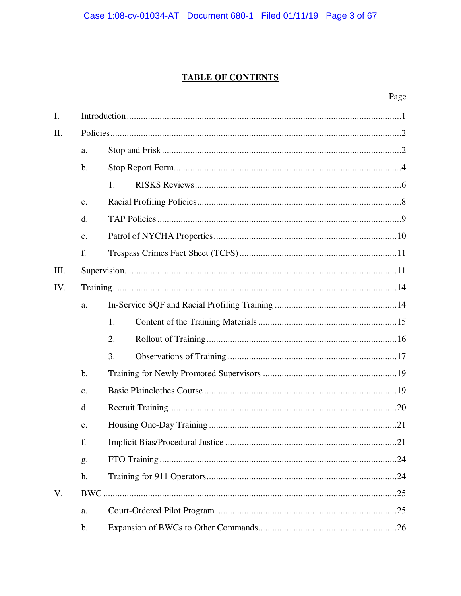# **TABLE OF CONTENTS**

| I.   |               |     |  |  |  |
|------|---------------|-----|--|--|--|
| II.  |               |     |  |  |  |
|      | a.            |     |  |  |  |
|      | $\mathbf b$ . |     |  |  |  |
|      |               | 1.  |  |  |  |
|      | c.            |     |  |  |  |
|      | d.            |     |  |  |  |
|      | e.            |     |  |  |  |
|      | f.            |     |  |  |  |
| III. |               |     |  |  |  |
| IV.  |               |     |  |  |  |
|      | a.            |     |  |  |  |
|      |               | 1.  |  |  |  |
|      |               | 2.  |  |  |  |
|      |               | 3.  |  |  |  |
|      | $b$ .         |     |  |  |  |
|      | c.            |     |  |  |  |
|      | d.            |     |  |  |  |
|      | e.            |     |  |  |  |
|      | f.            |     |  |  |  |
|      | g.            | .24 |  |  |  |
|      | h.            |     |  |  |  |
| V.   |               |     |  |  |  |
|      | a.            |     |  |  |  |
|      | b.            |     |  |  |  |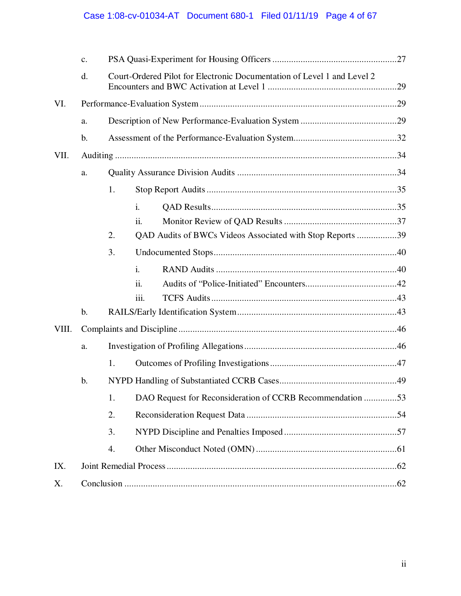|       | $\mathcal{C}$ . |                                                                         |                                                           |  |  |  |
|-------|-----------------|-------------------------------------------------------------------------|-----------------------------------------------------------|--|--|--|
|       | d.              | Court-Ordered Pilot for Electronic Documentation of Level 1 and Level 2 |                                                           |  |  |  |
| VI.   |                 |                                                                         |                                                           |  |  |  |
|       | a.              |                                                                         |                                                           |  |  |  |
|       | $\mathbf b$ .   |                                                                         |                                                           |  |  |  |
| VII.  |                 |                                                                         |                                                           |  |  |  |
|       | a.              |                                                                         |                                                           |  |  |  |
|       |                 | 1.                                                                      |                                                           |  |  |  |
|       |                 |                                                                         | $\mathbf{i}$ .                                            |  |  |  |
|       |                 |                                                                         | $\overline{\mathbf{11}}$ .                                |  |  |  |
|       |                 | 2.                                                                      | QAD Audits of BWCs Videos Associated with Stop Reports 39 |  |  |  |
|       |                 | 3.                                                                      |                                                           |  |  |  |
|       |                 |                                                                         | $\mathbf{i}$ .                                            |  |  |  |
|       |                 |                                                                         | ii.                                                       |  |  |  |
|       |                 |                                                                         | iii.                                                      |  |  |  |
|       | $\mathbf b$ .   |                                                                         |                                                           |  |  |  |
| VIII. |                 |                                                                         |                                                           |  |  |  |
|       | a.              |                                                                         |                                                           |  |  |  |
|       |                 | 1.                                                                      |                                                           |  |  |  |
|       | b.              |                                                                         |                                                           |  |  |  |
|       |                 | 1.                                                                      | DAO Request for Reconsideration of CCRB Recommendation 53 |  |  |  |
|       |                 | 2.                                                                      |                                                           |  |  |  |
|       |                 | 3.                                                                      |                                                           |  |  |  |
|       |                 | 4.                                                                      |                                                           |  |  |  |
| IX.   |                 |                                                                         |                                                           |  |  |  |
| X.    |                 |                                                                         |                                                           |  |  |  |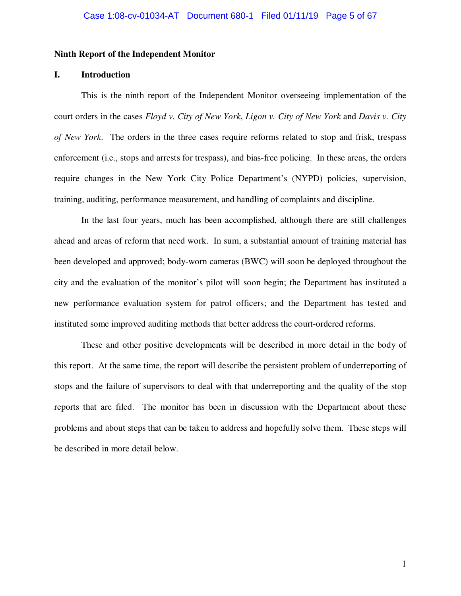#### **Ninth Report of the Independent Monitor**

#### **I. Introduction**

This is the ninth report of the Independent Monitor overseeing implementation of the court orders in the cases *Floyd v. City of New York*, *Ligon v. City of New York* and *Davis v. City of New York*. The orders in the three cases require reforms related to stop and frisk, trespass enforcement (i.e., stops and arrests for trespass), and bias-free policing. In these areas, the orders require changes in the New York City Police Department's (NYPD) policies, supervision, training, auditing, performance measurement, and handling of complaints and discipline.

In the last four years, much has been accomplished, although there are still challenges ahead and areas of reform that need work. In sum, a substantial amount of training material has been developed and approved; body-worn cameras (BWC) will soon be deployed throughout the city and the evaluation of the monitor's pilot will soon begin; the Department has instituted a new performance evaluation system for patrol officers; and the Department has tested and instituted some improved auditing methods that better address the court-ordered reforms.

These and other positive developments will be described in more detail in the body of this report. At the same time, the report will describe the persistent problem of underreporting of stops and the failure of supervisors to deal with that underreporting and the quality of the stop reports that are filed. The monitor has been in discussion with the Department about these problems and about steps that can be taken to address and hopefully solve them. These steps will be described in more detail below.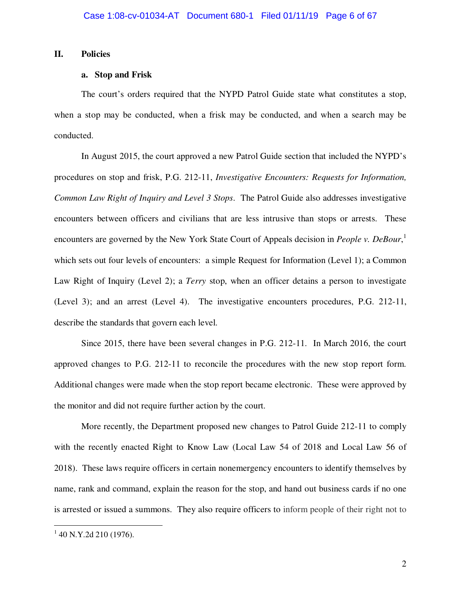### **II. Policies**

#### **a. Stop and Frisk**

The court's orders required that the NYPD Patrol Guide state what constitutes a stop, when a stop may be conducted, when a frisk may be conducted, and when a search may be conducted.

In August 2015, the court approved a new Patrol Guide section that included the NYPD's procedures on stop and frisk, P.G. 212-11, *Investigative Encounters: Requests for Information, Common Law Right of Inquiry and Level 3 Stops*. The Patrol Guide also addresses investigative encounters between officers and civilians that are less intrusive than stops or arrests. These encounters are governed by the New York State Court of Appeals decision in *People v. DeBour*, 1 which sets out four levels of encounters: a simple Request for Information (Level 1); a Common Law Right of Inquiry (Level 2); a *Terry* stop, when an officer detains a person to investigate (Level 3); and an arrest (Level 4). The investigative encounters procedures, P.G. 212-11, describe the standards that govern each level.

Since 2015, there have been several changes in P.G. 212-11. In March 2016, the court approved changes to P.G. 212-11 to reconcile the procedures with the new stop report form. Additional changes were made when the stop report became electronic. These were approved by the monitor and did not require further action by the court.

More recently, the Department proposed new changes to Patrol Guide 212-11 to comply with the recently enacted Right to Know Law (Local Law 54 of 2018 and Local Law 56 of 2018). These laws require officers in certain nonemergency encounters to identify themselves by name, rank and command, explain the reason for the stop, and hand out business cards if no one is arrested or issued a summons. They also require officers to inform people of their right not to

 $\overline{a}$ 

 $1$  40 N.Y.2d 210 (1976).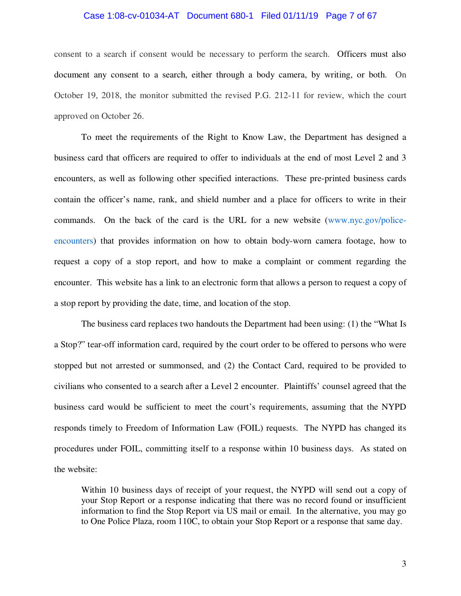#### Case 1:08-cv-01034-AT Document 680-1 Filed 01/11/19 Page 7 of 67

consent to a search if consent would be necessary to perform the search. Officers must also document any consent to a search, either through a body camera, by writing, or both. On October 19, 2018, the monitor submitted the revised P.G. 212-11 for review, which the court approved on October 26.

To meet the requirements of the Right to Know Law, the Department has designed a business card that officers are required to offer to individuals at the end of most Level 2 and 3 encounters, as well as following other specified interactions. These pre-printed business cards contain the officer's name, rank, and shield number and a place for officers to write in their commands. On the back of the card is the URL for a new website (www.nyc.gov/policeencounters) that provides information on how to obtain body-worn camera footage, how to request a copy of a stop report, and how to make a complaint or comment regarding the encounter. This website has a link to an electronic form that allows a person to request a copy of a stop report by providing the date, time, and location of the stop.

The business card replaces two handouts the Department had been using: (1) the "What Is a Stop?" tear-off information card, required by the court order to be offered to persons who were stopped but not arrested or summonsed, and (2) the Contact Card, required to be provided to civilians who consented to a search after a Level 2 encounter. Plaintiffs' counsel agreed that the business card would be sufficient to meet the court's requirements, assuming that the NYPD responds timely to Freedom of Information Law (FOIL) requests. The NYPD has changed its procedures under FOIL, committing itself to a response within 10 business days. As stated on the website:

Within 10 business days of receipt of your request, the NYPD will send out a copy of your Stop Report or a response indicating that there was no record found or insufficient information to find the Stop Report via US mail or email. In the alternative, you may go to One Police Plaza, room 110C, to obtain your Stop Report or a response that same day.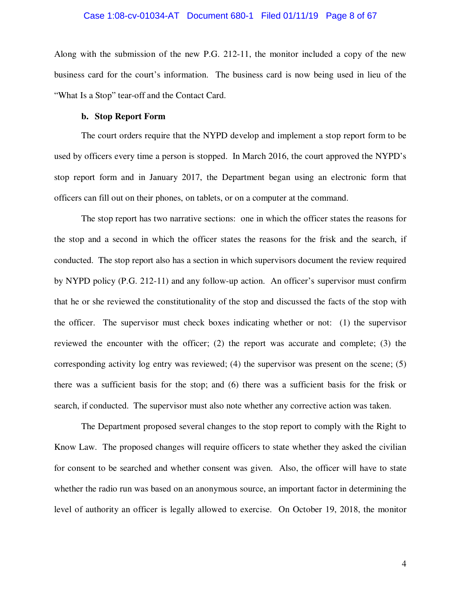#### Case 1:08-cv-01034-AT Document 680-1 Filed 01/11/19 Page 8 of 67

Along with the submission of the new P.G. 212-11, the monitor included a copy of the new business card for the court's information. The business card is now being used in lieu of the "What Is a Stop" tear-off and the Contact Card.

#### **b. Stop Report Form**

The court orders require that the NYPD develop and implement a stop report form to be used by officers every time a person is stopped. In March 2016, the court approved the NYPD's stop report form and in January 2017, the Department began using an electronic form that officers can fill out on their phones, on tablets, or on a computer at the command.

The stop report has two narrative sections: one in which the officer states the reasons for the stop and a second in which the officer states the reasons for the frisk and the search, if conducted. The stop report also has a section in which supervisors document the review required by NYPD policy (P.G. 212-11) and any follow-up action. An officer's supervisor must confirm that he or she reviewed the constitutionality of the stop and discussed the facts of the stop with the officer. The supervisor must check boxes indicating whether or not: (1) the supervisor reviewed the encounter with the officer; (2) the report was accurate and complete; (3) the corresponding activity log entry was reviewed; (4) the supervisor was present on the scene; (5) there was a sufficient basis for the stop; and (6) there was a sufficient basis for the frisk or search, if conducted. The supervisor must also note whether any corrective action was taken.

The Department proposed several changes to the stop report to comply with the Right to Know Law. The proposed changes will require officers to state whether they asked the civilian for consent to be searched and whether consent was given. Also, the officer will have to state whether the radio run was based on an anonymous source, an important factor in determining the level of authority an officer is legally allowed to exercise. On October 19, 2018, the monitor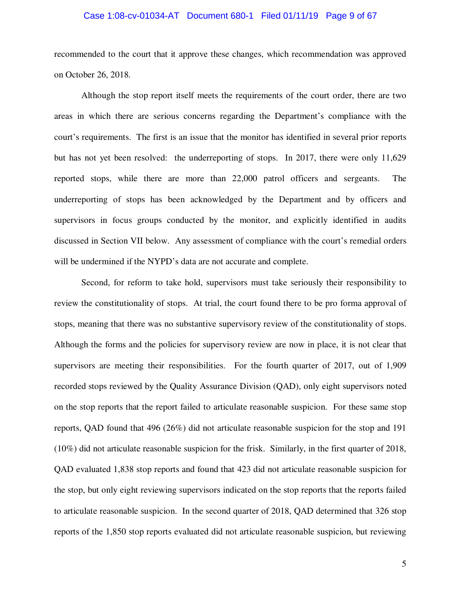#### Case 1:08-cv-01034-AT Document 680-1 Filed 01/11/19 Page 9 of 67

recommended to the court that it approve these changes, which recommendation was approved on October 26, 2018.

Although the stop report itself meets the requirements of the court order, there are two areas in which there are serious concerns regarding the Department's compliance with the court's requirements. The first is an issue that the monitor has identified in several prior reports but has not yet been resolved: the underreporting of stops. In 2017, there were only 11,629 reported stops, while there are more than 22,000 patrol officers and sergeants. The underreporting of stops has been acknowledged by the Department and by officers and supervisors in focus groups conducted by the monitor, and explicitly identified in audits discussed in Section VII below. Any assessment of compliance with the court's remedial orders will be undermined if the NYPD's data are not accurate and complete.

Second, for reform to take hold, supervisors must take seriously their responsibility to review the constitutionality of stops. At trial, the court found there to be pro forma approval of stops, meaning that there was no substantive supervisory review of the constitutionality of stops. Although the forms and the policies for supervisory review are now in place, it is not clear that supervisors are meeting their responsibilities. For the fourth quarter of 2017, out of 1,909 recorded stops reviewed by the Quality Assurance Division (QAD), only eight supervisors noted on the stop reports that the report failed to articulate reasonable suspicion. For these same stop reports, QAD found that 496 (26%) did not articulate reasonable suspicion for the stop and 191 (10%) did not articulate reasonable suspicion for the frisk. Similarly, in the first quarter of 2018, QAD evaluated 1,838 stop reports and found that 423 did not articulate reasonable suspicion for the stop, but only eight reviewing supervisors indicated on the stop reports that the reports failed to articulate reasonable suspicion. In the second quarter of 2018, QAD determined that 326 stop reports of the 1,850 stop reports evaluated did not articulate reasonable suspicion, but reviewing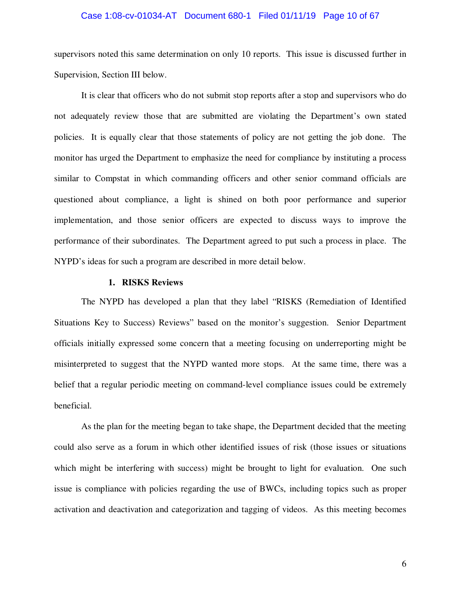#### Case 1:08-cv-01034-AT Document 680-1 Filed 01/11/19 Page 10 of 67

supervisors noted this same determination on only 10 reports. This issue is discussed further in Supervision, Section III below.

It is clear that officers who do not submit stop reports after a stop and supervisors who do not adequately review those that are submitted are violating the Department's own stated policies. It is equally clear that those statements of policy are not getting the job done. The monitor has urged the Department to emphasize the need for compliance by instituting a process similar to Compstat in which commanding officers and other senior command officials are questioned about compliance, a light is shined on both poor performance and superior implementation, and those senior officers are expected to discuss ways to improve the performance of their subordinates. The Department agreed to put such a process in place. The NYPD's ideas for such a program are described in more detail below.

#### **1. RISKS Reviews**

The NYPD has developed a plan that they label "RISKS (Remediation of Identified Situations Key to Success) Reviews" based on the monitor's suggestion. Senior Department officials initially expressed some concern that a meeting focusing on underreporting might be misinterpreted to suggest that the NYPD wanted more stops. At the same time, there was a belief that a regular periodic meeting on command-level compliance issues could be extremely beneficial.

As the plan for the meeting began to take shape, the Department decided that the meeting could also serve as a forum in which other identified issues of risk (those issues or situations which might be interfering with success) might be brought to light for evaluation. One such issue is compliance with policies regarding the use of BWCs, including topics such as proper activation and deactivation and categorization and tagging of videos. As this meeting becomes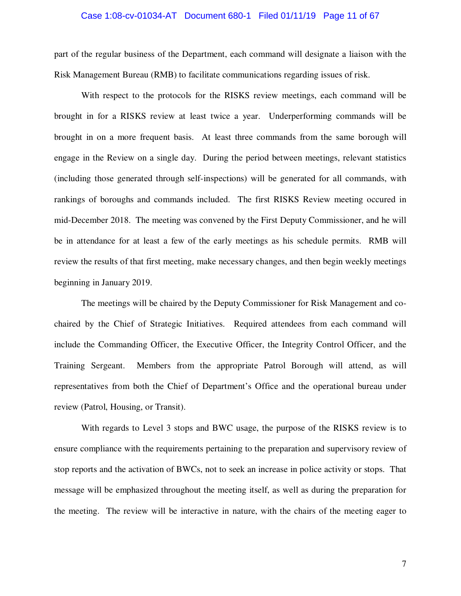#### Case 1:08-cv-01034-AT Document 680-1 Filed 01/11/19 Page 11 of 67

part of the regular business of the Department, each command will designate a liaison with the Risk Management Bureau (RMB) to facilitate communications regarding issues of risk.

With respect to the protocols for the RISKS review meetings, each command will be brought in for a RISKS review at least twice a year. Underperforming commands will be brought in on a more frequent basis. At least three commands from the same borough will engage in the Review on a single day. During the period between meetings, relevant statistics (including those generated through self-inspections) will be generated for all commands, with rankings of boroughs and commands included. The first RISKS Review meeting occured in mid-December 2018. The meeting was convened by the First Deputy Commissioner, and he will be in attendance for at least a few of the early meetings as his schedule permits. RMB will review the results of that first meeting, make necessary changes, and then begin weekly meetings beginning in January 2019.

The meetings will be chaired by the Deputy Commissioner for Risk Management and cochaired by the Chief of Strategic Initiatives. Required attendees from each command will include the Commanding Officer, the Executive Officer, the Integrity Control Officer, and the Training Sergeant. Members from the appropriate Patrol Borough will attend, as will representatives from both the Chief of Department's Office and the operational bureau under review (Patrol, Housing, or Transit).

With regards to Level 3 stops and BWC usage, the purpose of the RISKS review is to ensure compliance with the requirements pertaining to the preparation and supervisory review of stop reports and the activation of BWCs, not to seek an increase in police activity or stops. That message will be emphasized throughout the meeting itself, as well as during the preparation for the meeting. The review will be interactive in nature, with the chairs of the meeting eager to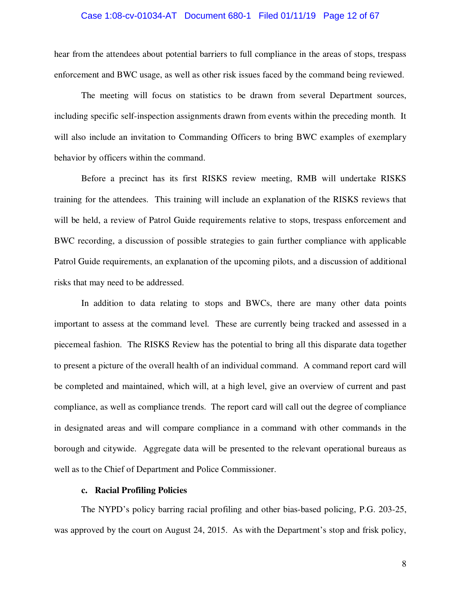hear from the attendees about potential barriers to full compliance in the areas of stops, trespass enforcement and BWC usage, as well as other risk issues faced by the command being reviewed.

The meeting will focus on statistics to be drawn from several Department sources, including specific self-inspection assignments drawn from events within the preceding month. It will also include an invitation to Commanding Officers to bring BWC examples of exemplary behavior by officers within the command.

Before a precinct has its first RISKS review meeting, RMB will undertake RISKS training for the attendees. This training will include an explanation of the RISKS reviews that will be held, a review of Patrol Guide requirements relative to stops, trespass enforcement and BWC recording, a discussion of possible strategies to gain further compliance with applicable Patrol Guide requirements, an explanation of the upcoming pilots, and a discussion of additional risks that may need to be addressed.

In addition to data relating to stops and BWCs, there are many other data points important to assess at the command level. These are currently being tracked and assessed in a piecemeal fashion. The RISKS Review has the potential to bring all this disparate data together to present a picture of the overall health of an individual command. A command report card will be completed and maintained, which will, at a high level, give an overview of current and past compliance, as well as compliance trends. The report card will call out the degree of compliance in designated areas and will compare compliance in a command with other commands in the borough and citywide. Aggregate data will be presented to the relevant operational bureaus as well as to the Chief of Department and Police Commissioner.

# **c. Racial Profiling Policies**

The NYPD's policy barring racial profiling and other bias-based policing, P.G. 203-25, was approved by the court on August 24, 2015. As with the Department's stop and frisk policy,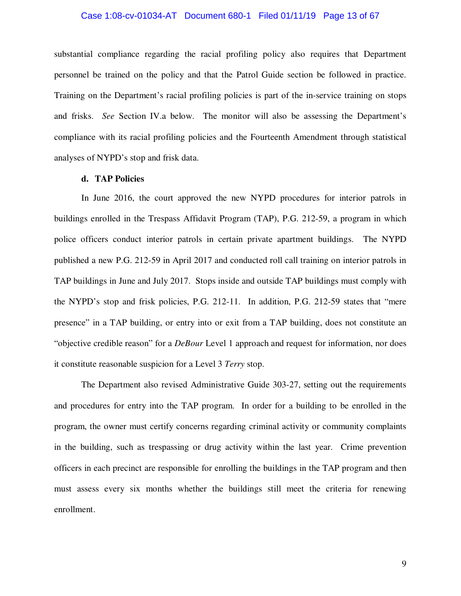#### Case 1:08-cv-01034-AT Document 680-1 Filed 01/11/19 Page 13 of 67

substantial compliance regarding the racial profiling policy also requires that Department personnel be trained on the policy and that the Patrol Guide section be followed in practice. Training on the Department's racial profiling policies is part of the in-service training on stops and frisks. *See* Section IV.a below. The monitor will also be assessing the Department's compliance with its racial profiling policies and the Fourteenth Amendment through statistical analyses of NYPD's stop and frisk data.

#### **d. TAP Policies**

In June 2016, the court approved the new NYPD procedures for interior patrols in buildings enrolled in the Trespass Affidavit Program (TAP), P.G. 212-59, a program in which police officers conduct interior patrols in certain private apartment buildings. The NYPD published a new P.G. 212-59 in April 2017 and conducted roll call training on interior patrols in TAP buildings in June and July 2017. Stops inside and outside TAP buildings must comply with the NYPD's stop and frisk policies, P.G. 212-11. In addition, P.G. 212-59 states that "mere presence" in a TAP building, or entry into or exit from a TAP building, does not constitute an "objective credible reason" for a *DeBour* Level 1 approach and request for information, nor does it constitute reasonable suspicion for a Level 3 *Terry* stop.

The Department also revised Administrative Guide 303-27, setting out the requirements and procedures for entry into the TAP program. In order for a building to be enrolled in the program, the owner must certify concerns regarding criminal activity or community complaints in the building, such as trespassing or drug activity within the last year. Crime prevention officers in each precinct are responsible for enrolling the buildings in the TAP program and then must assess every six months whether the buildings still meet the criteria for renewing enrollment.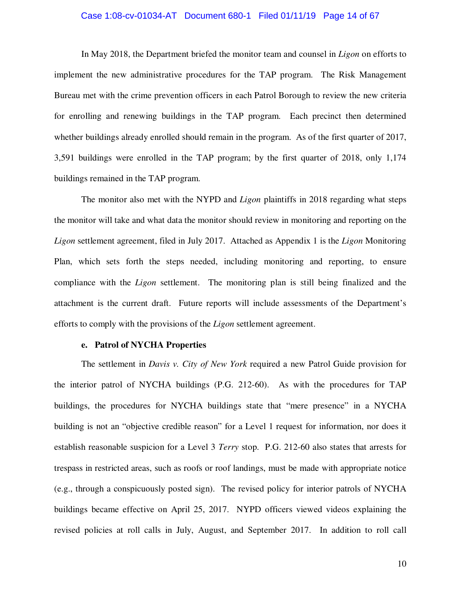#### Case 1:08-cv-01034-AT Document 680-1 Filed 01/11/19 Page 14 of 67

In May 2018, the Department briefed the monitor team and counsel in *Ligon* on efforts to implement the new administrative procedures for the TAP program. The Risk Management Bureau met with the crime prevention officers in each Patrol Borough to review the new criteria for enrolling and renewing buildings in the TAP program. Each precinct then determined whether buildings already enrolled should remain in the program. As of the first quarter of 2017, 3,591 buildings were enrolled in the TAP program; by the first quarter of 2018, only 1,174 buildings remained in the TAP program.

The monitor also met with the NYPD and *Ligon* plaintiffs in 2018 regarding what steps the monitor will take and what data the monitor should review in monitoring and reporting on the *Ligon* settlement agreement, filed in July 2017. Attached as Appendix 1 is the *Ligon* Monitoring Plan, which sets forth the steps needed, including monitoring and reporting, to ensure compliance with the *Ligon* settlement. The monitoring plan is still being finalized and the attachment is the current draft. Future reports will include assessments of the Department's efforts to comply with the provisions of the *Ligon* settlement agreement.

#### **e. Patrol of NYCHA Properties**

The settlement in *Davis v. City of New York* required a new Patrol Guide provision for the interior patrol of NYCHA buildings (P.G. 212-60). As with the procedures for TAP buildings, the procedures for NYCHA buildings state that "mere presence" in a NYCHA building is not an "objective credible reason" for a Level 1 request for information, nor does it establish reasonable suspicion for a Level 3 *Terry* stop. P.G. 212-60 also states that arrests for trespass in restricted areas, such as roofs or roof landings, must be made with appropriate notice (e.g., through a conspicuously posted sign). The revised policy for interior patrols of NYCHA buildings became effective on April 25, 2017. NYPD officers viewed videos explaining the revised policies at roll calls in July, August, and September 2017. In addition to roll call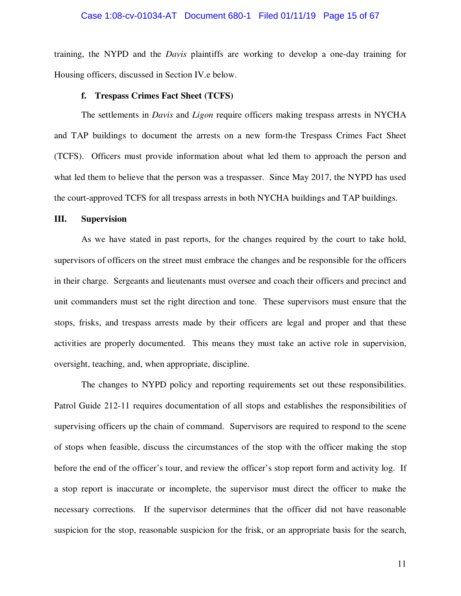training, the NYPD and the *Davis* plaintiffs are working to develop a one-day training for Housing officers, discussed in Section IV.e below.

#### **f. Trespass Crimes Fact Sheet (TCFS)**

The settlements in *Davis* and *Ligon* require officers making trespass arrests in NYCHA and TAP buildings to document the arrests on a new form-the Trespass Crimes Fact Sheet (TCFS). Officers must provide information about what led them to approach the person and what led them to believe that the person was a trespasser. Since May 2017, the NYPD has used the court-approved TCFS for all trespass arrests in both NYCHA buildings and TAP buildings.

#### **III. Supervision**

As we have stated in past reports, for the changes required by the court to take hold, supervisors of officers on the street must embrace the changes and be responsible for the officers in their charge. Sergeants and lieutenants must oversee and coach their officers and precinct and unit commanders must set the right direction and tone. These supervisors must ensure that the stops, frisks, and trespass arrests made by their officers are legal and proper and that these activities are properly documented. This means they must take an active role in supervision, oversight, teaching, and, when appropriate, discipline.

The changes to NYPD policy and reporting requirements set out these responsibilities. Patrol Guide 212-11 requires documentation of all stops and establishes the responsibilities of supervising officers up the chain of command. Supervisors are required to respond to the scene of stops when feasible, discuss the circumstances of the stop with the officer making the stop before the end of the officer's tour, and review the officer's stop report form and activity log. If a stop report is inaccurate or incomplete, the supervisor must direct the officer to make the necessary corrections. If the supervisor determines that the officer did not have reasonable suspicion for the stop, reasonable suspicion for the frisk, or an appropriate basis for the search,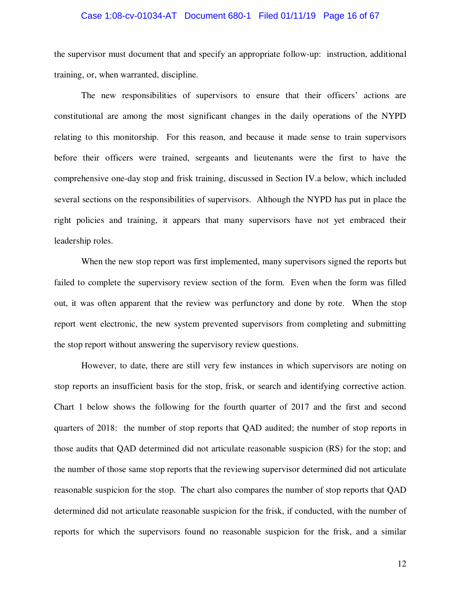#### Case 1:08-cv-01034-AT Document 680-1 Filed 01/11/19 Page 16 of 67

the supervisor must document that and specify an appropriate follow-up: instruction, additional training, or, when warranted, discipline.

The new responsibilities of supervisors to ensure that their officers' actions are constitutional are among the most significant changes in the daily operations of the NYPD relating to this monitorship. For this reason, and because it made sense to train supervisors before their officers were trained, sergeants and lieutenants were the first to have the comprehensive one-day stop and frisk training, discussed in Section IV.a below, which included several sections on the responsibilities of supervisors. Although the NYPD has put in place the right policies and training, it appears that many supervisors have not yet embraced their leadership roles.

When the new stop report was first implemented, many supervisors signed the reports but failed to complete the supervisory review section of the form. Even when the form was filled out, it was often apparent that the review was perfunctory and done by rote. When the stop report went electronic, the new system prevented supervisors from completing and submitting the stop report without answering the supervisory review questions.

However, to date, there are still very few instances in which supervisors are noting on stop reports an insufficient basis for the stop, frisk, or search and identifying corrective action. Chart 1 below shows the following for the fourth quarter of 2017 and the first and second quarters of 2018: the number of stop reports that QAD audited; the number of stop reports in those audits that QAD determined did not articulate reasonable suspicion (RS) for the stop; and the number of those same stop reports that the reviewing supervisor determined did not articulate reasonable suspicion for the stop. The chart also compares the number of stop reports that QAD determined did not articulate reasonable suspicion for the frisk, if conducted, with the number of reports for which the supervisors found no reasonable suspicion for the frisk, and a similar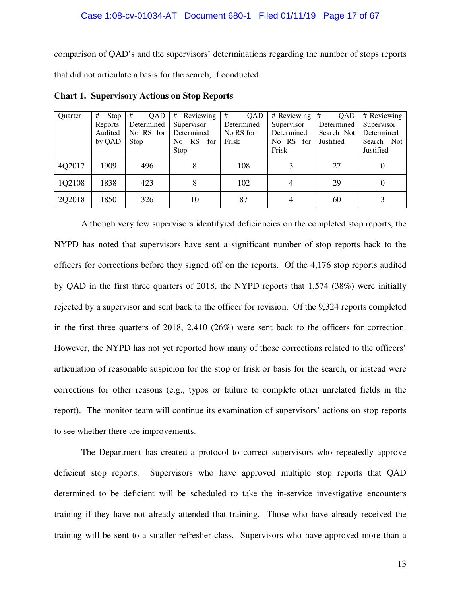comparison of QAD's and the supervisors' determinations regarding the number of stops reports that did not articulate a basis for the search, if conducted.

| Quarter | #<br>Stop | #<br>QAD   | Reviewing<br>#          | #<br>QAD   | # Reviewing  | #<br>QAD   | # Reviewing |
|---------|-----------|------------|-------------------------|------------|--------------|------------|-------------|
|         | Reports   | Determined | Supervisor              | Determined | Supervisor   | Determined | Supervisor  |
|         | Audited   | No RS for  | Determined              | No RS for  | Determined   | Search Not | Determined  |
|         | by QAD    | Stop       | <b>RS</b><br>for<br>No. | Frisk      | No RS<br>for | Justified  | Search Not  |
|         |           |            | Stop                    |            | Frisk        |            | Justified   |
| 4Q2017  | 1909      | 496        |                         | 108        | 3            | 27         |             |
| 1Q2108  | 1838      | 423        | 8                       | 102        | 4            | 29         | $\Omega$    |
| 2Q2018  | 1850      | 326        | 10                      | 87         | 4            | 60         |             |

**Chart 1. Supervisory Actions on Stop Reports** 

Although very few supervisors identifyied deficiencies on the completed stop reports, the NYPD has noted that supervisors have sent a significant number of stop reports back to the officers for corrections before they signed off on the reports. Of the 4,176 stop reports audited by QAD in the first three quarters of 2018, the NYPD reports that 1,574 (38%) were initially rejected by a supervisor and sent back to the officer for revision. Of the 9,324 reports completed in the first three quarters of 2018, 2,410 (26%) were sent back to the officers for correction. However, the NYPD has not yet reported how many of those corrections related to the officers' articulation of reasonable suspicion for the stop or frisk or basis for the search, or instead were corrections for other reasons (e.g., typos or failure to complete other unrelated fields in the report). The monitor team will continue its examination of supervisors' actions on stop reports to see whether there are improvements.

The Department has created a protocol to correct supervisors who repeatedly approve deficient stop reports. Supervisors who have approved multiple stop reports that QAD determined to be deficient will be scheduled to take the in-service investigative encounters training if they have not already attended that training. Those who have already received the training will be sent to a smaller refresher class. Supervisors who have approved more than a

13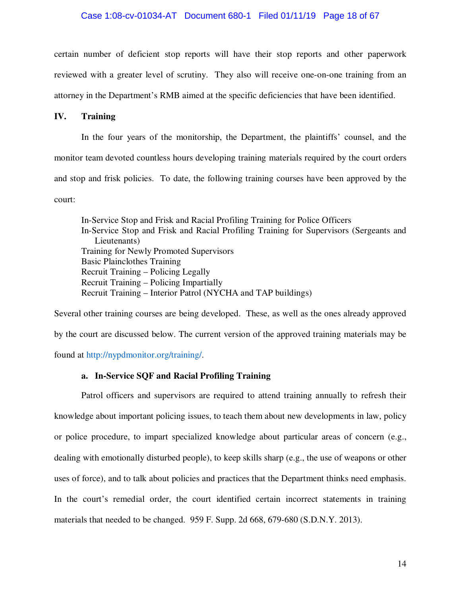certain number of deficient stop reports will have their stop reports and other paperwork reviewed with a greater level of scrutiny. They also will receive one-on-one training from an attorney in the Department's RMB aimed at the specific deficiencies that have been identified.

# **IV. Training**

In the four years of the monitorship, the Department, the plaintiffs' counsel, and the monitor team devoted countless hours developing training materials required by the court orders and stop and frisk policies. To date, the following training courses have been approved by the court:

In-Service Stop and Frisk and Racial Profiling Training for Police Officers In-Service Stop and Frisk and Racial Profiling Training for Supervisors (Sergeants and Lieutenants) Training for Newly Promoted Supervisors Basic Plainclothes Training Recruit Training – Policing Legally Recruit Training – Policing Impartially Recruit Training – Interior Patrol (NYCHA and TAP buildings)

Several other training courses are being developed. These, as well as the ones already approved by the court are discussed below. The current version of the approved training materials may be found at http://nypdmonitor.org/training/.

# **a. In-Service SQF and Racial Profiling Training**

Patrol officers and supervisors are required to attend training annually to refresh their knowledge about important policing issues, to teach them about new developments in law, policy or police procedure, to impart specialized knowledge about particular areas of concern (e.g., dealing with emotionally disturbed people), to keep skills sharp (e.g., the use of weapons or other uses of force), and to talk about policies and practices that the Department thinks need emphasis. In the court's remedial order, the court identified certain incorrect statements in training materials that needed to be changed. 959 F. Supp. 2d 668, 679-680 (S.D.N.Y. 2013).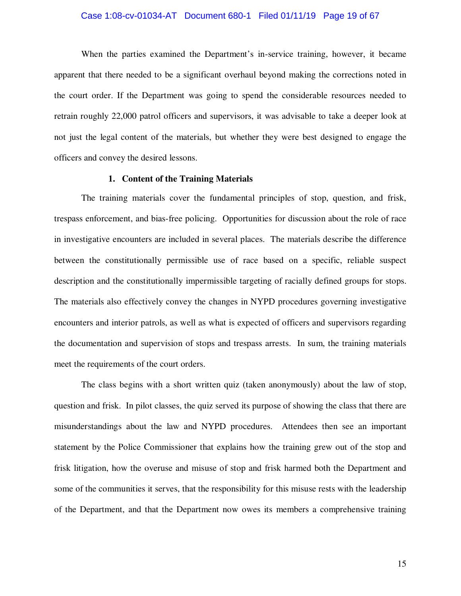#### Case 1:08-cv-01034-AT Document 680-1 Filed 01/11/19 Page 19 of 67

When the parties examined the Department's in-service training, however, it became apparent that there needed to be a significant overhaul beyond making the corrections noted in the court order. If the Department was going to spend the considerable resources needed to retrain roughly 22,000 patrol officers and supervisors, it was advisable to take a deeper look at not just the legal content of the materials, but whether they were best designed to engage the officers and convey the desired lessons.

#### **1. Content of the Training Materials**

The training materials cover the fundamental principles of stop, question, and frisk, trespass enforcement, and bias-free policing. Opportunities for discussion about the role of race in investigative encounters are included in several places. The materials describe the difference between the constitutionally permissible use of race based on a specific, reliable suspect description and the constitutionally impermissible targeting of racially defined groups for stops. The materials also effectively convey the changes in NYPD procedures governing investigative encounters and interior patrols, as well as what is expected of officers and supervisors regarding the documentation and supervision of stops and trespass arrests. In sum, the training materials meet the requirements of the court orders.

The class begins with a short written quiz (taken anonymously) about the law of stop, question and frisk. In pilot classes, the quiz served its purpose of showing the class that there are misunderstandings about the law and NYPD procedures. Attendees then see an important statement by the Police Commissioner that explains how the training grew out of the stop and frisk litigation, how the overuse and misuse of stop and frisk harmed both the Department and some of the communities it serves, that the responsibility for this misuse rests with the leadership of the Department, and that the Department now owes its members a comprehensive training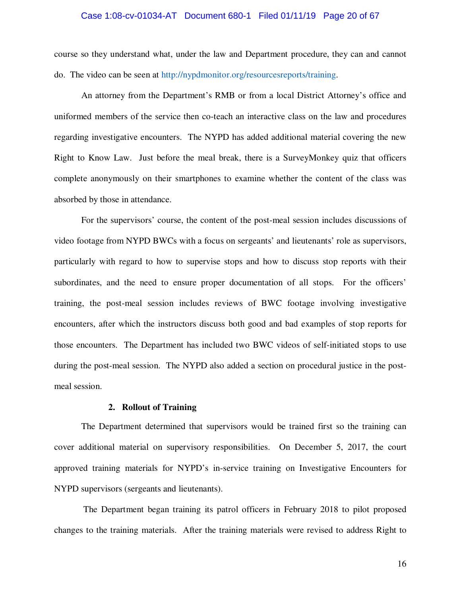#### Case 1:08-cv-01034-AT Document 680-1 Filed 01/11/19 Page 20 of 67

course so they understand what, under the law and Department procedure, they can and cannot do. The video can be seen at http://nypdmonitor.org/resourcesreports/training.

An attorney from the Department's RMB or from a local District Attorney's office and uniformed members of the service then co-teach an interactive class on the law and procedures regarding investigative encounters. The NYPD has added additional material covering the new Right to Know Law. Just before the meal break, there is a SurveyMonkey quiz that officers complete anonymously on their smartphones to examine whether the content of the class was absorbed by those in attendance.

For the supervisors' course, the content of the post-meal session includes discussions of video footage from NYPD BWCs with a focus on sergeants' and lieutenants' role as supervisors, particularly with regard to how to supervise stops and how to discuss stop reports with their subordinates, and the need to ensure proper documentation of all stops. For the officers' training, the post-meal session includes reviews of BWC footage involving investigative encounters, after which the instructors discuss both good and bad examples of stop reports for those encounters. The Department has included two BWC videos of self-initiated stops to use during the post-meal session. The NYPD also added a section on procedural justice in the postmeal session.

#### **2. Rollout of Training**

The Department determined that supervisors would be trained first so the training can cover additional material on supervisory responsibilities. On December 5, 2017, the court approved training materials for NYPD's in-service training on Investigative Encounters for NYPD supervisors (sergeants and lieutenants).

 The Department began training its patrol officers in February 2018 to pilot proposed changes to the training materials. After the training materials were revised to address Right to

16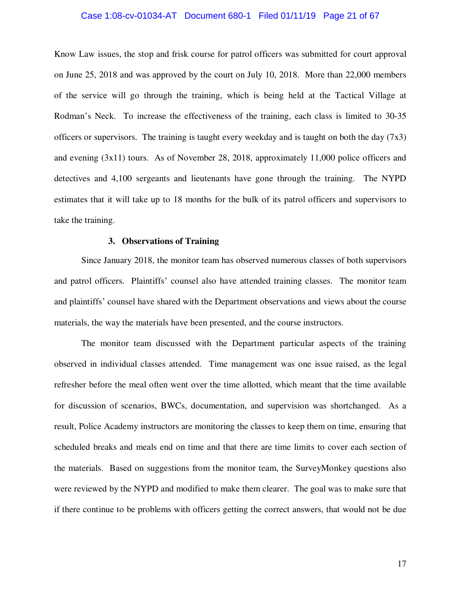#### Case 1:08-cv-01034-AT Document 680-1 Filed 01/11/19 Page 21 of 67

Know Law issues, the stop and frisk course for patrol officers was submitted for court approval on June 25, 2018 and was approved by the court on July 10, 2018. More than 22,000 members of the service will go through the training, which is being held at the Tactical Village at Rodman's Neck. To increase the effectiveness of the training, each class is limited to 30-35 officers or supervisors. The training is taught every weekday and is taught on both the day  $(7x3)$ and evening (3x11) tours. As of November 28, 2018, approximately 11,000 police officers and detectives and 4,100 sergeants and lieutenants have gone through the training. The NYPD estimates that it will take up to 18 months for the bulk of its patrol officers and supervisors to take the training.

### **3. Observations of Training**

Since January 2018, the monitor team has observed numerous classes of both supervisors and patrol officers. Plaintiffs' counsel also have attended training classes. The monitor team and plaintiffs' counsel have shared with the Department observations and views about the course materials, the way the materials have been presented, and the course instructors.

The monitor team discussed with the Department particular aspects of the training observed in individual classes attended. Time management was one issue raised, as the legal refresher before the meal often went over the time allotted, which meant that the time available for discussion of scenarios, BWCs, documentation, and supervision was shortchanged. As a result, Police Academy instructors are monitoring the classes to keep them on time, ensuring that scheduled breaks and meals end on time and that there are time limits to cover each section of the materials. Based on suggestions from the monitor team, the SurveyMonkey questions also were reviewed by the NYPD and modified to make them clearer. The goal was to make sure that if there continue to be problems with officers getting the correct answers, that would not be due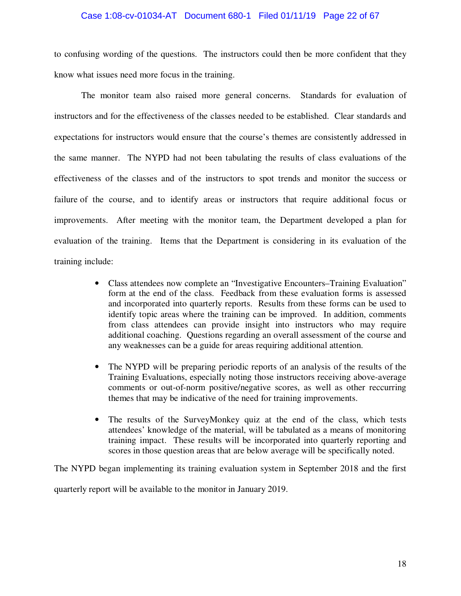#### Case 1:08-cv-01034-AT Document 680-1 Filed 01/11/19 Page 22 of 67

to confusing wording of the questions. The instructors could then be more confident that they know what issues need more focus in the training.

The monitor team also raised more general concerns. Standards for evaluation of instructors and for the effectiveness of the classes needed to be established. Clear standards and expectations for instructors would ensure that the course's themes are consistently addressed in the same manner. The NYPD had not been tabulating the results of class evaluations of the effectiveness of the classes and of the instructors to spot trends and monitor the success or failure of the course, and to identify areas or instructors that require additional focus or improvements. After meeting with the monitor team, the Department developed a plan for evaluation of the training. Items that the Department is considering in its evaluation of the training include:

- Class attendees now complete an "Investigative Encounters–Training Evaluation" form at the end of the class. Feedback from these evaluation forms is assessed and incorporated into quarterly reports. Results from these forms can be used to identify topic areas where the training can be improved. In addition, comments from class attendees can provide insight into instructors who may require additional coaching. Questions regarding an overall assessment of the course and any weaknesses can be a guide for areas requiring additional attention.
- The NYPD will be preparing periodic reports of an analysis of the results of the Training Evaluations, especially noting those instructors receiving above-average comments or out-of-norm positive/negative scores, as well as other reccurring themes that may be indicative of the need for training improvements.
- The results of the SurveyMonkey quiz at the end of the class, which tests attendees' knowledge of the material, will be tabulated as a means of monitoring training impact. These results will be incorporated into quarterly reporting and scores in those question areas that are below average will be specifically noted.

The NYPD began implementing its training evaluation system in September 2018 and the first

quarterly report will be available to the monitor in January 2019.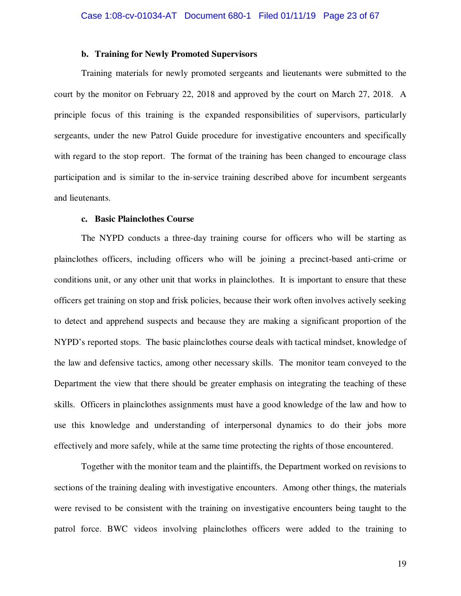# **b. Training for Newly Promoted Supervisors**

Training materials for newly promoted sergeants and lieutenants were submitted to the court by the monitor on February 22, 2018 and approved by the court on March 27, 2018. A principle focus of this training is the expanded responsibilities of supervisors, particularly sergeants, under the new Patrol Guide procedure for investigative encounters and specifically with regard to the stop report. The format of the training has been changed to encourage class participation and is similar to the in-service training described above for incumbent sergeants and lieutenants.

#### **c. Basic Plainclothes Course**

The NYPD conducts a three-day training course for officers who will be starting as plainclothes officers, including officers who will be joining a precinct-based anti-crime or conditions unit, or any other unit that works in plainclothes. It is important to ensure that these officers get training on stop and frisk policies, because their work often involves actively seeking to detect and apprehend suspects and because they are making a significant proportion of the NYPD's reported stops. The basic plainclothes course deals with tactical mindset, knowledge of the law and defensive tactics, among other necessary skills. The monitor team conveyed to the Department the view that there should be greater emphasis on integrating the teaching of these skills. Officers in plainclothes assignments must have a good knowledge of the law and how to use this knowledge and understanding of interpersonal dynamics to do their jobs more effectively and more safely, while at the same time protecting the rights of those encountered.

Together with the monitor team and the plaintiffs, the Department worked on revisions to sections of the training dealing with investigative encounters. Among other things, the materials were revised to be consistent with the training on investigative encounters being taught to the patrol force. BWC videos involving plainclothes officers were added to the training to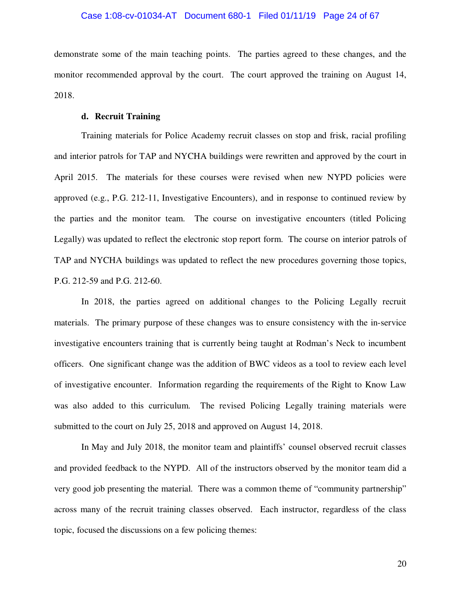demonstrate some of the main teaching points. The parties agreed to these changes, and the monitor recommended approval by the court. The court approved the training on August 14, 2018.

# **d. Recruit Training**

Training materials for Police Academy recruit classes on stop and frisk, racial profiling and interior patrols for TAP and NYCHA buildings were rewritten and approved by the court in April 2015. The materials for these courses were revised when new NYPD policies were approved (e.g., P.G. 212-11, Investigative Encounters), and in response to continued review by the parties and the monitor team. The course on investigative encounters (titled Policing Legally) was updated to reflect the electronic stop report form. The course on interior patrols of TAP and NYCHA buildings was updated to reflect the new procedures governing those topics, P.G. 212-59 and P.G. 212-60.

In 2018, the parties agreed on additional changes to the Policing Legally recruit materials. The primary purpose of these changes was to ensure consistency with the in-service investigative encounters training that is currently being taught at Rodman's Neck to incumbent officers. One significant change was the addition of BWC videos as a tool to review each level of investigative encounter. Information regarding the requirements of the Right to Know Law was also added to this curriculum. The revised Policing Legally training materials were submitted to the court on July 25, 2018 and approved on August 14, 2018.

In May and July 2018, the monitor team and plaintiffs' counsel observed recruit classes and provided feedback to the NYPD. All of the instructors observed by the monitor team did a very good job presenting the material. There was a common theme of "community partnership" across many of the recruit training classes observed. Each instructor, regardless of the class topic, focused the discussions on a few policing themes:

20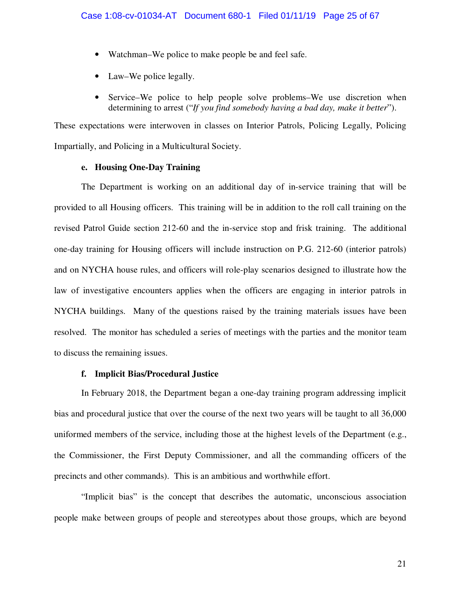- Watchman–We police to make people be and feel safe.
- Law–We police legally.
- Service–We police to help people solve problems–We use discretion when determining to arrest ("*If you find somebody having a bad day, make it better*").

These expectations were interwoven in classes on Interior Patrols, Policing Legally, Policing Impartially, and Policing in a Multicultural Society.

# **e. Housing One-Day Training**

The Department is working on an additional day of in-service training that will be provided to all Housing officers. This training will be in addition to the roll call training on the revised Patrol Guide section 212-60 and the in-service stop and frisk training. The additional one-day training for Housing officers will include instruction on P.G. 212-60 (interior patrols) and on NYCHA house rules, and officers will role-play scenarios designed to illustrate how the law of investigative encounters applies when the officers are engaging in interior patrols in NYCHA buildings. Many of the questions raised by the training materials issues have been resolved. The monitor has scheduled a series of meetings with the parties and the monitor team to discuss the remaining issues.

# **f. Implicit Bias/Procedural Justice**

In February 2018, the Department began a one-day training program addressing implicit bias and procedural justice that over the course of the next two years will be taught to all 36,000 uniformed members of the service, including those at the highest levels of the Department (e.g., the Commissioner, the First Deputy Commissioner, and all the commanding officers of the precincts and other commands). This is an ambitious and worthwhile effort.

"Implicit bias" is the concept that describes the automatic, unconscious association people make between groups of people and stereotypes about those groups, which are beyond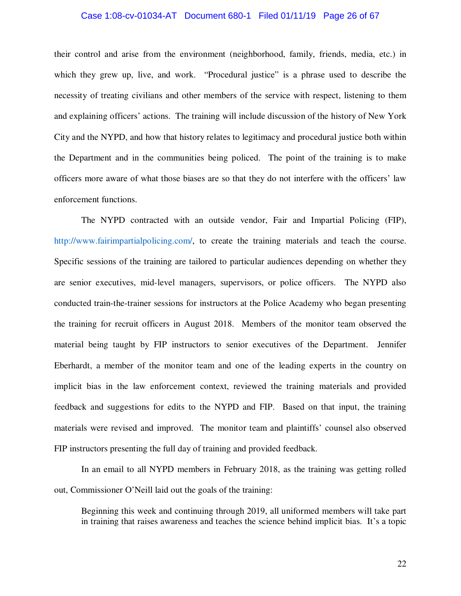#### Case 1:08-cv-01034-AT Document 680-1 Filed 01/11/19 Page 26 of 67

their control and arise from the environment (neighborhood, family, friends, media, etc.) in which they grew up, live, and work. "Procedural justice" is a phrase used to describe the necessity of treating civilians and other members of the service with respect, listening to them and explaining officers' actions. The training will include discussion of the history of New York City and the NYPD, and how that history relates to legitimacy and procedural justice both within the Department and in the communities being policed. The point of the training is to make officers more aware of what those biases are so that they do not interfere with the officers' law enforcement functions.

The NYPD contracted with an outside vendor, Fair and Impartial Policing (FIP), http://www.fairimpartialpolicing.com/, to create the training materials and teach the course. Specific sessions of the training are tailored to particular audiences depending on whether they are senior executives, mid-level managers, supervisors, or police officers. The NYPD also conducted train-the-trainer sessions for instructors at the Police Academy who began presenting the training for recruit officers in August 2018. Members of the monitor team observed the material being taught by FIP instructors to senior executives of the Department. Jennifer Eberhardt, a member of the monitor team and one of the leading experts in the country on implicit bias in the law enforcement context, reviewed the training materials and provided feedback and suggestions for edits to the NYPD and FIP. Based on that input, the training materials were revised and improved. The monitor team and plaintiffs' counsel also observed FIP instructors presenting the full day of training and provided feedback.

In an email to all NYPD members in February 2018, as the training was getting rolled out, Commissioner O'Neill laid out the goals of the training:

Beginning this week and continuing through 2019, all uniformed members will take part in training that raises awareness and teaches the science behind implicit bias. It's a topic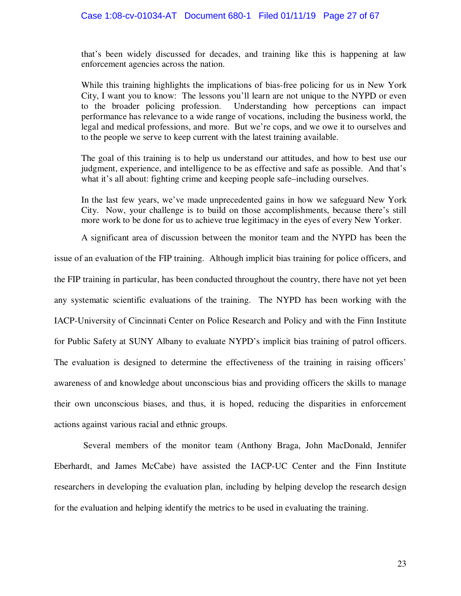that's been widely discussed for decades, and training like this is happening at law enforcement agencies across the nation.

While this training highlights the implications of bias-free policing for us in New York City, I want you to know: The lessons you'll learn are not unique to the NYPD or even to the broader policing profession. Understanding how perceptions can impact performance has relevance to a wide range of vocations, including the business world, the legal and medical professions, and more. But we're cops, and we owe it to ourselves and to the people we serve to keep current with the latest training available.

The goal of this training is to help us understand our attitudes, and how to best use our judgment, experience, and intelligence to be as effective and safe as possible. And that's what it's all about: fighting crime and keeping people safe–including ourselves.

In the last few years, we've made unprecedented gains in how we safeguard New York City. Now, your challenge is to build on those accomplishments, because there's still more work to be done for us to achieve true legitimacy in the eyes of every New Yorker.

A significant area of discussion between the monitor team and the NYPD has been the issue of an evaluation of the FIP training. Although implicit bias training for police officers, and the FIP training in particular, has been conducted throughout the country, there have not yet been any systematic scientific evaluations of the training. The NYPD has been working with the IACP-University of Cincinnati Center on Police Research and Policy and with the Finn Institute for Public Safety at SUNY Albany to evaluate NYPD's implicit bias training of patrol officers. The evaluation is designed to determine the effectiveness of the training in raising officers' awareness of and knowledge about unconscious bias and providing officers the skills to manage their own unconscious biases, and thus, it is hoped, reducing the disparities in enforcement actions against various racial and ethnic groups.

 Several members of the monitor team (Anthony Braga, John MacDonald, Jennifer Eberhardt, and James McCabe) have assisted the IACP-UC Center and the Finn Institute researchers in developing the evaluation plan, including by helping develop the research design for the evaluation and helping identify the metrics to be used in evaluating the training.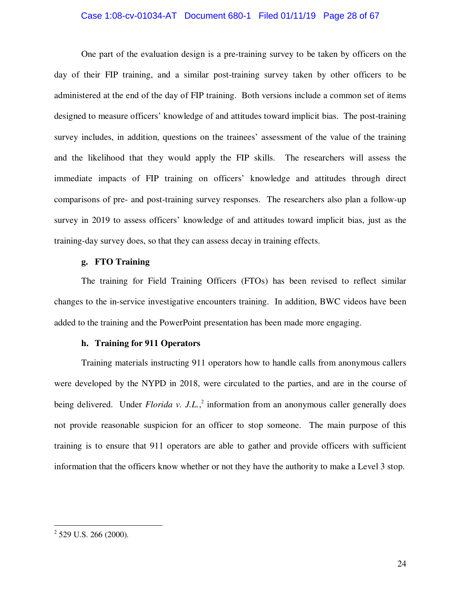#### Case 1:08-cv-01034-AT Document 680-1 Filed 01/11/19 Page 28 of 67

One part of the evaluation design is a pre-training survey to be taken by officers on the day of their FIP training, and a similar post-training survey taken by other officers to be administered at the end of the day of FIP training. Both versions include a common set of items designed to measure officers' knowledge of and attitudes toward implicit bias. The post-training survey includes, in addition, questions on the trainees' assessment of the value of the training and the likelihood that they would apply the FIP skills. The researchers will assess the immediate impacts of FIP training on officers' knowledge and attitudes through direct comparisons of pre- and post-training survey responses. The researchers also plan a follow-up survey in 2019 to assess officers' knowledge of and attitudes toward implicit bias, just as the training-day survey does, so that they can assess decay in training effects.

# **g. FTO Training**

The training for Field Training Officers (FTOs) has been revised to reflect similar changes to the in-service investigative encounters training. In addition, BWC videos have been added to the training and the PowerPoint presentation has been made more engaging.

# **h. Training for 911 Operators**

Training materials instructing 911 operators how to handle calls from anonymous callers were developed by the NYPD in 2018, were circulated to the parties, and are in the course of being delivered. Under *Florida v. J.L.*,<sup>2</sup> information from an anonymous caller generally does not provide reasonable suspicion for an officer to stop someone. The main purpose of this training is to ensure that 911 operators are able to gather and provide officers with sufficient information that the officers know whether or not they have the authority to make a Level 3 stop.

-

 $2$  529 U.S. 266 (2000).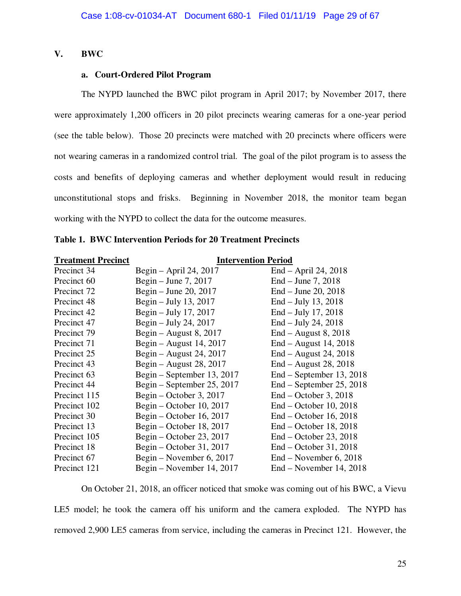# **V. BWC**

# **a. Court-Ordered Pilot Program**

The NYPD launched the BWC pilot program in April 2017; by November 2017, there were approximately 1,200 officers in 20 pilot precincts wearing cameras for a one-year period (see the table below). Those 20 precincts were matched with 20 precincts where officers were not wearing cameras in a randomized control trial. The goal of the pilot program is to assess the costs and benefits of deploying cameras and whether deployment would result in reducing unconstitutional stops and frisks. Beginning in November 2018, the monitor team began working with the NYPD to collect the data for the outcome measures.

| <b>Treatment Precinct</b> | <b>Intervention Period</b> |                            |  |  |
|---------------------------|----------------------------|----------------------------|--|--|
| Precinct 34               | Begin $-$ April 24, 2017   | End – April 24, 2018       |  |  |
| Precinct 60               | Begin – June 7, 2017       | $End - June 7, 2018$       |  |  |
| Precinct 72               | Begin – June 20, 2017      | $End - June 20, 2018$      |  |  |
| Precinct 48               | Begin $-$ July 13, 2017    | $End - July 13, 2018$      |  |  |
| Precinct 42               | Begin $-$ July 17, 2017    | $End - July 17, 2018$      |  |  |
| Precinct 47               | Begin $-$ July 24, 2017    | $End - July 24, 2018$      |  |  |
| Precinct 79               | Begin – August 8, 2017     | $End - August 8, 2018$     |  |  |
| Precinct 71               | Begin – August 14, 2017    | $End - August 14, 2018$    |  |  |
| Precinct 25               | Begin – August 24, 2017    | $End - August 24, 2018$    |  |  |
| Precinct 43               | Begin – August 28, 2017    | $End - August 28, 2018$    |  |  |
| Precinct 63               | Begin – September 13, 2017 | End – September 13, 2018   |  |  |
| Precinct 44               | Begin – September 25, 2017 | $End - September 25, 2018$ |  |  |
| Precinct 115              | Begin – October 3, 2017    | $End - October 3, 2018$    |  |  |
| Precinct 102              | Begin – October 10, 2017   | $End - October 10, 2018$   |  |  |
| Precinct 30               | Begin – October 16, 2017   | $End - October 16, 2018$   |  |  |
| Precinct 13               | Begin – October 18, 2017   | $End - October 18, 2018$   |  |  |
| Precinct 105              | Begin – October 23, 2017   | $End - October 23, 2018$   |  |  |
| Precinct 18               | Begin – October 31, 2017   | $End - October 31, 2018$   |  |  |
| Precinct 67               | Begin – November 6, 2017   | End – November 6, 2018     |  |  |
| Precinct 121              | Begin – November 14, 2017  | $End - November 14, 2018$  |  |  |

|  |  |  | <b>Table 1. BWC Intervention Periods for 20 Treatment Precincts</b> |
|--|--|--|---------------------------------------------------------------------|
|--|--|--|---------------------------------------------------------------------|

On October 21, 2018, an officer noticed that smoke was coming out of his BWC, a Vievu LE5 model; he took the camera off his uniform and the camera exploded. The NYPD has removed 2,900 LE5 cameras from service, including the cameras in Precinct 121. However, the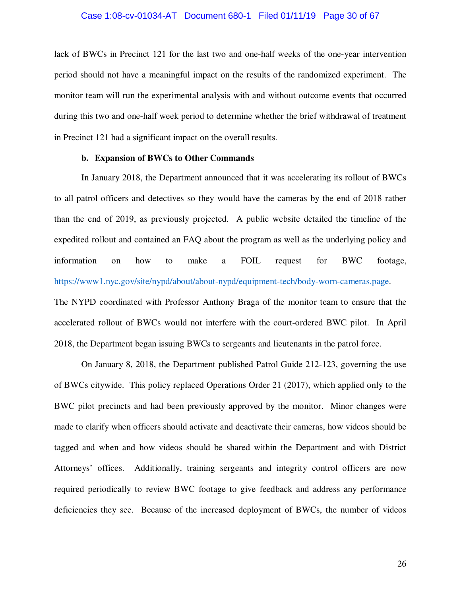lack of BWCs in Precinct 121 for the last two and one-half weeks of the one-year intervention period should not have a meaningful impact on the results of the randomized experiment. The monitor team will run the experimental analysis with and without outcome events that occurred during this two and one-half week period to determine whether the brief withdrawal of treatment in Precinct 121 had a significant impact on the overall results.

#### **b. Expansion of BWCs to Other Commands**

In January 2018, the Department announced that it was accelerating its rollout of BWCs to all patrol officers and detectives so they would have the cameras by the end of 2018 rather than the end of 2019, as previously projected. A public website detailed the timeline of the expedited rollout and contained an FAQ about the program as well as the underlying policy and information on how to make a FOIL request for BWC footage, https://www1.nyc.gov/site/nypd/about/about-nypd/equipment-tech/body-worn-cameras.page.

The NYPD coordinated with Professor Anthony Braga of the monitor team to ensure that the accelerated rollout of BWCs would not interfere with the court-ordered BWC pilot. In April 2018, the Department began issuing BWCs to sergeants and lieutenants in the patrol force.

On January 8, 2018, the Department published Patrol Guide 212-123, governing the use of BWCs citywide. This policy replaced Operations Order 21 (2017), which applied only to the BWC pilot precincts and had been previously approved by the monitor. Minor changes were made to clarify when officers should activate and deactivate their cameras, how videos should be tagged and when and how videos should be shared within the Department and with District Attorneys' offices. Additionally, training sergeants and integrity control officers are now required periodically to review BWC footage to give feedback and address any performance deficiencies they see. Because of the increased deployment of BWCs, the number of videos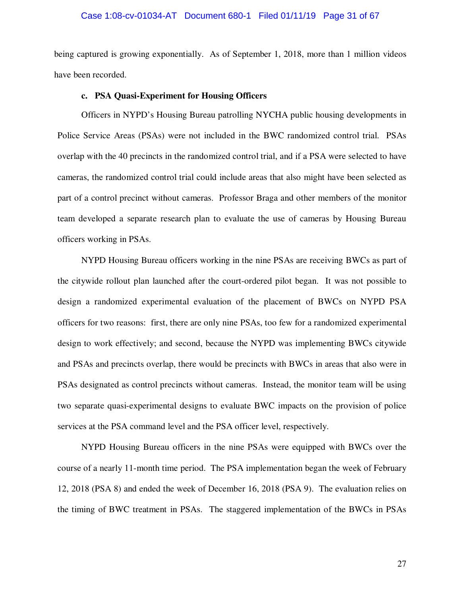#### Case 1:08-cv-01034-AT Document 680-1 Filed 01/11/19 Page 31 of 67

being captured is growing exponentially. As of September 1, 2018, more than 1 million videos have been recorded.

### **c. PSA Quasi-Experiment for Housing Officers**

Officers in NYPD's Housing Bureau patrolling NYCHA public housing developments in Police Service Areas (PSAs) were not included in the BWC randomized control trial. PSAs overlap with the 40 precincts in the randomized control trial, and if a PSA were selected to have cameras, the randomized control trial could include areas that also might have been selected as part of a control precinct without cameras. Professor Braga and other members of the monitor team developed a separate research plan to evaluate the use of cameras by Housing Bureau officers working in PSAs.

NYPD Housing Bureau officers working in the nine PSAs are receiving BWCs as part of the citywide rollout plan launched after the court-ordered pilot began. It was not possible to design a randomized experimental evaluation of the placement of BWCs on NYPD PSA officers for two reasons: first, there are only nine PSAs, too few for a randomized experimental design to work effectively; and second, because the NYPD was implementing BWCs citywide and PSAs and precincts overlap, there would be precincts with BWCs in areas that also were in PSAs designated as control precincts without cameras. Instead, the monitor team will be using two separate quasi-experimental designs to evaluate BWC impacts on the provision of police services at the PSA command level and the PSA officer level, respectively.

NYPD Housing Bureau officers in the nine PSAs were equipped with BWCs over the course of a nearly 11-month time period. The PSA implementation began the week of February 12, 2018 (PSA 8) and ended the week of December 16, 2018 (PSA 9). The evaluation relies on the timing of BWC treatment in PSAs. The staggered implementation of the BWCs in PSAs

27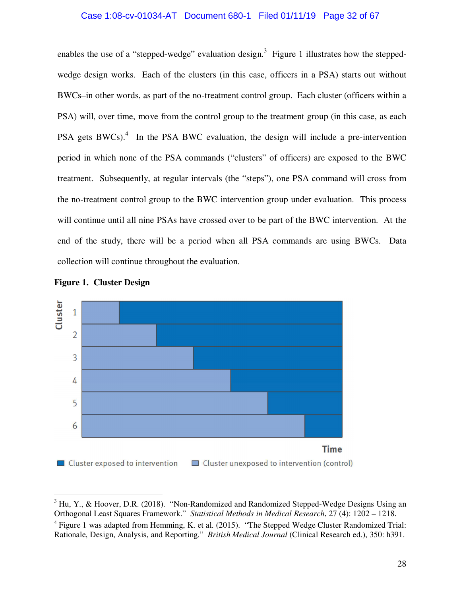#### Case 1:08-cv-01034-AT Document 680-1 Filed 01/11/19 Page 32 of 67

enables the use of a "stepped-wedge" evaluation design.<sup>3</sup> Figure 1 illustrates how the steppedwedge design works. Each of the clusters (in this case, officers in a PSA) starts out without BWCs–in other words, as part of the no-treatment control group. Each cluster (officers within a PSA) will, over time, move from the control group to the treatment group (in this case, as each PSA gets BWCs). $4$  In the PSA BWC evaluation, the design will include a pre-intervention period in which none of the PSA commands ("clusters" of officers) are exposed to the BWC treatment. Subsequently, at regular intervals (the "steps"), one PSA command will cross from the no-treatment control group to the BWC intervention group under evaluation. This process will continue until all nine PSAs have crossed over to be part of the BWC intervention. At the end of the study, there will be a period when all PSA commands are using BWCs. Data collection will continue throughout the evaluation.





l

 $3$  Hu, Y., & Hoover, D.R. (2018). "Non-Randomized and Randomized Stepped-Wedge Designs Using an Orthogonal Least Squares Framework." *Statistical Methods in Medical Research*, 27 (4): 1202 – 1218.

 $4$  Figure 1 was adapted from Hemming, K. et al. (2015). "The Stepped Wedge Cluster Randomized Trial: Rationale, Design, Analysis, and Reporting." *British Medical Journal* (Clinical Research ed.), 350: h391.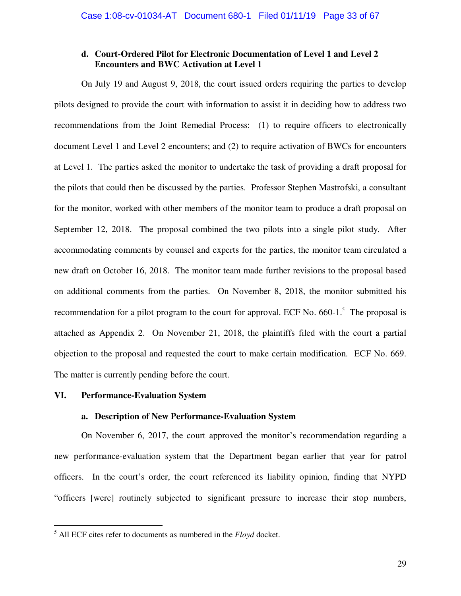# **d. Court-Ordered Pilot for Electronic Documentation of Level 1 and Level 2 Encounters and BWC Activation at Level 1**

On July 19 and August 9, 2018, the court issued orders requiring the parties to develop pilots designed to provide the court with information to assist it in deciding how to address two recommendations from the Joint Remedial Process: (1) to require officers to electronically document Level 1 and Level 2 encounters; and (2) to require activation of BWCs for encounters at Level 1. The parties asked the monitor to undertake the task of providing a draft proposal for the pilots that could then be discussed by the parties. Professor Stephen Mastrofski, a consultant for the monitor, worked with other members of the monitor team to produce a draft proposal on September 12, 2018. The proposal combined the two pilots into a single pilot study. After accommodating comments by counsel and experts for the parties, the monitor team circulated a new draft on October 16, 2018. The monitor team made further revisions to the proposal based on additional comments from the parties. On November 8, 2018, the monitor submitted his recommendation for a pilot program to the court for approval. ECF No.  $660-1$ <sup>5</sup>. The proposal is attached as Appendix 2. On November 21, 2018, the plaintiffs filed with the court a partial objection to the proposal and requested the court to make certain modification. ECF No. 669. The matter is currently pending before the court.

# **VI. Performance-Evaluation System**

-

# **a. Description of New Performance-Evaluation System**

On November 6, 2017, the court approved the monitor's recommendation regarding a new performance-evaluation system that the Department began earlier that year for patrol officers. In the court's order, the court referenced its liability opinion, finding that NYPD "officers [were] routinely subjected to significant pressure to increase their stop numbers,

<sup>5</sup> All ECF cites refer to documents as numbered in the *Floyd* docket.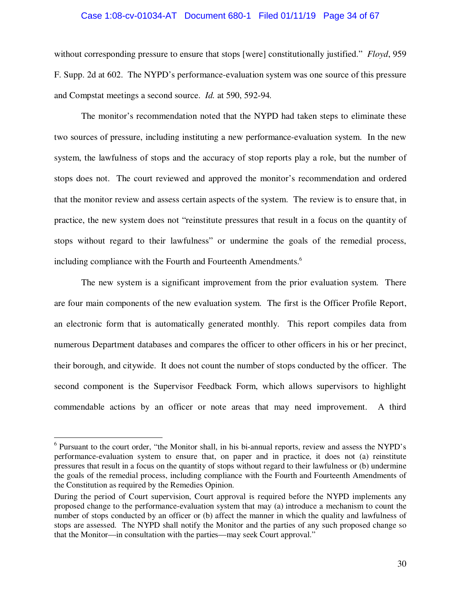#### Case 1:08-cv-01034-AT Document 680-1 Filed 01/11/19 Page 34 of 67

without corresponding pressure to ensure that stops [were] constitutionally justified." *Floyd*, 959 F. Supp. 2d at 602. The NYPD's performance-evaluation system was one source of this pressure and Compstat meetings a second source. *Id.* at 590, 592-94*.*

The monitor's recommendation noted that the NYPD had taken steps to eliminate these two sources of pressure, including instituting a new performance-evaluation system. In the new system, the lawfulness of stops and the accuracy of stop reports play a role, but the number of stops does not. The court reviewed and approved the monitor's recommendation and ordered that the monitor review and assess certain aspects of the system. The review is to ensure that, in practice, the new system does not "reinstitute pressures that result in a focus on the quantity of stops without regard to their lawfulness" or undermine the goals of the remedial process, including compliance with the Fourth and Fourteenth Amendments.<sup>6</sup>

The new system is a significant improvement from the prior evaluation system. There are four main components of the new evaluation system. The first is the Officer Profile Report, an electronic form that is automatically generated monthly. This report compiles data from numerous Department databases and compares the officer to other officers in his or her precinct, their borough, and citywide. It does not count the number of stops conducted by the officer. The second component is the Supervisor Feedback Form, which allows supervisors to highlight commendable actions by an officer or note areas that may need improvement. A third

 $\overline{a}$ 

<sup>&</sup>lt;sup>6</sup> Pursuant to the court order, "the Monitor shall, in his bi-annual reports, review and assess the NYPD's performance-evaluation system to ensure that, on paper and in practice, it does not (a) reinstitute pressures that result in a focus on the quantity of stops without regard to their lawfulness or (b) undermine the goals of the remedial process, including compliance with the Fourth and Fourteenth Amendments of the Constitution as required by the Remedies Opinion.

During the period of Court supervision, Court approval is required before the NYPD implements any proposed change to the performance-evaluation system that may (a) introduce a mechanism to count the number of stops conducted by an officer or (b) affect the manner in which the quality and lawfulness of stops are assessed. The NYPD shall notify the Monitor and the parties of any such proposed change so that the Monitor—in consultation with the parties—may seek Court approval."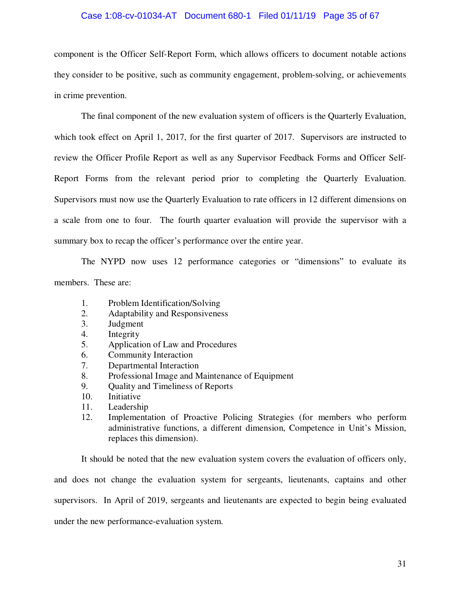#### Case 1:08-cv-01034-AT Document 680-1 Filed 01/11/19 Page 35 of 67

component is the Officer Self-Report Form, which allows officers to document notable actions they consider to be positive, such as community engagement, problem-solving, or achievements in crime prevention.

The final component of the new evaluation system of officers is the Quarterly Evaluation, which took effect on April 1, 2017, for the first quarter of 2017. Supervisors are instructed to review the Officer Profile Report as well as any Supervisor Feedback Forms and Officer Self-Report Forms from the relevant period prior to completing the Quarterly Evaluation. Supervisors must now use the Quarterly Evaluation to rate officers in 12 different dimensions on a scale from one to four. The fourth quarter evaluation will provide the supervisor with a summary box to recap the officer's performance over the entire year.

The NYPD now uses 12 performance categories or "dimensions" to evaluate its members. These are:

- 1. Problem Identification/Solving
- 2. Adaptability and Responsiveness
- 3. Judgment
- 4. Integrity
- 5. Application of Law and Procedures
- 6. Community Interaction
- 7. Departmental Interaction
- 8. Professional Image and Maintenance of Equipment
- 9. Quality and Timeliness of Reports
- 10. Initiative
- 11. Leadership
- 12. Implementation of Proactive Policing Strategies (for members who perform administrative functions, a different dimension, Competence in Unit's Mission, replaces this dimension).

It should be noted that the new evaluation system covers the evaluation of officers only, and does not change the evaluation system for sergeants, lieutenants, captains and other supervisors. In April of 2019, sergeants and lieutenants are expected to begin being evaluated under the new performance-evaluation system.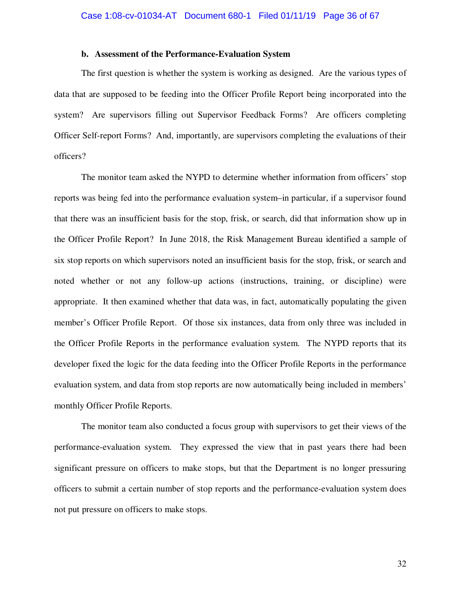## **b. Assessment of the Performance-Evaluation System**

The first question is whether the system is working as designed. Are the various types of data that are supposed to be feeding into the Officer Profile Report being incorporated into the system? Are supervisors filling out Supervisor Feedback Forms? Are officers completing Officer Self-report Forms? And, importantly, are supervisors completing the evaluations of their officers?

The monitor team asked the NYPD to determine whether information from officers' stop reports was being fed into the performance evaluation system–in particular, if a supervisor found that there was an insufficient basis for the stop, frisk, or search, did that information show up in the Officer Profile Report? In June 2018, the Risk Management Bureau identified a sample of six stop reports on which supervisors noted an insufficient basis for the stop, frisk, or search and noted whether or not any follow-up actions (instructions, training, or discipline) were appropriate. It then examined whether that data was, in fact, automatically populating the given member's Officer Profile Report. Of those six instances, data from only three was included in the Officer Profile Reports in the performance evaluation system. The NYPD reports that its developer fixed the logic for the data feeding into the Officer Profile Reports in the performance evaluation system, and data from stop reports are now automatically being included in members' monthly Officer Profile Reports.

The monitor team also conducted a focus group with supervisors to get their views of the performance-evaluation system. They expressed the view that in past years there had been significant pressure on officers to make stops, but that the Department is no longer pressuring officers to submit a certain number of stop reports and the performance-evaluation system does not put pressure on officers to make stops.

32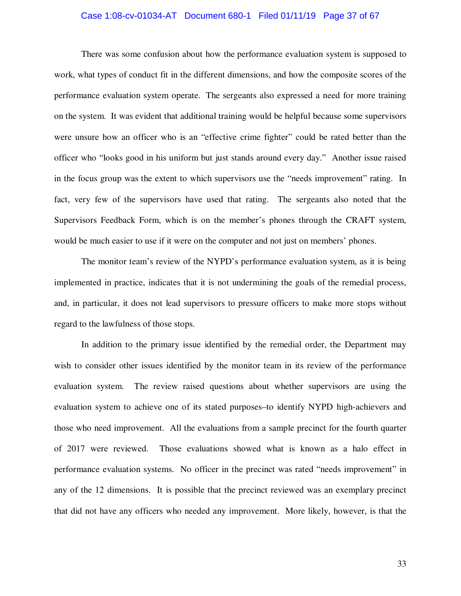#### Case 1:08-cv-01034-AT Document 680-1 Filed 01/11/19 Page 37 of 67

There was some confusion about how the performance evaluation system is supposed to work, what types of conduct fit in the different dimensions, and how the composite scores of the performance evaluation system operate. The sergeants also expressed a need for more training on the system. It was evident that additional training would be helpful because some supervisors were unsure how an officer who is an "effective crime fighter" could be rated better than the officer who "looks good in his uniform but just stands around every day." Another issue raised in the focus group was the extent to which supervisors use the "needs improvement" rating. In fact, very few of the supervisors have used that rating. The sergeants also noted that the Supervisors Feedback Form, which is on the member's phones through the CRAFT system, would be much easier to use if it were on the computer and not just on members' phones.

The monitor team's review of the NYPD's performance evaluation system, as it is being implemented in practice, indicates that it is not undermining the goals of the remedial process, and, in particular, it does not lead supervisors to pressure officers to make more stops without regard to the lawfulness of those stops.

In addition to the primary issue identified by the remedial order, the Department may wish to consider other issues identified by the monitor team in its review of the performance evaluation system. The review raised questions about whether supervisors are using the evaluation system to achieve one of its stated purposes–to identify NYPD high-achievers and those who need improvement. All the evaluations from a sample precinct for the fourth quarter of 2017 were reviewed. Those evaluations showed what is known as a halo effect in performance evaluation systems. No officer in the precinct was rated "needs improvement" in any of the 12 dimensions. It is possible that the precinct reviewed was an exemplary precinct that did not have any officers who needed any improvement. More likely, however, is that the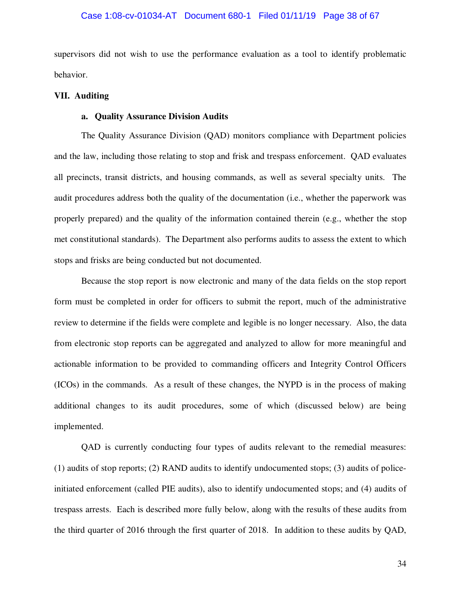supervisors did not wish to use the performance evaluation as a tool to identify problematic behavior.

#### **VII. Auditing**

## **a. Quality Assurance Division Audits**

The Quality Assurance Division (QAD) monitors compliance with Department policies and the law, including those relating to stop and frisk and trespass enforcement. QAD evaluates all precincts, transit districts, and housing commands, as well as several specialty units. The audit procedures address both the quality of the documentation (i.e., whether the paperwork was properly prepared) and the quality of the information contained therein (e.g., whether the stop met constitutional standards). The Department also performs audits to assess the extent to which stops and frisks are being conducted but not documented.

Because the stop report is now electronic and many of the data fields on the stop report form must be completed in order for officers to submit the report, much of the administrative review to determine if the fields were complete and legible is no longer necessary. Also, the data from electronic stop reports can be aggregated and analyzed to allow for more meaningful and actionable information to be provided to commanding officers and Integrity Control Officers (ICOs) in the commands. As a result of these changes, the NYPD is in the process of making additional changes to its audit procedures, some of which (discussed below) are being implemented.

QAD is currently conducting four types of audits relevant to the remedial measures: (1) audits of stop reports; (2) RAND audits to identify undocumented stops; (3) audits of policeinitiated enforcement (called PIE audits), also to identify undocumented stops; and (4) audits of trespass arrests. Each is described more fully below, along with the results of these audits from the third quarter of 2016 through the first quarter of 2018. In addition to these audits by QAD,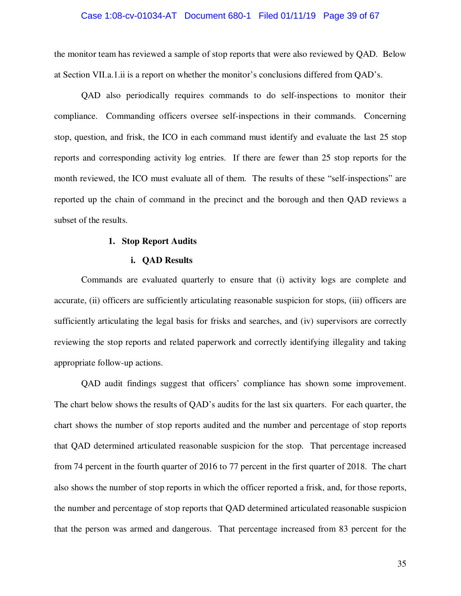#### Case 1:08-cv-01034-AT Document 680-1 Filed 01/11/19 Page 39 of 67

the monitor team has reviewed a sample of stop reports that were also reviewed by QAD. Below at Section VII.a.1.ii is a report on whether the monitor's conclusions differed from QAD's.

QAD also periodically requires commands to do self-inspections to monitor their compliance. Commanding officers oversee self-inspections in their commands. Concerning stop, question, and frisk, the ICO in each command must identify and evaluate the last 25 stop reports and corresponding activity log entries. If there are fewer than 25 stop reports for the month reviewed, the ICO must evaluate all of them. The results of these "self-inspections" are reported up the chain of command in the precinct and the borough and then QAD reviews a subset of the results.

#### **1. Stop Report Audits**

#### **i. QAD Results**

Commands are evaluated quarterly to ensure that (i) activity logs are complete and accurate, (ii) officers are sufficiently articulating reasonable suspicion for stops, (iii) officers are sufficiently articulating the legal basis for frisks and searches, and (iv) supervisors are correctly reviewing the stop reports and related paperwork and correctly identifying illegality and taking appropriate follow-up actions.

QAD audit findings suggest that officers' compliance has shown some improvement. The chart below shows the results of QAD's audits for the last six quarters. For each quarter, the chart shows the number of stop reports audited and the number and percentage of stop reports that QAD determined articulated reasonable suspicion for the stop. That percentage increased from 74 percent in the fourth quarter of 2016 to 77 percent in the first quarter of 2018. The chart also shows the number of stop reports in which the officer reported a frisk, and, for those reports, the number and percentage of stop reports that QAD determined articulated reasonable suspicion that the person was armed and dangerous. That percentage increased from 83 percent for the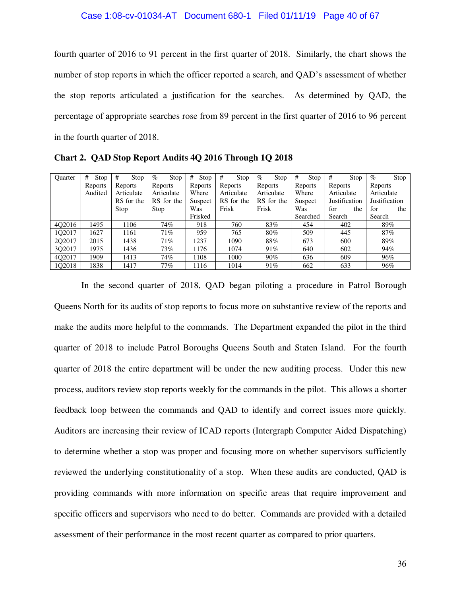fourth quarter of 2016 to 91 percent in the first quarter of 2018. Similarly, the chart shows the number of stop reports in which the officer reported a search, and QAD's assessment of whether the stop reports articulated a justification for the searches. As determined by QAD, the percentage of appropriate searches rose from 89 percent in the first quarter of 2016 to 96 percent in the fourth quarter of 2018.

| <b>Ouarter</b> | #<br>Stop | #<br>Stop  | $\%$<br>Stop | #<br>Stop | #<br>Stop  | $\%$<br>Stop | #<br>Stop | #<br>Stop     | $\%$<br>Stop         |
|----------------|-----------|------------|--------------|-----------|------------|--------------|-----------|---------------|----------------------|
|                | Reports   | Reports    | Reports      | Reports   | Reports    | Reports      | Reports   | Reports       | Reports              |
|                | Audited   | Articulate | Articulate   | Where     | Articulate | Articulate   | Where     | Articulate    | Articulate           |
|                |           | RS for the | RS for the   | Suspect   | RS for the | RS for the   | Suspect   | Justification | <b>Justification</b> |
|                |           | Stop       | Stop         | Was       | Frisk      | Frisk        | Was       | for<br>the    | for<br>the           |
|                |           |            |              | Frisked   |            |              | Searched  | Search        | Search               |
| 402016         | 1495      | 1106       | 74%          | 918       | 760        | 83%          | 454       | 402           | 89%                  |
| 102017         | 1627      | 1161       | 71%          | 959       | 765        | 80%          | 509       | 445           | 87%                  |
| 202017         | 2015      | 1438       | 71%          | 1237      | 1090       | 88%          | 673       | 600           | 89%                  |
| 302017         | 1975      | 1436       | 73%          | 1176      | 1074       | 91%          | 640       | 602           | 94%                  |
| 4Q2017         | 1909      | 1413       | 74%          | 1108      | 1000       | 90%          | 636       | 609           | 96%                  |
| 102018         | 1838      | 1417       | 77%          | 1116      | 1014       | 91%          | 662       | 633           | 96%                  |

**Chart 2. QAD Stop Report Audits 4Q 2016 Through 1Q 2018** 

In the second quarter of 2018, QAD began piloting a procedure in Patrol Borough Queens North for its audits of stop reports to focus more on substantive review of the reports and make the audits more helpful to the commands. The Department expanded the pilot in the third quarter of 2018 to include Patrol Boroughs Queens South and Staten Island. For the fourth quarter of 2018 the entire department will be under the new auditing process. Under this new process, auditors review stop reports weekly for the commands in the pilot. This allows a shorter feedback loop between the commands and QAD to identify and correct issues more quickly. Auditors are increasing their review of ICAD reports (Intergraph Computer Aided Dispatching) to determine whether a stop was proper and focusing more on whether supervisors sufficiently reviewed the underlying constitutionality of a stop. When these audits are conducted, QAD is providing commands with more information on specific areas that require improvement and specific officers and supervisors who need to do better. Commands are provided with a detailed assessment of their performance in the most recent quarter as compared to prior quarters.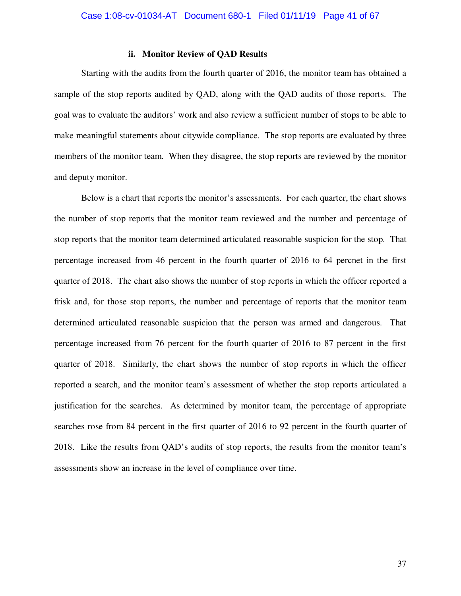#### **ii. Monitor Review of QAD Results**

Starting with the audits from the fourth quarter of 2016, the monitor team has obtained a sample of the stop reports audited by QAD, along with the QAD audits of those reports. The goal was to evaluate the auditors' work and also review a sufficient number of stops to be able to make meaningful statements about citywide compliance. The stop reports are evaluated by three members of the monitor team. When they disagree, the stop reports are reviewed by the monitor and deputy monitor.

Below is a chart that reports the monitor's assessments. For each quarter, the chart shows the number of stop reports that the monitor team reviewed and the number and percentage of stop reports that the monitor team determined articulated reasonable suspicion for the stop. That percentage increased from 46 percent in the fourth quarter of 2016 to 64 percnet in the first quarter of 2018. The chart also shows the number of stop reports in which the officer reported a frisk and, for those stop reports, the number and percentage of reports that the monitor team determined articulated reasonable suspicion that the person was armed and dangerous. That percentage increased from 76 percent for the fourth quarter of 2016 to 87 percent in the first quarter of 2018. Similarly, the chart shows the number of stop reports in which the officer reported a search, and the monitor team's assessment of whether the stop reports articulated a justification for the searches. As determined by monitor team, the percentage of appropriate searches rose from 84 percent in the first quarter of 2016 to 92 percent in the fourth quarter of 2018. Like the results from QAD's audits of stop reports, the results from the monitor team's assessments show an increase in the level of compliance over time.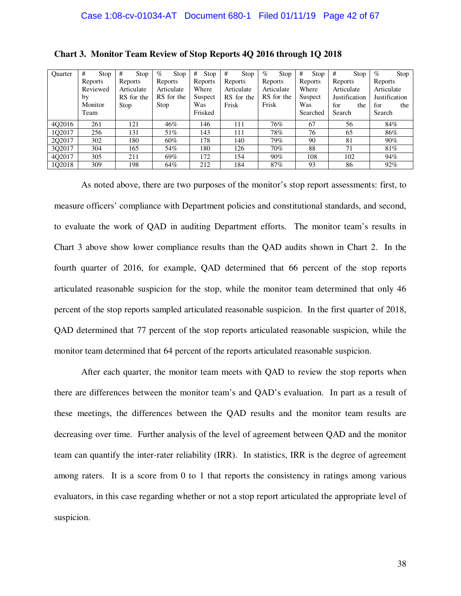| Quarter | #<br>Stop | #<br>Stop  | $\%$<br>Stop | #<br>Stop | #<br>Stop  | $\%$<br>Stop | #<br>Stop | #<br>Stop     | $\%$<br>Stop  |
|---------|-----------|------------|--------------|-----------|------------|--------------|-----------|---------------|---------------|
|         | Reports   | Reports    | Reports      | Reports   | Reports    | Reports      | Reports   | Reports       | Reports       |
|         | Reviewed  | Articulate | Articulate   | Where     | Articulate | Articulate   | Where     | Articulate    | Articulate    |
|         | by        | RS for the | RS for the   | Suspect   | RS for the | RS for the   | Suspect   | Justification | Justification |
|         | Monitor   | Stop       | Stop         | Was       | Frisk      | Frisk        | Was       | for<br>the    | for<br>the    |
|         | Team      |            |              | Frisked   |            |              | Searched  | Search        | Search        |
| 402016  | 261       | 121        | 46%          | 146       | 111        | 76%          | 67        | 56            | 84%           |
| 102017  | 256       | 131        | 51%          | 143       | 111        | 78%          | 76        | 65            | 86%           |
| 202017  | 302       | 180        | 60%          | 178       | 140        | 79%          | 90        | 81            | $90\%$        |
| 3Q2017  | 304       | 165        | 54%          | 180       | 126        | 70%          | 88        | 71            | 81%           |
| 4Q2017  | 305       | 211        | 69%          | 172       | 154        | 90%          | 108       | 102           | 94%           |
| 1Q2018  | 309       | 198        | 64%          | 212       | 184        | 87%          | 93        | 86            | 92%           |

| Chart 3. Monitor Team Review of Stop Reports 4Q 2016 through 1Q 2018 |  |  |
|----------------------------------------------------------------------|--|--|
|----------------------------------------------------------------------|--|--|

As noted above, there are two purposes of the monitor's stop report assessments: first, to measure officers' compliance with Department policies and constitutional standards, and second, to evaluate the work of QAD in auditing Department efforts. The monitor team's results in Chart 3 above show lower compliance results than the QAD audits shown in Chart 2. In the fourth quarter of 2016, for example, QAD determined that 66 percent of the stop reports articulated reasonable suspicion for the stop, while the monitor team determined that only 46 percent of the stop reports sampled articulated reasonable suspicion. In the first quarter of 2018, QAD determined that 77 percent of the stop reports articulated reasonable suspicion, while the monitor team determined that 64 percent of the reports articulated reasonable suspicion.

After each quarter, the monitor team meets with QAD to review the stop reports when there are differences between the monitor team's and QAD's evaluation. In part as a result of these meetings, the differences between the QAD results and the monitor team results are decreasing over time. Further analysis of the level of agreement between QAD and the monitor team can quantify the inter-rater reliability (IRR). In statistics, IRR is the degree of agreement among raters. It is a score from 0 to 1 that reports the consistency in ratings among various evaluators, in this case regarding whether or not a stop report articulated the appropriate level of suspicion.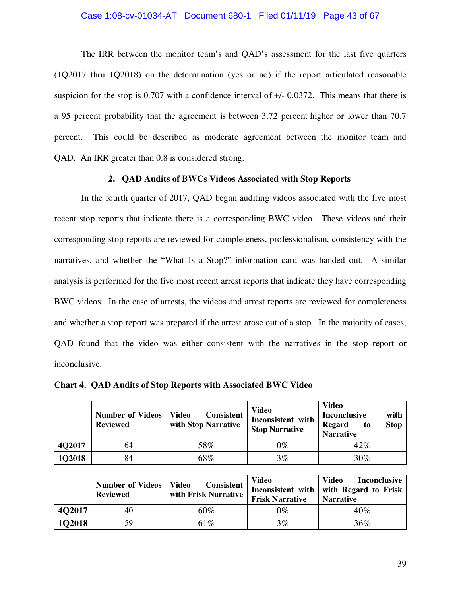## Case 1:08-cv-01034-AT Document 680-1 Filed 01/11/19 Page 43 of 67

The IRR between the monitor team's and QAD's assessment for the last five quarters (1Q2017 thru 1Q2018) on the determination (yes or no) if the report articulated reasonable suspicion for the stop is 0.707 with a confidence interval of +/- 0.0372. This means that there is a 95 percent probability that the agreement is between 3.72 percent higher or lower than 70.7 percent. This could be described as moderate agreement between the monitor team and QAD. An IRR greater than 0.8 is considered strong.

#### **2. QAD Audits of BWCs Videos Associated with Stop Reports**

In the fourth quarter of 2017, QAD began auditing videos associated with the five most recent stop reports that indicate there is a corresponding BWC video. These videos and their corresponding stop reports are reviewed for completeness, professionalism, consistency with the narratives, and whether the "What Is a Stop?" information card was handed out. A similar analysis is performed for the five most recent arrest reports that indicate they have corresponding BWC videos. In the case of arrests, the videos and arrest reports are reviewed for completeness and whether a stop report was prepared if the arrest arose out of a stop. In the majority of cases, QAD found that the video was either consistent with the narratives in the stop report or inconclusive.

|        | <b>Number of Videos</b><br><b>Reviewed</b> | <b>Consistent</b><br><b>Video</b><br>with Stop Narrative | <b>Video</b><br>Inconsistent with<br><b>Stop Narrative</b> | <b>Video</b><br><b>Inconclusive</b><br>with<br><b>Stop</b><br><b>Regard</b><br>to<br><b>Narrative</b> |
|--------|--------------------------------------------|----------------------------------------------------------|------------------------------------------------------------|-------------------------------------------------------------------------------------------------------|
| 4Q2017 | 64                                         | 58%                                                      | $0\%$                                                      | 42%                                                                                                   |
| 1Q2018 | 84                                         | 68%                                                      | $3\%$                                                      | $30\%$                                                                                                |

**Chart 4. QAD Audits of Stop Reports with Associated BWC Video** 

|               | <b>Number of Videos</b><br><b>Reviewed</b> | <b>Consistent</b><br><b>Video</b><br>with Frisk Narrative | <b>Video</b><br><b>Frisk Narrative</b> | Video<br><b>Inconclusive</b><br>Inconsistent with with Regard to Frisk<br><b>Narrative</b> |
|---------------|--------------------------------------------|-----------------------------------------------------------|----------------------------------------|--------------------------------------------------------------------------------------------|
| <b>4Q2017</b> | 40                                         | 60%                                                       | 0%                                     | 40%                                                                                        |
| <b>1Q2018</b> | 59                                         | 61%                                                       | $3\%$                                  | $36\%$                                                                                     |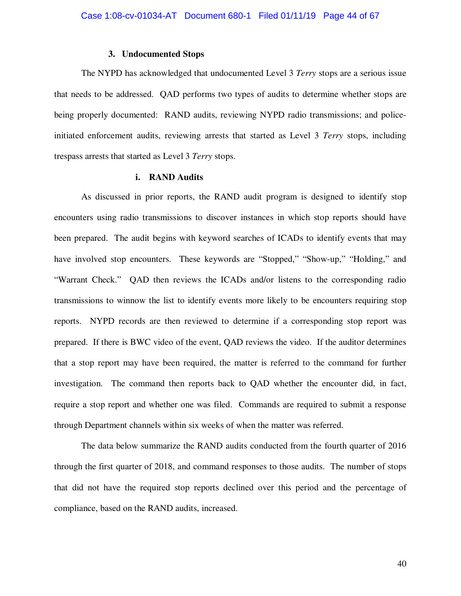#### **3. Undocumented Stops**

The NYPD has acknowledged that undocumented Level 3 *Terry* stops are a serious issue that needs to be addressed. QAD performs two types of audits to determine whether stops are being properly documented: RAND audits, reviewing NYPD radio transmissions; and policeinitiated enforcement audits, reviewing arrests that started as Level 3 *Terry* stops, including trespass arrests that started as Level 3 *Terry* stops.

#### **i. RAND Audits**

As discussed in prior reports, the RAND audit program is designed to identify stop encounters using radio transmissions to discover instances in which stop reports should have been prepared. The audit begins with keyword searches of ICADs to identify events that may have involved stop encounters. These keywords are "Stopped," "Show-up," "Holding," and "Warrant Check." QAD then reviews the ICADs and/or listens to the corresponding radio transmissions to winnow the list to identify events more likely to be encounters requiring stop reports. NYPD records are then reviewed to determine if a corresponding stop report was prepared. If there is BWC video of the event, QAD reviews the video. If the auditor determines that a stop report may have been required, the matter is referred to the command for further investigation. The command then reports back to QAD whether the encounter did, in fact, require a stop report and whether one was filed. Commands are required to submit a response through Department channels within six weeks of when the matter was referred.

The data below summarize the RAND audits conducted from the fourth quarter of 2016 through the first quarter of 2018, and command responses to those audits. The number of stops that did not have the required stop reports declined over this period and the percentage of compliance, based on the RAND audits, increased.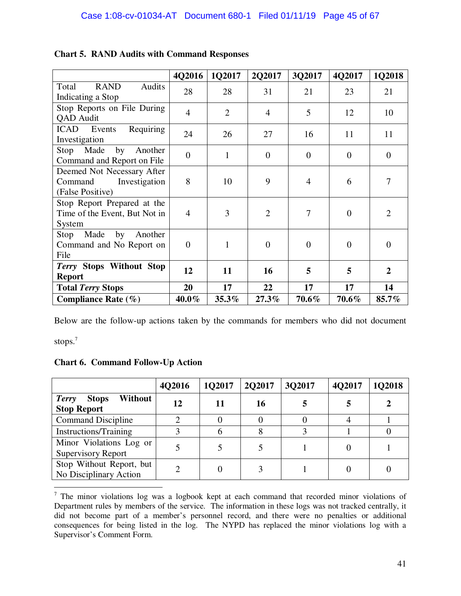|                                                                            | 4Q2016           | 1Q2017         | 2Q2017         | 3Q2017         | 4Q2017         | 1Q2018         |
|----------------------------------------------------------------------------|------------------|----------------|----------------|----------------|----------------|----------------|
| Audits<br><b>RAND</b><br>Total<br>Indicating a Stop                        | 28               | 28             | 31             | 21             | 23             | 21             |
| Stop Reports on File During<br>QAD Audit                                   | $\overline{4}$   | $\overline{2}$ | $\overline{4}$ | 5              | 12             | 10             |
| Requiring<br><b>ICAD</b> Events<br>Investigation                           | 24               | 26             | 27             | 16             | 11             | 11             |
| Made<br>by<br>Stop<br>Another<br>Command and Report on File                | $\boldsymbol{0}$ | 1              | $\theta$       | $\Omega$       | $\theta$       | $\theta$       |
| Deemed Not Necessary After<br>Investigation<br>Command<br>(False Positive) | 8                | 10             | 9              | $\overline{4}$ | 6              | 7              |
| Stop Report Prepared at the<br>Time of the Event, But Not in<br>System     | $\overline{4}$   | 3              | $\overline{2}$ | 7              | $\overline{0}$ | $\overline{2}$ |
| Made<br>by<br>Stop<br>Another<br>Command and No Report on<br>File          | $\boldsymbol{0}$ | $\mathbf{1}$   | $\overline{0}$ | $\theta$       | $\overline{0}$ | $\overline{0}$ |
| Terry Stops Without Stop<br><b>Report</b>                                  | 12               | 11             | 16             | 5              | 5              | $\overline{2}$ |
| <b>Total Terry Stops</b>                                                   | 20               | 17             | 22             | 17             | 17             | 14             |
| Compliance Rate $(\% )$                                                    | $40.0\%$         | $35.3\%$       | 27.3%          | 70.6%          | 70.6%          | 85.7%          |

## **Chart 5. RAND Audits with Command Responses**

Below are the follow-up actions taken by the commands for members who did not document

stops.<sup>7</sup>

**Chart 6. Command Follow-Up Action** 

|                                                               | 4Q2016 | 1Q2017 | 2Q2017 | 3Q2017 | 4Q2017 | 1Q2018 |
|---------------------------------------------------------------|--------|--------|--------|--------|--------|--------|
| Without<br><b>Terry</b><br><b>Stops</b><br><b>Stop Report</b> | 12     | 11     | 16     |        |        |        |
| <b>Command Discipline</b>                                     | ◠      |        |        |        |        |        |
| <b>Instructions/Training</b>                                  |        |        |        |        |        |        |
| Minor Violations Log or<br><b>Supervisory Report</b>          |        |        |        |        |        |        |
| Stop Without Report, but<br>No Disciplinary Action            |        |        |        |        |        |        |

<sup>&</sup>lt;sup>7</sup> The minor violations log was a logbook kept at each command that recorded minor violations of Department rules by members of the service. The information in these logs was not tracked centrally, it did not become part of a member's personnel record, and there were no penalties or additional consequences for being listed in the log. The NYPD has replaced the minor violations log with a Supervisor's Comment Form.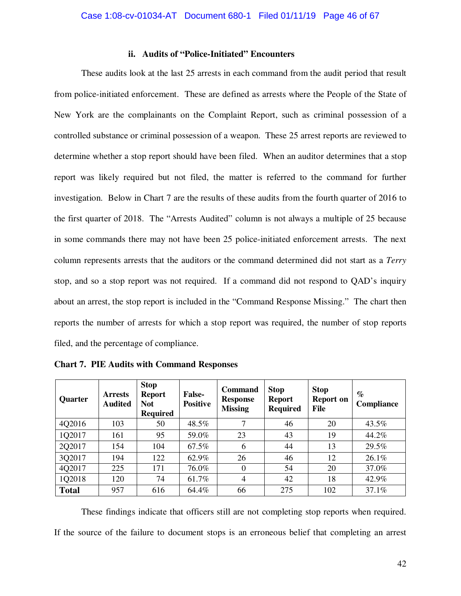#### **ii. Audits of "Police-Initiated" Encounters**

These audits look at the last 25 arrests in each command from the audit period that result from police-initiated enforcement. These are defined as arrests where the People of the State of New York are the complainants on the Complaint Report, such as criminal possession of a controlled substance or criminal possession of a weapon. These 25 arrest reports are reviewed to determine whether a stop report should have been filed. When an auditor determines that a stop report was likely required but not filed, the matter is referred to the command for further investigation. Below in Chart 7 are the results of these audits from the fourth quarter of 2016 to the first quarter of 2018. The "Arrests Audited" column is not always a multiple of 25 because in some commands there may not have been 25 police-initiated enforcement arrests. The next column represents arrests that the auditors or the command determined did not start as a *Terry*  stop, and so a stop report was not required. If a command did not respond to QAD's inquiry about an arrest, the stop report is included in the "Command Response Missing." The chart then reports the number of arrests for which a stop report was required, the number of stop reports filed, and the percentage of compliance.

| Quarter      | <b>Arrests</b><br><b>Audited</b> | <b>Stop</b><br><b>Report</b><br><b>Not</b><br><b>Required</b> | <b>False-</b><br><b>Positive</b> | Command<br><b>Response</b><br><b>Missing</b> | <b>Stop</b><br><b>Report</b><br><b>Required</b> | <b>Stop</b><br><b>Report on</b><br>File | $\%$<br><b>Compliance</b> |
|--------------|----------------------------------|---------------------------------------------------------------|----------------------------------|----------------------------------------------|-------------------------------------------------|-----------------------------------------|---------------------------|
| 4Q2016       | 103                              | 50                                                            | 48.5%                            | 7                                            | 46                                              | 20                                      | 43.5%                     |
| 1Q2017       | 161                              | 95                                                            | 59.0%                            | 23                                           | 43                                              | 19                                      | 44.2%                     |
| 2Q2017       | 154                              | 104                                                           | 67.5%                            | 6                                            | 44                                              | 13                                      | 29.5%                     |
| 3Q2017       | 194                              | 122                                                           | 62.9%                            | 26                                           | 46                                              | 12                                      | 26.1%                     |
| 4Q2017       | 225                              | 171                                                           | 76.0%                            | $\theta$                                     | 54                                              | 20                                      | 37.0%                     |
| 1Q2018       | 120                              | 74                                                            | 61.7%                            | 4                                            | 42                                              | 18                                      | 42.9%                     |
| <b>Total</b> | 957                              | 616                                                           | 64.4%                            | 66                                           | 275                                             | 102                                     | 37.1%                     |

**Chart 7. PIE Audits with Command Responses** 

These findings indicate that officers still are not completing stop reports when required. If the source of the failure to document stops is an erroneous belief that completing an arrest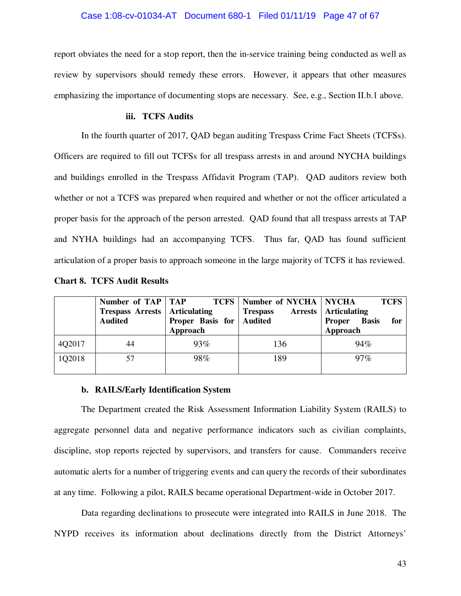report obviates the need for a stop report, then the in-service training being conducted as well as review by supervisors should remedy these errors. However, it appears that other measures emphasizing the importance of documenting stops are necessary. See, e.g., Section II.b.1 above.

#### **iii. TCFS Audits**

In the fourth quarter of 2017, QAD began auditing Trespass Crime Fact Sheets (TCFSs). Officers are required to fill out TCFSs for all trespass arrests in and around NYCHA buildings and buildings enrolled in the Trespass Affidavit Program (TAP). QAD auditors review both whether or not a TCFS was prepared when required and whether or not the officer articulated a proper basis for the approach of the person arrested. QAD found that all trespass arrests at TAP and NYHA buildings had an accompanying TCFS. Thus far, QAD has found sufficient articulation of a proper basis to approach someone in the large majority of TCFS it has reviewed.

|        | Number of TAP   TAP<br><b>Trespass Arrests   Articulating</b><br><b>Audited</b> | <b>Proper Basis for Audited</b><br>Approach | <b>TCFS</b>   Number of NYCHA   NYCHA<br><b>Trespass</b> | <b>TCFS</b><br><b>Arrests</b>   Articulating<br>Proper Basis<br>for<br>Approach |
|--------|---------------------------------------------------------------------------------|---------------------------------------------|----------------------------------------------------------|---------------------------------------------------------------------------------|
| 4Q2017 | 44                                                                              | 93%                                         | 136                                                      | 94%                                                                             |
| 1Q2018 | 57                                                                              | 98%                                         | 189                                                      | $97\%$                                                                          |

| <b>Chart 8. TCFS Audit Results</b> |  |
|------------------------------------|--|
|------------------------------------|--|

#### **b. RAILS/Early Identification System**

The Department created the Risk Assessment Information Liability System (RAILS) to aggregate personnel data and negative performance indicators such as civilian complaints, discipline, stop reports rejected by supervisors, and transfers for cause. Commanders receive automatic alerts for a number of triggering events and can query the records of their subordinates at any time. Following a pilot, RAILS became operational Department-wide in October 2017.

Data regarding declinations to prosecute were integrated into RAILS in June 2018. The NYPD receives its information about declinations directly from the District Attorneys'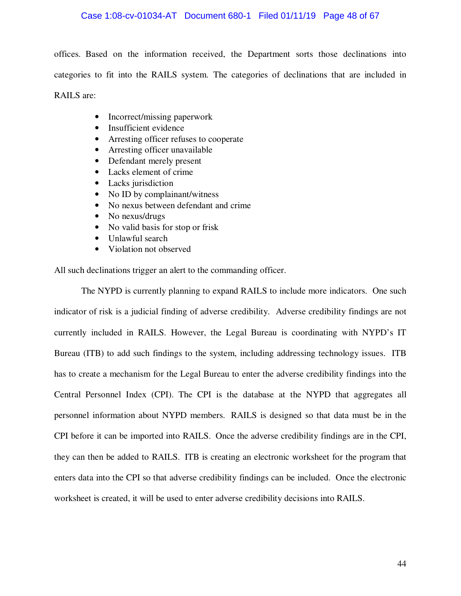#### Case 1:08-cv-01034-AT Document 680-1 Filed 01/11/19 Page 48 of 67

offices. Based on the information received, the Department sorts those declinations into categories to fit into the RAILS system. The categories of declinations that are included in RAILS are:

- Incorrect/missing paperwork
- Insufficient evidence
- Arresting officer refuses to cooperate
- Arresting officer unavailable
- Defendant merely present
- Lacks element of crime
- Lacks jurisdiction
- No ID by complainant/witness
- No nexus between defendant and crime
- No nexus/drugs
- No valid basis for stop or frisk
- Unlawful search
- Violation not observed

All such declinations trigger an alert to the commanding officer.

The NYPD is currently planning to expand RAILS to include more indicators. One such indicator of risk is a judicial finding of adverse credibility. Adverse credibility findings are not currently included in RAILS. However, the Legal Bureau is coordinating with NYPD's IT Bureau (ITB) to add such findings to the system, including addressing technology issues. ITB has to create a mechanism for the Legal Bureau to enter the adverse credibility findings into the Central Personnel Index (CPI). The CPI is the database at the NYPD that aggregates all personnel information about NYPD members. RAILS is designed so that data must be in the CPI before it can be imported into RAILS. Once the adverse credibility findings are in the CPI, they can then be added to RAILS. ITB is creating an electronic worksheet for the program that enters data into the CPI so that adverse credibility findings can be included. Once the electronic worksheet is created, it will be used to enter adverse credibility decisions into RAILS.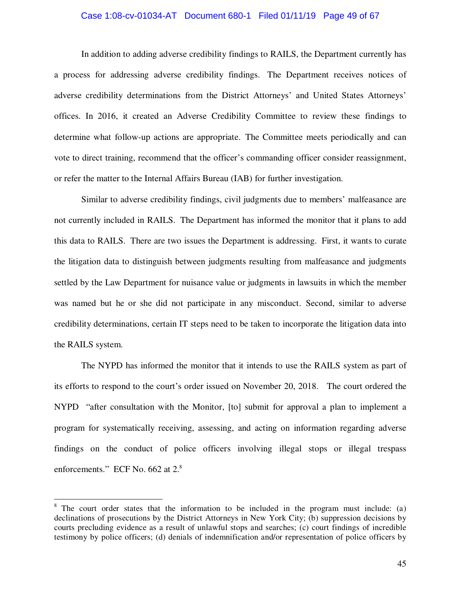#### Case 1:08-cv-01034-AT Document 680-1 Filed 01/11/19 Page 49 of 67

In addition to adding adverse credibility findings to RAILS, the Department currently has a process for addressing adverse credibility findings. The Department receives notices of adverse credibility determinations from the District Attorneys' and United States Attorneys' offices. In 2016, it created an Adverse Credibility Committee to review these findings to determine what follow-up actions are appropriate. The Committee meets periodically and can vote to direct training, recommend that the officer's commanding officer consider reassignment, or refer the matter to the Internal Affairs Bureau (IAB) for further investigation.

Similar to adverse credibility findings, civil judgments due to members' malfeasance are not currently included in RAILS. The Department has informed the monitor that it plans to add this data to RAILS. There are two issues the Department is addressing. First, it wants to curate the litigation data to distinguish between judgments resulting from malfeasance and judgments settled by the Law Department for nuisance value or judgments in lawsuits in which the member was named but he or she did not participate in any misconduct. Second, similar to adverse credibility determinations, certain IT steps need to be taken to incorporate the litigation data into the RAILS system.

The NYPD has informed the monitor that it intends to use the RAILS system as part of its efforts to respond to the court's order issued on November 20, 2018. The court ordered the NYPD "after consultation with the Monitor, [to] submit for approval a plan to implement a program for systematically receiving, assessing, and acting on information regarding adverse findings on the conduct of police officers involving illegal stops or illegal trespass enforcements." ECF No. 662 at  $2.\textsuperscript{8}$ 

-

<sup>&</sup>lt;sup>8</sup> The court order states that the information to be included in the program must include: (a) declinations of prosecutions by the District Attorneys in New York City; (b) suppression decisions by courts precluding evidence as a result of unlawful stops and searches; (c) court findings of incredible testimony by police officers; (d) denials of indemnification and/or representation of police officers by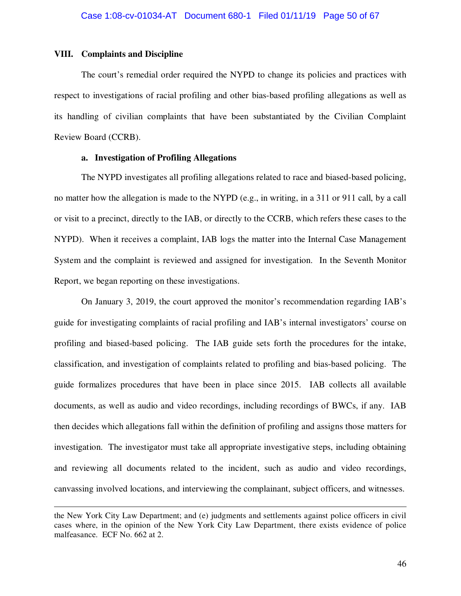#### **VIII. Complaints and Discipline**

 $\overline{a}$ 

The court's remedial order required the NYPD to change its policies and practices with respect to investigations of racial profiling and other bias-based profiling allegations as well as its handling of civilian complaints that have been substantiated by the Civilian Complaint Review Board (CCRB).

#### **a. Investigation of Profiling Allegations**

The NYPD investigates all profiling allegations related to race and biased-based policing, no matter how the allegation is made to the NYPD (e.g., in writing, in a 311 or 911 call, by a call or visit to a precinct, directly to the IAB, or directly to the CCRB, which refers these cases to the NYPD). When it receives a complaint, IAB logs the matter into the Internal Case Management System and the complaint is reviewed and assigned for investigation. In the Seventh Monitor Report, we began reporting on these investigations.

On January 3, 2019, the court approved the monitor's recommendation regarding IAB's guide for investigating complaints of racial profiling and IAB's internal investigators' course on profiling and biased-based policing. The IAB guide sets forth the procedures for the intake, classification, and investigation of complaints related to profiling and bias-based policing. The guide formalizes procedures that have been in place since 2015. IAB collects all available documents, as well as audio and video recordings, including recordings of BWCs, if any. IAB then decides which allegations fall within the definition of profiling and assigns those matters for investigation. The investigator must take all appropriate investigative steps, including obtaining and reviewing all documents related to the incident, such as audio and video recordings, canvassing involved locations, and interviewing the complainant, subject officers, and witnesses.

the New York City Law Department; and (e) judgments and settlements against police officers in civil cases where, in the opinion of the New York City Law Department, there exists evidence of police malfeasance. ECF No. 662 at 2.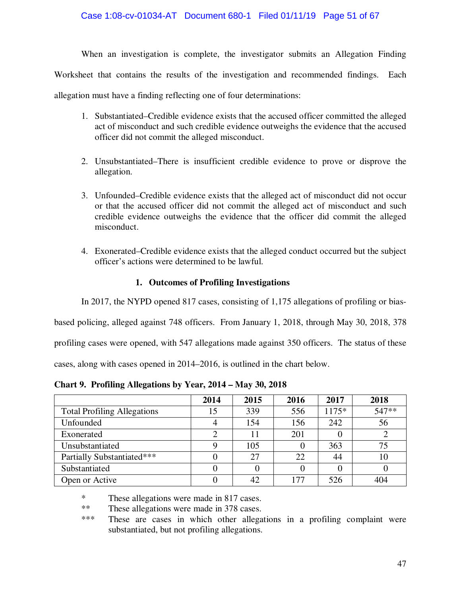When an investigation is complete, the investigator submits an Allegation Finding Worksheet that contains the results of the investigation and recommended findings. Each allegation must have a finding reflecting one of four determinations:

- 1. Substantiated–Credible evidence exists that the accused officer committed the alleged act of misconduct and such credible evidence outweighs the evidence that the accused officer did not commit the alleged misconduct.
- 2. Unsubstantiated–There is insufficient credible evidence to prove or disprove the allegation.
- 3. Unfounded–Credible evidence exists that the alleged act of misconduct did not occur or that the accused officer did not commit the alleged act of misconduct and such credible evidence outweighs the evidence that the officer did commit the alleged misconduct.
- 4. Exonerated–Credible evidence exists that the alleged conduct occurred but the subject officer's actions were determined to be lawful.

## **1. Outcomes of Profiling Investigations**

In 2017, the NYPD opened 817 cases, consisting of 1,175 allegations of profiling or bias-

based policing, alleged against 748 officers. From January 1, 2018, through May 30, 2018, 378

profiling cases were opened, with 547 allegations made against 350 officers. The status of these

cases, along with cases opened in 2014–2016, is outlined in the chart below.

|                                    | 2014 | 2015 | 2016 | 2017    | 2018  |
|------------------------------------|------|------|------|---------|-------|
| <b>Total Profiling Allegations</b> | 15   | 339  | 556  | $1175*$ | 547** |
| Unfounded                          |      | 154  | 156  | 242     | 56    |
| Exonerated                         | ◠    |      | 201  |         |       |
| Unsubstantiated                    |      | 105  |      | 363     | 75    |
| Partially Substantiated***         |      | 27   | 22   | 44      | 10    |
| Substantiated                      |      |      |      |         |       |
| Open or Active                     |      | 42   | 177  | 526     | 404   |

**Chart 9. Profiling Allegations by Year, 2014 – May 30, 2018** 

\* These allegations were made in 817 cases.

\*\* These allegations were made in 378 cases.<br>\*\*\* These are cases in which other allega

These are cases in which other allegations in a profiling complaint were substantiated, but not profiling allegations.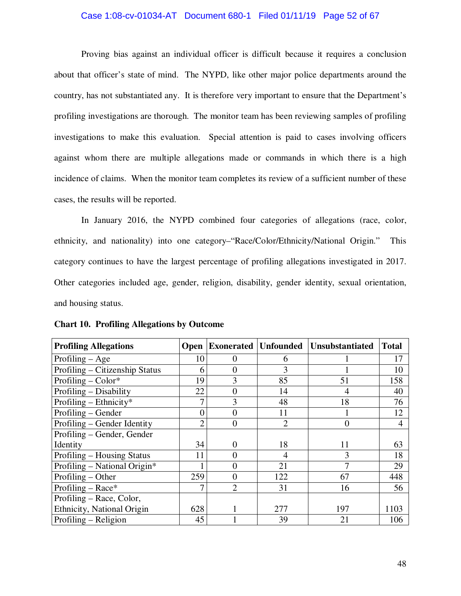#### Case 1:08-cv-01034-AT Document 680-1 Filed 01/11/19 Page 52 of 67

Proving bias against an individual officer is difficult because it requires a conclusion about that officer's state of mind. The NYPD, like other major police departments around the country, has not substantiated any. It is therefore very important to ensure that the Department's profiling investigations are thorough. The monitor team has been reviewing samples of profiling investigations to make this evaluation. Special attention is paid to cases involving officers against whom there are multiple allegations made or commands in which there is a high incidence of claims. When the monitor team completes its review of a sufficient number of these cases, the results will be reported.

In January 2016, the NYPD combined four categories of allegations (race, color, ethnicity, and nationality) into one category–"Race/Color/Ethnicity/National Origin." This category continues to have the largest percentage of profiling allegations investigated in 2017. Other categories included age, gender, religion, disability, gender identity, sexual orientation, and housing status.

| <b>Profiling Allegations</b>   | <b>Open</b> | <b>Exonerated Unfounded</b> |                | Unsubstantiated | <b>Total</b> |
|--------------------------------|-------------|-----------------------------|----------------|-----------------|--------------|
| Profiling $-$ Age              | 10          | $\Omega$                    | 6              |                 | 17           |
| Profiling – Citizenship Status | 6           | $\overline{0}$              | 3              |                 | 10           |
| Profiling $-$ Color*           | 19          | 3                           | 85             | 51              | 158          |
| Profiling – Disability         | 22          | $\overline{0}$              | 14             | 4               | 40           |
| Profiling – Ethnicity*         |             | 3                           | 48             | 18              | 76           |
| Profiling – Gender             | $\theta$    | $\overline{0}$              | 11             |                 | 12           |
| Profiling – Gender Identity    | 2           | $\overline{0}$              | $\overline{2}$ | $\theta$        | 4            |
| Profiling – Gender, Gender     |             |                             |                |                 |              |
| Identity                       | 34          | 0                           | 18             | 11              | 63           |
| Profiling – Housing Status     | 11          | $\theta$                    | 4              | 3               | 18           |
| Profiling – National Origin*   |             | $\overline{0}$              | 21             | 7               | 29           |
| Profiling – Other              | 259         | $\overline{0}$              | 122            | 67              | 448          |
| Profiling – Race*              |             | $\overline{2}$              | 31             | 16              | 56           |
| Profiling – Race, Color,       |             |                             |                |                 |              |
| Ethnicity, National Origin     | 628         |                             | 277            | 197             | 1103         |
| Profiling – Religion           | 45          |                             | 39             | 21              | 106          |

**Chart 10. Profiling Allegations by Outcome**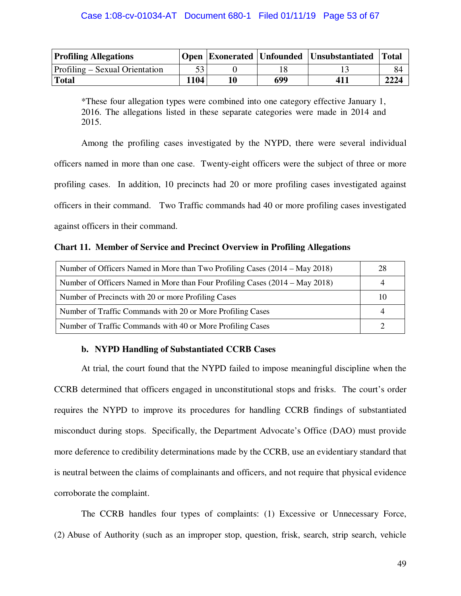| <b>Profiling Allegations</b>          |      |    |     | Open Exonerated Unfounded Unsubstantiated Total |      |
|---------------------------------------|------|----|-----|-------------------------------------------------|------|
| <b>Profiling – Sexual Orientation</b> |      |    |     |                                                 | 84   |
| Total                                 | 1104 | 10 | 699 | 411                                             | 2224 |

\*These four allegation types were combined into one category effective January 1, 2016. The allegations listed in these separate categories were made in 2014 and 2015.

Among the profiling cases investigated by the NYPD, there were several individual officers named in more than one case. Twenty-eight officers were the subject of three or more profiling cases. In addition, 10 precincts had 20 or more profiling cases investigated against officers in their command. Two Traffic commands had 40 or more profiling cases investigated against officers in their command.

#### **Chart 11. Member of Service and Precinct Overview in Profiling Allegations**

| Number of Officers Named in More than Two Profiling Cases (2014 – May 2018)  |    |
|------------------------------------------------------------------------------|----|
| Number of Officers Named in More than Four Profiling Cases (2014 – May 2018) |    |
| Number of Precincts with 20 or more Profiling Cases                          | 10 |
| Number of Traffic Commands with 20 or More Profiling Cases                   |    |
| Number of Traffic Commands with 40 or More Profiling Cases                   |    |

## **b. NYPD Handling of Substantiated CCRB Cases**

At trial, the court found that the NYPD failed to impose meaningful discipline when the CCRB determined that officers engaged in unconstitutional stops and frisks. The court's order requires the NYPD to improve its procedures for handling CCRB findings of substantiated misconduct during stops. Specifically, the Department Advocate's Office (DAO) must provide more deference to credibility determinations made by the CCRB, use an evidentiary standard that is neutral between the claims of complainants and officers, and not require that physical evidence corroborate the complaint.

The CCRB handles four types of complaints: (1) Excessive or Unnecessary Force, (2) Abuse of Authority (such as an improper stop, question, frisk, search, strip search, vehicle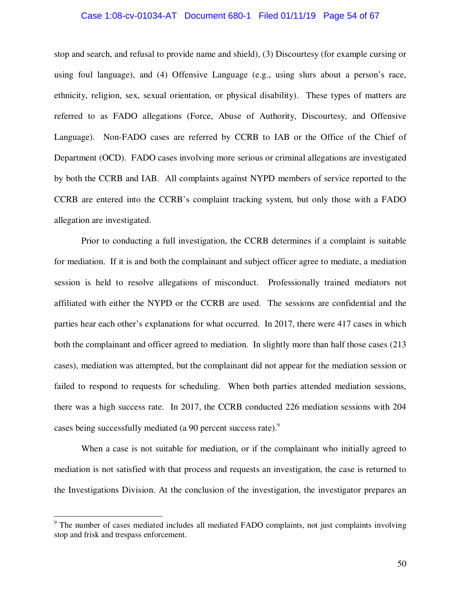#### Case 1:08-cv-01034-AT Document 680-1 Filed 01/11/19 Page 54 of 67

stop and search, and refusal to provide name and shield), (3) Discourtesy (for example cursing or using foul language), and (4) Offensive Language (e.g., using slurs about a person's race, ethnicity, religion, sex, sexual orientation, or physical disability). These types of matters are referred to as FADO allegations (Force, Abuse of Authority, Discourtesy, and Offensive Language). Non-FADO cases are referred by CCRB to IAB or the Office of the Chief of Department (OCD). FADO cases involving more serious or criminal allegations are investigated by both the CCRB and IAB. All complaints against NYPD members of service reported to the CCRB are entered into the CCRB's complaint tracking system, but only those with a FADO allegation are investigated.

Prior to conducting a full investigation, the CCRB determines if a complaint is suitable for mediation. If it is and both the complainant and subject officer agree to mediate, a mediation session is held to resolve allegations of misconduct. Professionally trained mediators not affiliated with either the NYPD or the CCRB are used. The sessions are confidential and the parties hear each other's explanations for what occurred. In 2017, there were 417 cases in which both the complainant and officer agreed to mediation. In slightly more than half those cases (213 cases), mediation was attempted, but the complainant did not appear for the mediation session or failed to respond to requests for scheduling. When both parties attended mediation sessions, there was a high success rate. In 2017, the CCRB conducted 226 mediation sessions with 204 cases being successfully mediated (a 90 percent success rate).<sup>9</sup>

When a case is not suitable for mediation, or if the complainant who initially agreed to mediation is not satisfied with that process and requests an investigation, the case is returned to the Investigations Division. At the conclusion of the investigation, the investigator prepares an

-

<sup>&</sup>lt;sup>9</sup> The number of cases mediated includes all mediated FADO complaints, not just complaints involving stop and frisk and trespass enforcement.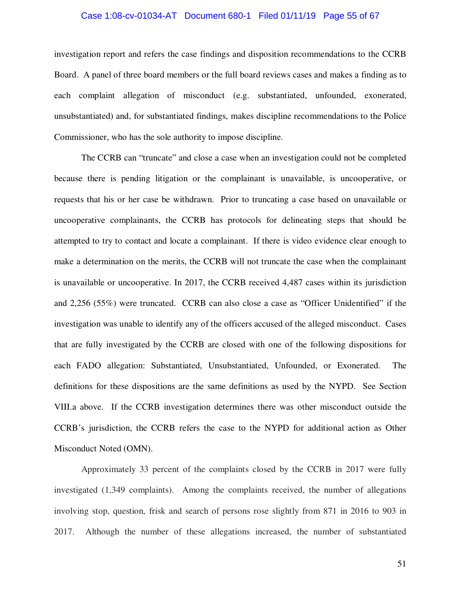#### Case 1:08-cv-01034-AT Document 680-1 Filed 01/11/19 Page 55 of 67

investigation report and refers the case findings and disposition recommendations to the CCRB Board. A panel of three board members or the full board reviews cases and makes a finding as to each complaint allegation of misconduct (e.g. substantiated, unfounded, exonerated, unsubstantiated) and, for substantiated findings, makes discipline recommendations to the Police Commissioner, who has the sole authority to impose discipline.

The CCRB can "truncate" and close a case when an investigation could not be completed because there is pending litigation or the complainant is unavailable, is uncooperative, or requests that his or her case be withdrawn. Prior to truncating a case based on unavailable or uncooperative complainants, the CCRB has protocols for delineating steps that should be attempted to try to contact and locate a complainant. If there is video evidence clear enough to make a determination on the merits, the CCRB will not truncate the case when the complainant is unavailable or uncooperative. In 2017, the CCRB received 4,487 cases within its jurisdiction and 2,256 (55%) were truncated. CCRB can also close a case as "Officer Unidentified" if the investigation was unable to identify any of the officers accused of the alleged misconduct. Cases that are fully investigated by the CCRB are closed with one of the following dispositions for each FADO allegation: Substantiated, Unsubstantiated, Unfounded, or Exonerated. The definitions for these dispositions are the same definitions as used by the NYPD. See Section VIII.a above. If the CCRB investigation determines there was other misconduct outside the CCRB's jurisdiction, the CCRB refers the case to the NYPD for additional action as Other Misconduct Noted (OMN).

Approximately 33 percent of the complaints closed by the CCRB in 2017 were fully investigated (1,349 complaints). Among the complaints received, the number of allegations involving stop, question, frisk and search of persons rose slightly from 871 in 2016 to 903 in 2017. Although the number of these allegations increased, the number of substantiated

51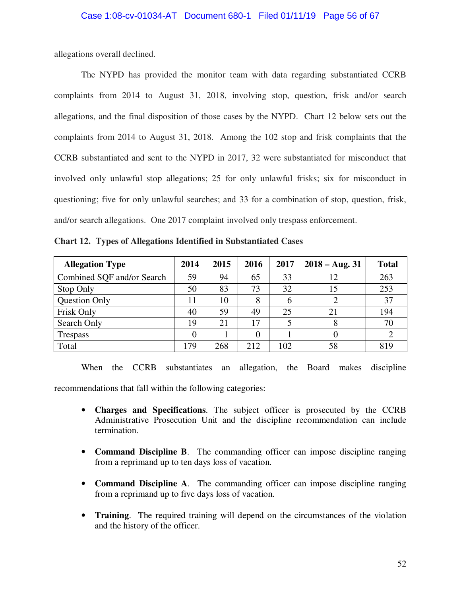allegations overall declined.

The NYPD has provided the monitor team with data regarding substantiated CCRB complaints from 2014 to August 31, 2018, involving stop, question, frisk and/or search allegations, and the final disposition of those cases by the NYPD. Chart 12 below sets out the complaints from 2014 to August 31, 2018. Among the 102 stop and frisk complaints that the CCRB substantiated and sent to the NYPD in 2017, 32 were substantiated for misconduct that involved only unlawful stop allegations; 25 for only unlawful frisks; six for misconduct in questioning; five for only unlawful searches; and 33 for a combination of stop, question, frisk, and/or search allegations. One 2017 complaint involved only trespass enforcement.

**Chart 12. Types of Allegations Identified in Substantiated Cases** 

| <b>Allegation Type</b>     | 2014 | 2015 | 2016     | 2017 | $2018 - Aug. 31$ | <b>Total</b> |
|----------------------------|------|------|----------|------|------------------|--------------|
| Combined SQF and/or Search | 59   | 94   | 65       | 33   | 12               | 263          |
| Stop Only                  | 50   | 83   | 73       | 32   | 15               | 253          |
| Question Only              | 11   | 10   | 8        | 6    |                  | 37           |
| Frisk Only                 | 40   | 59   | 49       | 25   | 21               | 194          |
| Search Only                | 19   | 21   | 17       | 5    |                  | 70           |
| <b>Trespass</b>            | 0    |      | $\Omega$ |      |                  |              |
| Total                      | 179  | 268  | 212      | 102  | 58               | 819          |

When the CCRB substantiates an allegation, the Board makes discipline recommendations that fall within the following categories:

- **Charges and Specifications**. The subject officer is prosecuted by the CCRB Administrative Prosecution Unit and the discipline recommendation can include termination.
- **Command Discipline B**. The commanding officer can impose discipline ranging from a reprimand up to ten days loss of vacation.
- **Command Discipline A**. The commanding officer can impose discipline ranging from a reprimand up to five days loss of vacation.
- **Training**. The required training will depend on the circumstances of the violation and the history of the officer.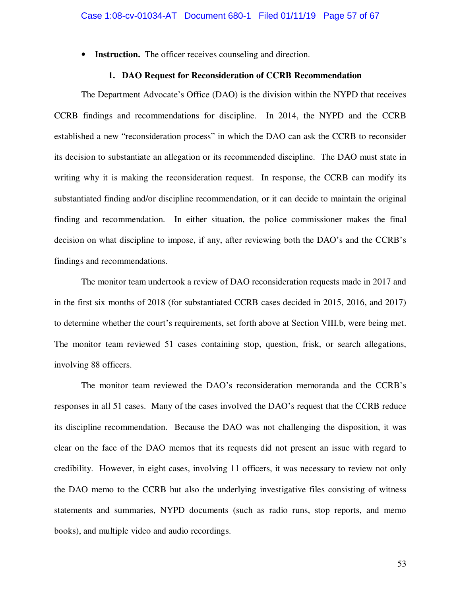• **Instruction.** The officer receives counseling and direction.

#### **1. DAO Request for Reconsideration of CCRB Recommendation**

The Department Advocate's Office (DAO) is the division within the NYPD that receives CCRB findings and recommendations for discipline. In 2014, the NYPD and the CCRB established a new "reconsideration process" in which the DAO can ask the CCRB to reconsider its decision to substantiate an allegation or its recommended discipline. The DAO must state in writing why it is making the reconsideration request. In response, the CCRB can modify its substantiated finding and/or discipline recommendation, or it can decide to maintain the original finding and recommendation. In either situation, the police commissioner makes the final decision on what discipline to impose, if any, after reviewing both the DAO's and the CCRB's findings and recommendations.

The monitor team undertook a review of DAO reconsideration requests made in 2017 and in the first six months of 2018 (for substantiated CCRB cases decided in 2015, 2016, and 2017) to determine whether the court's requirements, set forth above at Section VIII.b, were being met. The monitor team reviewed 51 cases containing stop, question, frisk, or search allegations, involving 88 officers.

The monitor team reviewed the DAO's reconsideration memoranda and the CCRB's responses in all 51 cases. Many of the cases involved the DAO's request that the CCRB reduce its discipline recommendation. Because the DAO was not challenging the disposition, it was clear on the face of the DAO memos that its requests did not present an issue with regard to credibility. However, in eight cases, involving 11 officers, it was necessary to review not only the DAO memo to the CCRB but also the underlying investigative files consisting of witness statements and summaries, NYPD documents (such as radio runs, stop reports, and memo books), and multiple video and audio recordings.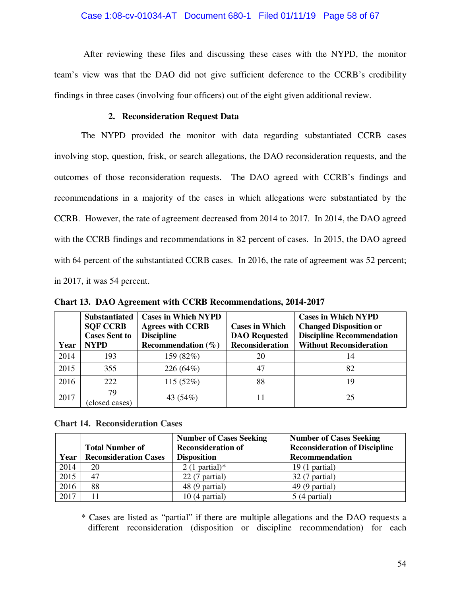After reviewing these files and discussing these cases with the NYPD, the monitor team's view was that the DAO did not give sufficient deference to the CCRB's credibility findings in three cases (involving four officers) out of the eight given additional review.

## **2. Reconsideration Request Data**

The NYPD provided the monitor with data regarding substantiated CCRB cases involving stop, question, frisk, or search allegations, the DAO reconsideration requests, and the outcomes of those reconsideration requests. The DAO agreed with CCRB's findings and recommendations in a majority of the cases in which allegations were substantiated by the CCRB. However, the rate of agreement decreased from 2014 to 2017. In 2014, the DAO agreed with the CCRB findings and recommendations in 82 percent of cases. In 2015, the DAO agreed with 64 percent of the substantiated CCRB cases. In 2016, the rate of agreement was 52 percent; in 2017, it was 54 percent.

|      | <b>Substantiated</b> | <b>Cases in Which NYPD</b> |                        | <b>Cases in Which NYPD</b>       |
|------|----------------------|----------------------------|------------------------|----------------------------------|
|      | <b>SQF CCRB</b>      | <b>Agrees with CCRB</b>    | <b>Cases in Which</b>  | <b>Changed Disposition or</b>    |
|      | <b>Cases Sent to</b> | <b>Discipline</b>          | <b>DAO</b> Requested   | <b>Discipline Recommendation</b> |
| Year | <b>NYPD</b>          | Recommendation $(\% )$     | <b>Reconsideration</b> | <b>Without Reconsideration</b>   |
| 2014 | 193                  | 159 (82%)                  | 20                     | 14                               |
| 2015 | 355                  | 226 (64%)                  | 47                     | 82                               |
| 2016 | 222                  | 115 (52%)                  | 88                     | 19                               |
| 2017 | 79<br>(closed cases) | 43 (54%)                   |                        | 25                               |

**Chart 13. DAO Agreement with CCRB Recommendations, 2014-2017** 

**Chart 14. Reconsideration Cases** 

|      |                              | <b>Number of Cases Seeking</b> | <b>Number of Cases Seeking</b>       |
|------|------------------------------|--------------------------------|--------------------------------------|
|      | <b>Total Number of</b>       | <b>Reconsideration of</b>      | <b>Reconsideration of Discipline</b> |
| Year | <b>Reconsideration Cases</b> | <b>Disposition</b>             | <b>Recommendation</b>                |
| 2014 | 20                           | $2(1$ partial)*                | $19(1$ partial)                      |
| 2015 | 47                           | $22(7$ partial)                | 32 (7 partial)                       |
| 2016 | 88                           | 48 (9 partial)                 | $49(9$ partial)                      |
| 2017 |                              | $10(4$ partial)                | $5(4$ partial)                       |

\* Cases are listed as "partial" if there are multiple allegations and the DAO requests a different reconsideration (disposition or discipline recommendation) for each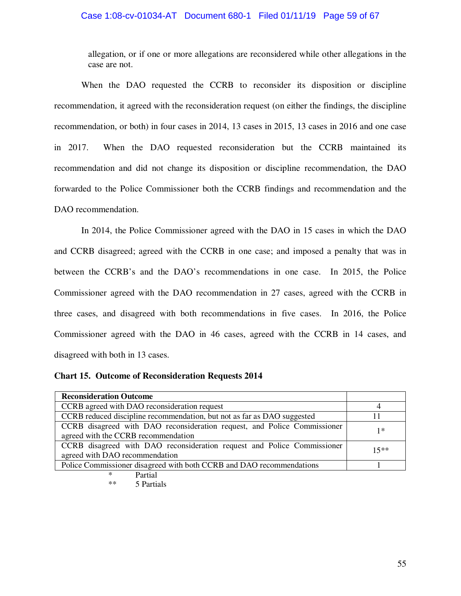## Case 1:08-cv-01034-AT Document 680-1 Filed 01/11/19 Page 59 of 67

allegation, or if one or more allegations are reconsidered while other allegations in the case are not.

When the DAO requested the CCRB to reconsider its disposition or discipline recommendation, it agreed with the reconsideration request (on either the findings, the discipline recommendation, or both) in four cases in 2014, 13 cases in 2015, 13 cases in 2016 and one case in 2017. When the DAO requested reconsideration but the CCRB maintained its recommendation and did not change its disposition or discipline recommendation, the DAO forwarded to the Police Commissioner both the CCRB findings and recommendation and the DAO recommendation.

In 2014, the Police Commissioner agreed with the DAO in 15 cases in which the DAO and CCRB disagreed; agreed with the CCRB in one case; and imposed a penalty that was in between the CCRB's and the DAO's recommendations in one case. In 2015, the Police Commissioner agreed with the DAO recommendation in 27 cases, agreed with the CCRB in three cases, and disagreed with both recommendations in five cases. In 2016, the Police Commissioner agreed with the DAO in 46 cases, agreed with the CCRB in 14 cases, and disagreed with both in 13 cases.

| <b>Chart 15. Outcome of Reconsideration Requests 2014</b> |  |  |  |  |  |
|-----------------------------------------------------------|--|--|--|--|--|
|-----------------------------------------------------------|--|--|--|--|--|

| <b>Reconsideration Outcome</b>                                                                                  |        |
|-----------------------------------------------------------------------------------------------------------------|--------|
| CCRB agreed with DAO reconsideration request                                                                    |        |
| CCRB reduced discipline recommendation, but not as far as DAO suggested                                         |        |
| CCRB disagreed with DAO reconsideration request, and Police Commissioner<br>agreed with the CCRB recommendation | 1*     |
| CCRB disagreed with DAO reconsideration request and Police Commissioner<br>agreed with DAO recommendation       | $15**$ |
| Police Commissioner disagreed with both CCRB and DAO recommendations                                            |        |
| $D_{\alpha+1}$                                                                                                  |        |

\* Partial<br>\*\* 5 Pertie 5 Partials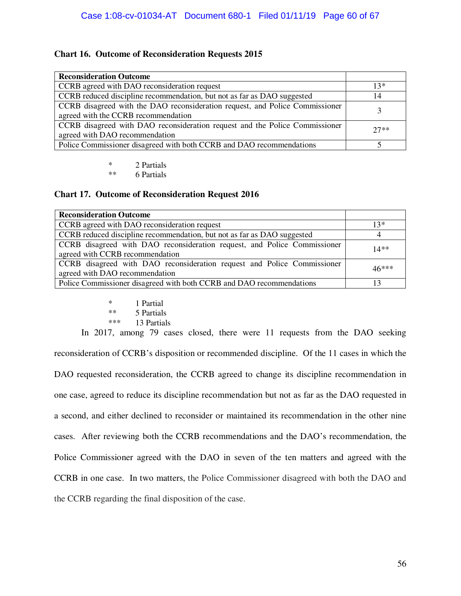## **Chart 16. Outcome of Reconsideration Requests 2015**

| <b>Reconsideration Outcome</b>                                               |        |
|------------------------------------------------------------------------------|--------|
| CCRB agreed with DAO reconsideration request                                 | $13*$  |
| CCRB reduced discipline recommendation, but not as far as DAO suggested      | 14     |
| CCRB disagreed with the DAO reconsideration request, and Police Commissioner |        |
| agreed with the CCRB recommendation                                          |        |
| CCRB disagreed with DAO reconsideration request and the Police Commissioner  | $27**$ |
| agreed with DAO recommendation                                               |        |
| Police Commissioner disagreed with both CCRB and DAO recommendations         |        |

\* 2 Partials

6 Partials

#### **Chart 17. Outcome of Reconsideration Request 2016**

| <b>Reconsideration Outcome</b>                                                                              |         |
|-------------------------------------------------------------------------------------------------------------|---------|
| CCRB agreed with DAO reconsideration request                                                                | $13*$   |
| CCRB reduced discipline recommendation, but not as far as DAO suggested                                     |         |
| CCRB disagreed with DAO reconsideration request, and Police Commissioner<br>agreed with CCRB recommendation | $14**$  |
| CCRB disagreed with DAO reconsideration request and Police Commissioner<br>agreed with DAO recommendation   | $46***$ |
| Police Commissioner disagreed with both CCRB and DAO recommendations                                        |         |

\*  $1$  Partial<br>\*\*  $5$  Partials \*\*  $5$  Partials<br>\*\*\*  $13$  Pertials 13 Partials

In 2017, among 79 cases closed, there were 11 requests from the DAO seeking reconsideration of CCRB's disposition or recommended discipline. Of the 11 cases in which the DAO requested reconsideration, the CCRB agreed to change its discipline recommendation in one case, agreed to reduce its discipline recommendation but not as far as the DAO requested in a second, and either declined to reconsider or maintained its recommendation in the other nine cases. After reviewing both the CCRB recommendations and the DAO's recommendation, the Police Commissioner agreed with the DAO in seven of the ten matters and agreed with the CCRB in one case. In two matters, the Police Commissioner disagreed with both the DAO and the CCRB regarding the final disposition of the case.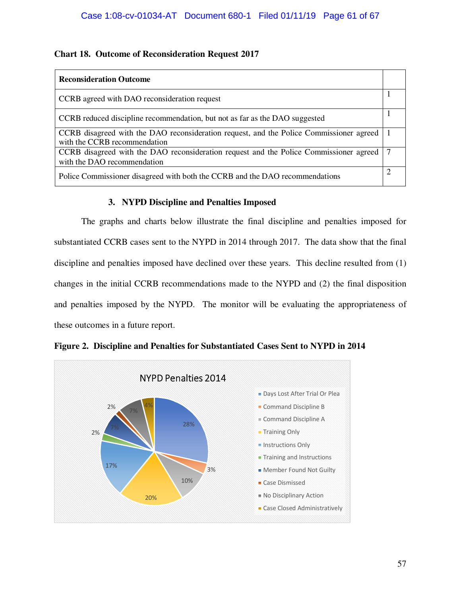## **Chart 18. Outcome of Reconsideration Request 2017**

| <b>Reconsideration Outcome</b>                                                                                          |  |
|-------------------------------------------------------------------------------------------------------------------------|--|
| CCRB agreed with DAO reconsideration request                                                                            |  |
| CCRB reduced discipline recommendation, but not as far as the DAO suggested                                             |  |
| CCRB disagreed with the DAO reconsideration request, and the Police Commissioner agreed<br>with the CCRB recommendation |  |
| CCRB disagreed with the DAO reconsideration request and the Police Commissioner agreed<br>with the DAO recommendation   |  |
| Police Commissioner disagreed with both the CCRB and the DAO recommendations                                            |  |

## **3. NYPD Discipline and Penalties Imposed**

The graphs and charts below illustrate the final discipline and penalties imposed for substantiated CCRB cases sent to the NYPD in 2014 through 2017. The data show that the final discipline and penalties imposed have declined over these years. This decline resulted from (1) changes in the initial CCRB recommendations made to the NYPD and (2) the final disposition and penalties imposed by the NYPD. The monitor will be evaluating the appropriateness of these outcomes in a future report.



## **Figure 2. Discipline and Penalties for Substantiated Cases Sent to NYPD in 2014**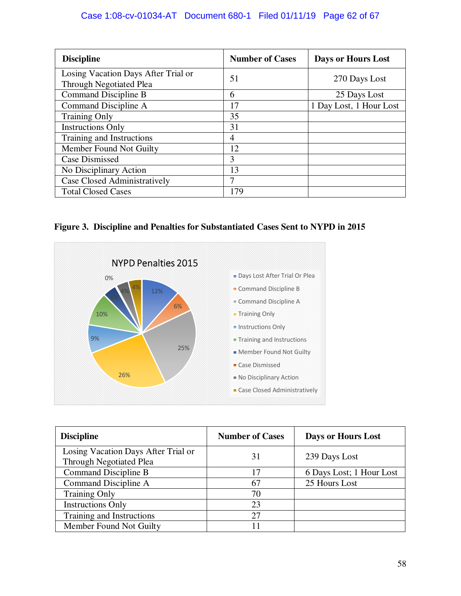## Case 1:08-cv-01034-AT Document 680-1 Filed 01/11/19 Page 62 of 67

| <b>Discipline</b>                                                     | <b>Number of Cases</b> | Days or Hours Lost      |
|-----------------------------------------------------------------------|------------------------|-------------------------|
| Losing Vacation Days After Trial or<br><b>Through Negotiated Plea</b> | 51                     | 270 Days Lost           |
| Command Discipline B                                                  | 6                      | 25 Days Lost            |
| Command Discipline A                                                  | 17                     | 1 Day Lost, 1 Hour Lost |
| <b>Training Only</b>                                                  | 35                     |                         |
| <b>Instructions Only</b>                                              | 31                     |                         |
| Training and Instructions                                             | 4                      |                         |
| Member Found Not Guilty                                               | 12                     |                         |
| <b>Case Dismissed</b>                                                 | 3                      |                         |
| No Disciplinary Action                                                | 13                     |                         |
| Case Closed Administratively                                          | 7                      |                         |
| <b>Total Closed Cases</b>                                             | 179                    |                         |

## **Figure 3. Discipline and Penalties for Substantiated Cases Sent to NYPD in 2015**



| <b>Discipline</b>                                                     | <b>Number of Cases</b> | <b>Days or Hours Lost</b> |
|-----------------------------------------------------------------------|------------------------|---------------------------|
| Losing Vacation Days After Trial or<br><b>Through Negotiated Plea</b> | 31                     | 239 Days Lost             |
| Command Discipline B                                                  | 17                     | 6 Days Lost; 1 Hour Lost  |
| Command Discipline A                                                  | 67                     | 25 Hours Lost             |
| <b>Training Only</b>                                                  | 70                     |                           |
| <b>Instructions Only</b>                                              | 23                     |                           |
| Training and Instructions                                             | 27                     |                           |
| Member Found Not Guilty                                               |                        |                           |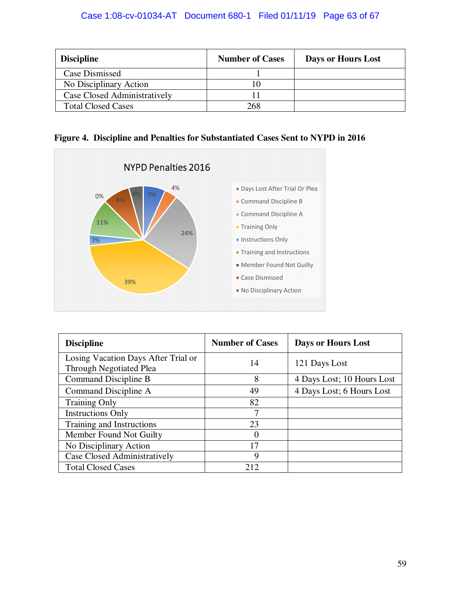| <b>Discipline</b>            | <b>Number of Cases</b> | Days or Hours Lost |
|------------------------------|------------------------|--------------------|
| Case Dismissed               |                        |                    |
| No Disciplinary Action       |                        |                    |
| Case Closed Administratively |                        |                    |
| <b>Total Closed Cases</b>    | 268                    |                    |

|  | Figure 4. Discipline and Penalties for Substantiated Cases Sent to NYPD in 2016 |  |  |
|--|---------------------------------------------------------------------------------|--|--|



| <b>Discipline</b>                                                     | <b>Number of Cases</b> | <b>Days or Hours Lost</b>  |
|-----------------------------------------------------------------------|------------------------|----------------------------|
| Losing Vacation Days After Trial or<br><b>Through Negotiated Plea</b> | 14                     | 121 Days Lost              |
| Command Discipline B                                                  | 8                      | 4 Days Lost; 10 Hours Lost |
| Command Discipline A                                                  | 49                     | 4 Days Lost; 6 Hours Lost  |
| <b>Training Only</b>                                                  | 82                     |                            |
| <b>Instructions Only</b>                                              | 7                      |                            |
| Training and Instructions                                             | 23                     |                            |
| Member Found Not Guilty                                               | O                      |                            |
| No Disciplinary Action                                                | 17                     |                            |
| Case Closed Administratively                                          | 9                      |                            |
| <b>Total Closed Cases</b>                                             | 212                    |                            |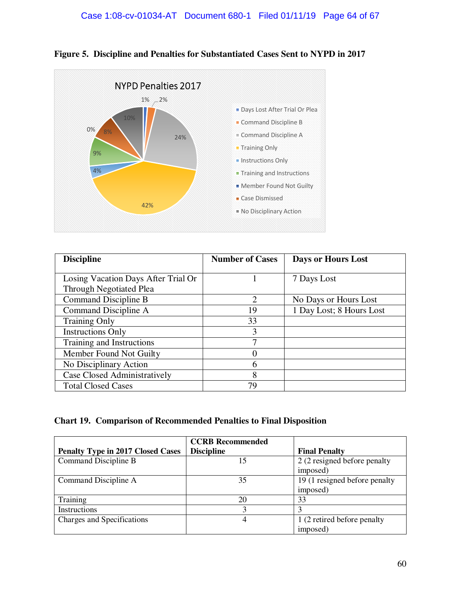



| <b>Discipline</b>                   | <b>Number of Cases</b> | Days or Hours Lost       |
|-------------------------------------|------------------------|--------------------------|
|                                     |                        |                          |
| Losing Vacation Days After Trial Or |                        | 7 Days Lost              |
| <b>Through Negotiated Plea</b>      |                        |                          |
| Command Discipline B                | $\overline{2}$         | No Days or Hours Lost    |
| Command Discipline A                | 19                     | 1 Day Lost; 8 Hours Lost |
| <b>Training Only</b>                | 33                     |                          |
| <b>Instructions Only</b>            | 3                      |                          |
| Training and Instructions           | 7                      |                          |
| Member Found Not Guilty             | 0                      |                          |
| No Disciplinary Action              | 6                      |                          |
| <b>Case Closed Administratively</b> | 8                      |                          |
| <b>Total Closed Cases</b>           | 79                     |                          |

## **Chart 19. Comparison of Recommended Penalties to Final Disposition**

|                                          | <b>CCRB</b> Recommended |                               |
|------------------------------------------|-------------------------|-------------------------------|
| <b>Penalty Type in 2017 Closed Cases</b> | <b>Discipline</b>       | <b>Final Penalty</b>          |
| Command Discipline B                     | 15                      | 2 (2 resigned before penalty  |
|                                          |                         | imposed)                      |
| Command Discipline A                     | 35                      | 19 (1 resigned before penalty |
|                                          |                         | imposed)                      |
| Training                                 | 20                      | 33                            |
| Instructions                             | 3                       |                               |
| Charges and Specifications               | 4                       | 1 (2 retired before penalty   |
|                                          |                         | imposed)                      |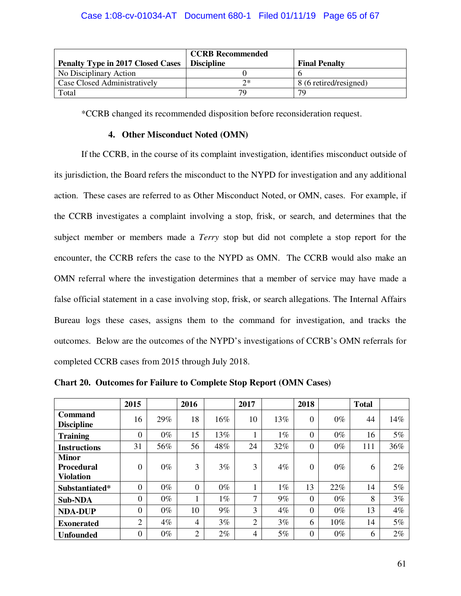| <b>Penalty Type in 2017 Closed Cases</b> | <b>CCRB Recommended</b><br><b>Discipline</b> | <b>Final Penalty</b>    |
|------------------------------------------|----------------------------------------------|-------------------------|
| No Disciplinary Action                   |                                              |                         |
| Case Closed Administratively             | つ*                                           | $8(6$ retired/resigned) |
| Total                                    | 79                                           | 70                      |

\*CCRB changed its recommended disposition before reconsideration request.

## **4. Other Misconduct Noted (OMN)**

If the CCRB, in the course of its complaint investigation, identifies misconduct outside of its jurisdiction, the Board refers the misconduct to the NYPD for investigation and any additional action. These cases are referred to as Other Misconduct Noted, or OMN, cases. For example, if the CCRB investigates a complaint involving a stop, frisk, or search, and determines that the subject member or members made a *Terry* stop but did not complete a stop report for the encounter, the CCRB refers the case to the NYPD as OMN. The CCRB would also make an OMN referral where the investigation determines that a member of service may have made a false official statement in a case involving stop, frisk, or search allegations. The Internal Affairs Bureau logs these cases, assigns them to the command for investigation, and tracks the outcomes. Below are the outcomes of the NYPD's investigations of CCRB's OMN referrals for completed CCRB cases from 2015 through July 2018.

|                                                       | 2015           |       | 2016           |       | 2017           |       | 2018             |        | <b>Total</b> |       |
|-------------------------------------------------------|----------------|-------|----------------|-------|----------------|-------|------------------|--------|--------------|-------|
| Command<br><b>Discipline</b>                          | 16             | 29%   | 18             | 16%   | 10             | 13%   | $\boldsymbol{0}$ | $0\%$  | 44           | 14%   |
| <b>Training</b>                                       | $\overline{0}$ | $0\%$ | 15             | 13%   |                | $1\%$ | $\theta$         | $0\%$  | 16           | 5%    |
| <b>Instructions</b>                                   | 31             | 56%   | 56             | 48%   | 24             | 32%   | $\theta$         | $0\%$  | 111          | 36%   |
| <b>Minor</b><br><b>Procedural</b><br><b>Violation</b> | $\overline{0}$ | $0\%$ | 3              | 3%    | 3              | 4%    | $\theta$         | $0\%$  | 6            | $2\%$ |
| Substantiated*                                        | $\theta$       | $0\%$ | $\overline{0}$ | $0\%$ |                | $1\%$ | 13               | 22%    | 14           | 5%    |
| <b>Sub-NDA</b>                                        | $\theta$       | $0\%$ | п              | $1\%$ | 7              | 9%    | $\theta$         | $0\%$  | 8            | 3%    |
| <b>NDA-DUP</b>                                        | $\theta$       | $0\%$ | 10             | $9\%$ | 3              | $4\%$ | $\Omega$         | $0\%$  | 13           | 4%    |
| <b>Exonerated</b>                                     | $\overline{2}$ | $4\%$ | 4              | 3%    | $\overline{2}$ | 3%    | 6                | $10\%$ | 14           | 5%    |
| <b>Unfounded</b>                                      | $\theta$       | $0\%$ | 2              | $2\%$ | 4              | 5%    | $\theta$         | $0\%$  | 6            | $2\%$ |

**Chart 20. Outcomes for Failure to Complete Stop Report (OMN Cases)**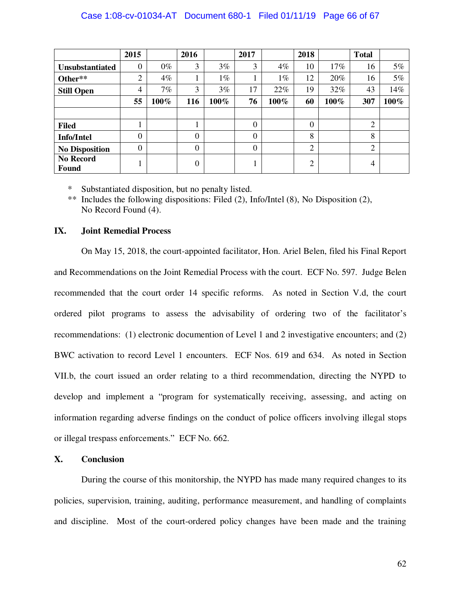|                                  | 2015             |       | 2016           |       | 2017             |         | 2018           |        | <b>Total</b>   |       |
|----------------------------------|------------------|-------|----------------|-------|------------------|---------|----------------|--------|----------------|-------|
| Unsubstantiated                  | $\boldsymbol{0}$ | $0\%$ | 3              | 3%    | 3                | $4\%$   | 10             | $17\%$ | 16             | $5\%$ |
| Other**                          | $\overline{2}$   | 4%    |                | $1\%$ |                  | $1\%$   | 12             | 20%    | 16             | 5%    |
| <b>Still Open</b>                | 4                | 7%    | 3              | 3%    | 17               | 22%     | 19             | 32%    | 43             | 14%   |
|                                  | 55               | 100%  | 116            | 100%  | 76               | $100\%$ | 60             | 100%   | 307            | 100%  |
|                                  |                  |       |                |       |                  |         |                |        |                |       |
| <b>Filed</b>                     |                  |       | 1              |       | $\theta$         |         | $\overline{0}$ |        | $\overline{2}$ |       |
| <b>Info/Intel</b>                | 0                |       | $\overline{0}$ |       | $\boldsymbol{0}$ |         | 8              |        | 8              |       |
| <b>No Disposition</b>            | 0                |       | $\overline{0}$ |       | $\theta$         |         | $\overline{2}$ |        | $\overline{2}$ |       |
| <b>No Record</b><br><b>Found</b> |                  |       | 0              |       | T                |         | $\overline{2}$ |        | 4              |       |

\* Substantiated disposition, but no penalty listed.

\*\* Includes the following dispositions: Filed (2), Info/Intel (8), No Disposition (2), No Record Found (4).

## **IX. Joint Remedial Process**

On May 15, 2018, the court-appointed facilitator, Hon. Ariel Belen, filed his Final Report and Recommendations on the Joint Remedial Process with the court. ECF No. 597. Judge Belen recommended that the court order 14 specific reforms. As noted in Section V.d, the court ordered pilot programs to assess the advisability of ordering two of the facilitator's recommendations: (1) electronic documention of Level 1 and 2 investigative encounters; and (2) BWC activation to record Level 1 encounters. ECF Nos. 619 and 634. As noted in Section VII.b, the court issued an order relating to a third recommendation, directing the NYPD to develop and implement a "program for systematically receiving, assessing, and acting on information regarding adverse findings on the conduct of police officers involving illegal stops or illegal trespass enforcements." ECF No. 662.

## **X. Conclusion**

During the course of this monitorship, the NYPD has made many required changes to its policies, supervision, training, auditing, performance measurement, and handling of complaints and discipline. Most of the court-ordered policy changes have been made and the training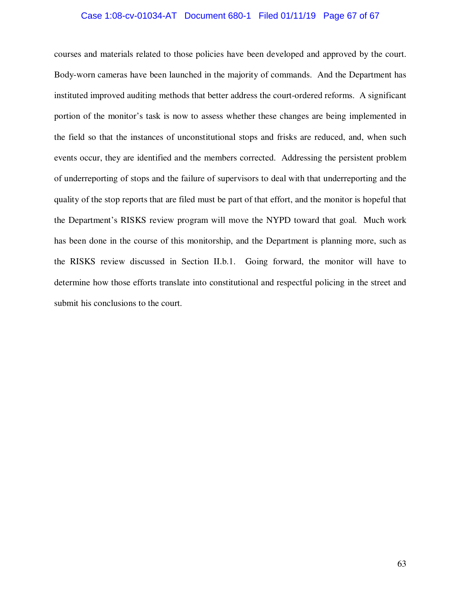## Case 1:08-cv-01034-AT Document 680-1 Filed 01/11/19 Page 67 of 67

courses and materials related to those policies have been developed and approved by the court. Body-worn cameras have been launched in the majority of commands. And the Department has instituted improved auditing methods that better address the court-ordered reforms. A significant portion of the monitor's task is now to assess whether these changes are being implemented in the field so that the instances of unconstitutional stops and frisks are reduced, and, when such events occur, they are identified and the members corrected. Addressing the persistent problem of underreporting of stops and the failure of supervisors to deal with that underreporting and the quality of the stop reports that are filed must be part of that effort, and the monitor is hopeful that the Department's RISKS review program will move the NYPD toward that goal. Much work has been done in the course of this monitorship, and the Department is planning more, such as the RISKS review discussed in Section II.b.1. Going forward, the monitor will have to determine how those efforts translate into constitutional and respectful policing in the street and submit his conclusions to the court.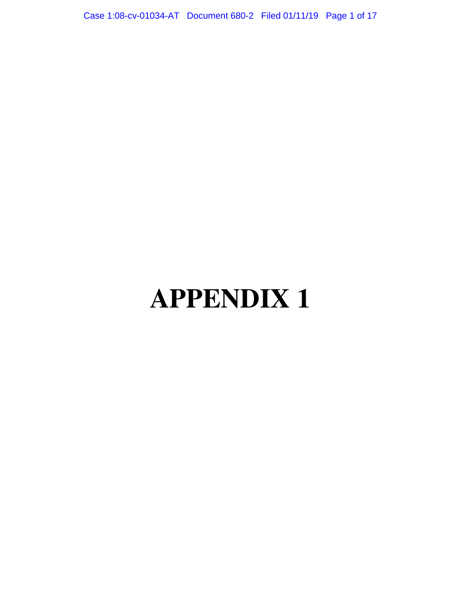Case 1:08-cv-01034-AT Document 680-2 Filed 01/11/19 Page 1 of 17

# **APPENDIX 1**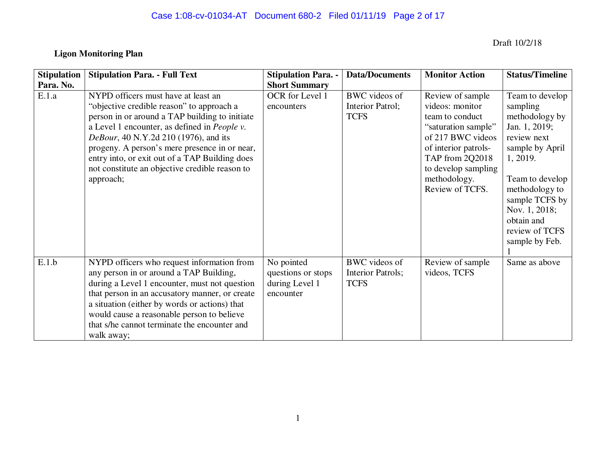# Case 1:08-cv-01034-AT Document 680-2 Filed 01/11/19 Page 2 of 17

## **Ligon Monitoring Plan**

Draft 10/2/18

| <b>Stipulation</b> | <b>Stipulation Para. - Full Text</b>                                                                                                                                                                                                                                                                                                                                                                          | <b>Stipulation Para. -</b>                                      | <b>Data/Documents</b>                                   | <b>Monitor Action</b>                                                                                                                                                                                   | <b>Status/Timeline</b>                                                                                                                                                                                                                 |
|--------------------|---------------------------------------------------------------------------------------------------------------------------------------------------------------------------------------------------------------------------------------------------------------------------------------------------------------------------------------------------------------------------------------------------------------|-----------------------------------------------------------------|---------------------------------------------------------|---------------------------------------------------------------------------------------------------------------------------------------------------------------------------------------------------------|----------------------------------------------------------------------------------------------------------------------------------------------------------------------------------------------------------------------------------------|
| Para. No.          |                                                                                                                                                                                                                                                                                                                                                                                                               | <b>Short Summary</b>                                            |                                                         |                                                                                                                                                                                                         |                                                                                                                                                                                                                                        |
| E.1.a              | NYPD officers must have at least an<br>"objective credible reason" to approach a<br>person in or around a TAP building to initiate<br>a Level 1 encounter, as defined in <i>People v</i> .<br><i>DeBour</i> , 40 N.Y.2d 210 (1976), and its<br>progeny. A person's mere presence in or near,<br>entry into, or exit out of a TAP Building does<br>not constitute an objective credible reason to<br>approach; | OCR for Level 1<br>encounters                                   | <b>BWC</b> videos of<br>Interior Patrol;<br><b>TCFS</b> | Review of sample<br>videos: monitor<br>team to conduct<br>"saturation sample"<br>of 217 BWC videos<br>of interior patrols-<br>TAP from 2Q2018<br>to develop sampling<br>methodology.<br>Review of TCFS. | Team to develop<br>sampling<br>methodology by<br>Jan. 1, 2019;<br>review next<br>sample by April<br>1, 2019.<br>Team to develop<br>methodology to<br>sample TCFS by<br>Nov. 1, 2018;<br>obtain and<br>review of TCFS<br>sample by Feb. |
| E.1.b              | NYPD officers who request information from<br>any person in or around a TAP Building,<br>during a Level 1 encounter, must not question<br>that person in an accusatory manner, or create<br>a situation (either by words or actions) that<br>would cause a reasonable person to believe<br>that s/he cannot terminate the encounter and<br>walk away;                                                         | No pointed<br>questions or stops<br>during Level 1<br>encounter | BWC videos of<br>Interior Patrols;<br><b>TCFS</b>       | Review of sample<br>videos, TCFS                                                                                                                                                                        | Same as above                                                                                                                                                                                                                          |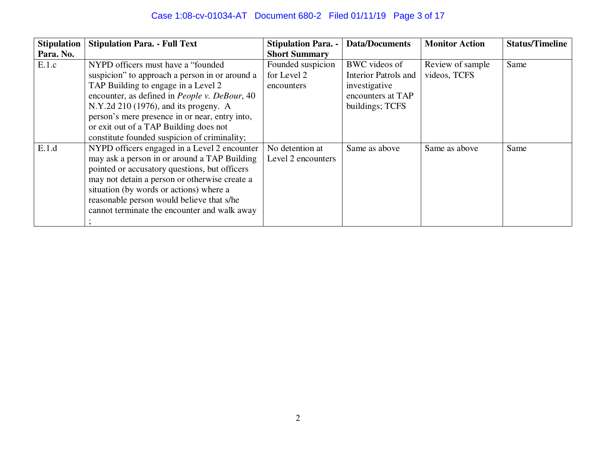# Case 1:08-cv-01034-AT Document 680-2 Filed 01/11/19 Page 3 of 17

| <b>Stipulation</b> | <b>Stipulation Para. - Full Text</b>           | <b>Stipulation Para. -</b> | <b>Data/Documents</b>       | <b>Monitor Action</b> | <b>Status/Timeline</b> |
|--------------------|------------------------------------------------|----------------------------|-----------------------------|-----------------------|------------------------|
| Para. No.          |                                                | <b>Short Summary</b>       |                             |                       |                        |
| E.1.c              | NYPD officers must have a "founded"            | Founded suspicion          | BWC videos of               | Review of sample      | Same                   |
|                    | suspicion" to approach a person in or around a | for Level 2                | <b>Interior Patrols and</b> | videos, TCFS          |                        |
|                    | TAP Building to engage in a Level 2            | encounters                 | investigative               |                       |                        |
|                    | encounter, as defined in People v. DeBour, 40  |                            | encounters at TAP           |                       |                        |
|                    | N.Y.2d $210(1976)$ , and its progeny. A        |                            | buildings; TCFS             |                       |                        |
|                    | person's mere presence in or near, entry into, |                            |                             |                       |                        |
|                    | or exit out of a TAP Building does not         |                            |                             |                       |                        |
|                    | constitute founded suspicion of criminality;   |                            |                             |                       |                        |
| E.1.d              | NYPD officers engaged in a Level 2 encounter   | No detention at            | Same as above               | Same as above         | Same                   |
|                    | may ask a person in or around a TAP Building   | Level 2 encounters         |                             |                       |                        |
|                    | pointed or accusatory questions, but officers  |                            |                             |                       |                        |
|                    | may not detain a person or otherwise create a  |                            |                             |                       |                        |
|                    | situation (by words or actions) where a        |                            |                             |                       |                        |
|                    | reasonable person would believe that s/he      |                            |                             |                       |                        |
|                    | cannot terminate the encounter and walk away   |                            |                             |                       |                        |
|                    |                                                |                            |                             |                       |                        |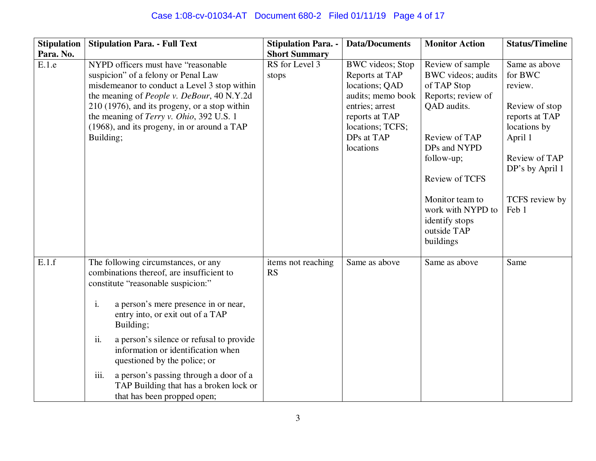# Case 1:08-cv-01034-AT Document 680-2 Filed 01/11/19 Page 4 of 17

| <b>Stipulation</b> | <b>Stipulation Para. - Full Text</b>                                                                                                                                                                                                                                                                                                                                                                                                                                      | <b>Stipulation Para. -</b>      | <b>Data/Documents</b>                                                                                                                                                | <b>Monitor Action</b>                                                                                                                                                                                                                                    | <b>Status/Timeline</b>                                                                                                                                            |
|--------------------|---------------------------------------------------------------------------------------------------------------------------------------------------------------------------------------------------------------------------------------------------------------------------------------------------------------------------------------------------------------------------------------------------------------------------------------------------------------------------|---------------------------------|----------------------------------------------------------------------------------------------------------------------------------------------------------------------|----------------------------------------------------------------------------------------------------------------------------------------------------------------------------------------------------------------------------------------------------------|-------------------------------------------------------------------------------------------------------------------------------------------------------------------|
| Para. No.          |                                                                                                                                                                                                                                                                                                                                                                                                                                                                           | <b>Short Summary</b>            |                                                                                                                                                                      |                                                                                                                                                                                                                                                          |                                                                                                                                                                   |
| E.1.e              | NYPD officers must have "reasonable"<br>suspicion" of a felony or Penal Law<br>misdemeanor to conduct a Level 3 stop within<br>the meaning of <i>People v. DeBour</i> , 40 N.Y.2d<br>210 (1976), and its progeny, or a stop within<br>the meaning of Terry v. Ohio, 392 U.S. 1<br>(1968), and its progeny, in or around a TAP<br>Building;                                                                                                                                | RS for Level 3<br>stops         | <b>BWC</b> videos; Stop<br>Reports at TAP<br>locations; QAD<br>audits; memo book<br>entries; arrest<br>reports at TAP<br>locations; TCFS;<br>DPs at TAP<br>locations | Review of sample<br>BWC videos; audits<br>of TAP Stop<br>Reports; review of<br>QAD audits.<br>Review of TAP<br>DPs and NYPD<br>follow-up;<br><b>Review of TCFS</b><br>Monitor team to<br>work with NYPD to<br>identify stops<br>outside TAP<br>buildings | Same as above<br>for BWC<br>review.<br>Review of stop<br>reports at TAP<br>locations by<br>April 1<br>Review of TAP<br>DP's by April 1<br>TCFS review by<br>Feb 1 |
| E.1.f              | The following circumstances, or any<br>combinations thereof, are insufficient to<br>constitute "reasonable suspicion:"<br>a person's mere presence in or near,<br>i.<br>entry into, or exit out of a TAP<br>Building;<br>a person's silence or refusal to provide<br>ii.<br>information or identification when<br>questioned by the police; or<br>iii.<br>a person's passing through a door of a<br>TAP Building that has a broken lock or<br>that has been propped open; | items not reaching<br><b>RS</b> | Same as above                                                                                                                                                        | Same as above                                                                                                                                                                                                                                            | Same                                                                                                                                                              |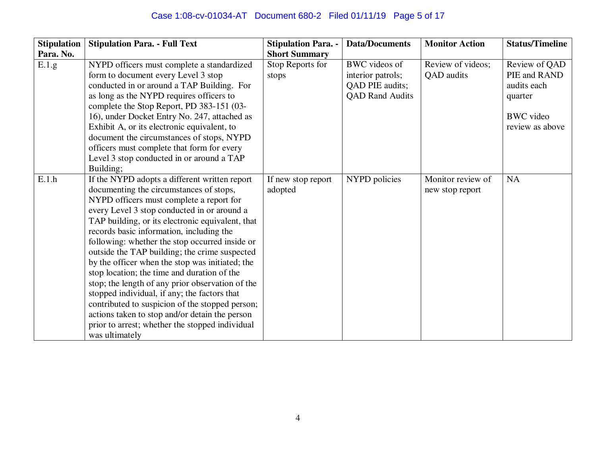| <b>Stipulation</b> | <b>Stipulation Para. - Full Text</b>                                                                                                                                                                                                                                                                                                                                                                                                                                                                                                                                                                                                                                                                                                                                   | <b>Stipulation Para. -</b>    | <b>Data/Documents</b>                                                           | <b>Monitor Action</b>                | <b>Status/Timeline</b>                                                                         |
|--------------------|------------------------------------------------------------------------------------------------------------------------------------------------------------------------------------------------------------------------------------------------------------------------------------------------------------------------------------------------------------------------------------------------------------------------------------------------------------------------------------------------------------------------------------------------------------------------------------------------------------------------------------------------------------------------------------------------------------------------------------------------------------------------|-------------------------------|---------------------------------------------------------------------------------|--------------------------------------|------------------------------------------------------------------------------------------------|
| Para. No.          |                                                                                                                                                                                                                                                                                                                                                                                                                                                                                                                                                                                                                                                                                                                                                                        | <b>Short Summary</b>          |                                                                                 |                                      |                                                                                                |
| E.1.g              | NYPD officers must complete a standardized<br>form to document every Level 3 stop<br>conducted in or around a TAP Building. For<br>as long as the NYPD requires officers to<br>complete the Stop Report, PD 383-151 (03-<br>16), under Docket Entry No. 247, attached as<br>Exhibit A, or its electronic equivalent, to<br>document the circumstances of stops, NYPD<br>officers must complete that form for every<br>Level 3 stop conducted in or around a TAP<br>Building;                                                                                                                                                                                                                                                                                           | Stop Reports for<br>stops     | BWC videos of<br>interior patrols;<br>QAD PIE audits;<br><b>QAD Rand Audits</b> | Review of videos;<br>QAD audits      | Review of QAD<br>PIE and RAND<br>audits each<br>quarter<br><b>BWC</b> video<br>review as above |
| E.1.h              | If the NYPD adopts a different written report<br>documenting the circumstances of stops,<br>NYPD officers must complete a report for<br>every Level 3 stop conducted in or around a<br>TAP building, or its electronic equivalent, that<br>records basic information, including the<br>following: whether the stop occurred inside or<br>outside the TAP building; the crime suspected<br>by the officer when the stop was initiated; the<br>stop location; the time and duration of the<br>stop; the length of any prior observation of the<br>stopped individual, if any; the factors that<br>contributed to suspicion of the stopped person;<br>actions taken to stop and/or detain the person<br>prior to arrest; whether the stopped individual<br>was ultimately | If new stop report<br>adopted | NYPD policies                                                                   | Monitor review of<br>new stop report | NA                                                                                             |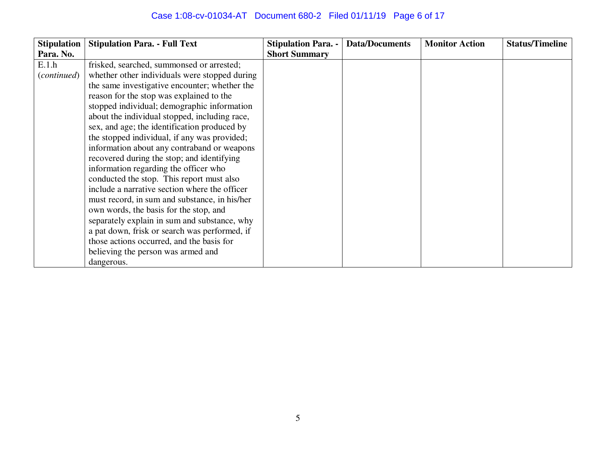# Case 1:08-cv-01034-AT Document 680-2 Filed 01/11/19 Page 6 of 17

| <b>Stipulation</b> | <b>Stipulation Para. - Full Text</b>          | <b>Stipulation Para. -</b> | <b>Data/Documents</b> | <b>Monitor Action</b> | <b>Status/Timeline</b> |
|--------------------|-----------------------------------------------|----------------------------|-----------------------|-----------------------|------------------------|
| Para. No.          |                                               | <b>Short Summary</b>       |                       |                       |                        |
| E.1.h              | frisked, searched, summonsed or arrested;     |                            |                       |                       |                        |
| (continued)        | whether other individuals were stopped during |                            |                       |                       |                        |
|                    | the same investigative encounter; whether the |                            |                       |                       |                        |
|                    | reason for the stop was explained to the      |                            |                       |                       |                        |
|                    | stopped individual; demographic information   |                            |                       |                       |                        |
|                    | about the individual stopped, including race, |                            |                       |                       |                        |
|                    | sex, and age; the identification produced by  |                            |                       |                       |                        |
|                    | the stopped individual, if any was provided;  |                            |                       |                       |                        |
|                    | information about any contraband or weapons   |                            |                       |                       |                        |
|                    | recovered during the stop; and identifying    |                            |                       |                       |                        |
|                    | information regarding the officer who         |                            |                       |                       |                        |
|                    | conducted the stop. This report must also     |                            |                       |                       |                        |
|                    | include a narrative section where the officer |                            |                       |                       |                        |
|                    | must record, in sum and substance, in his/her |                            |                       |                       |                        |
|                    | own words, the basis for the stop, and        |                            |                       |                       |                        |
|                    | separately explain in sum and substance, why  |                            |                       |                       |                        |
|                    | a pat down, frisk or search was performed, if |                            |                       |                       |                        |
|                    | those actions occurred, and the basis for     |                            |                       |                       |                        |
|                    | believing the person was armed and            |                            |                       |                       |                        |
|                    | dangerous.                                    |                            |                       |                       |                        |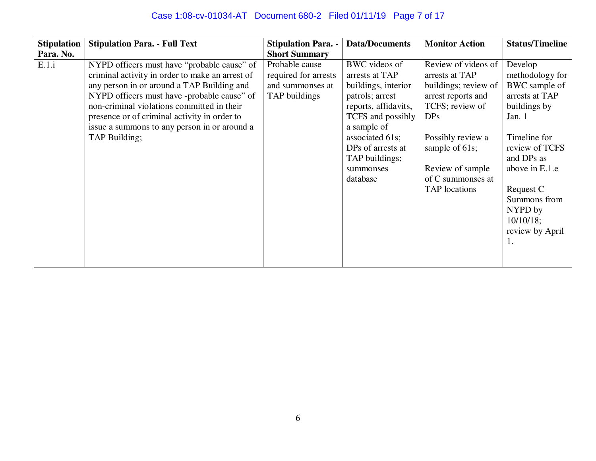| <b>Stipulation</b> | <b>Stipulation Para. - Full Text</b>                                                                                                                                                                                                                                                                                                                       | <b>Stipulation Para. -</b>                                                  | <b>Data/Documents</b>                                                                                                                                                                                                    | <b>Monitor Action</b>                                                                                                                                                                                                             | <b>Status/Timeline</b>                                                                                                                                                                                                                     |
|--------------------|------------------------------------------------------------------------------------------------------------------------------------------------------------------------------------------------------------------------------------------------------------------------------------------------------------------------------------------------------------|-----------------------------------------------------------------------------|--------------------------------------------------------------------------------------------------------------------------------------------------------------------------------------------------------------------------|-----------------------------------------------------------------------------------------------------------------------------------------------------------------------------------------------------------------------------------|--------------------------------------------------------------------------------------------------------------------------------------------------------------------------------------------------------------------------------------------|
| Para. No.          |                                                                                                                                                                                                                                                                                                                                                            | <b>Short Summary</b>                                                        |                                                                                                                                                                                                                          |                                                                                                                                                                                                                                   |                                                                                                                                                                                                                                            |
| E.1.i              | NYPD officers must have "probable cause" of<br>criminal activity in order to make an arrest of<br>any person in or around a TAP Building and<br>NYPD officers must have -probable cause" of<br>non-criminal violations committed in their<br>presence or of criminal activity in order to<br>issue a summons to any person in or around a<br>TAP Building; | Probable cause<br>required for arrests<br>and summonses at<br>TAP buildings | BWC videos of<br>arrests at TAP<br>buildings, interior<br>patrols; arrest<br>reports, affidavits,<br>TCFS and possibly<br>a sample of<br>associated 61s;<br>DPs of arrests at<br>TAP buildings;<br>summonses<br>database | Review of videos of<br>arrests at TAP<br>buildings; review of<br>arrest reports and<br>TCFS; review of<br>DP <sub>S</sub><br>Possibly review a<br>sample of 61s;<br>Review of sample<br>of C summonses at<br><b>TAP</b> locations | Develop<br>methodology for<br>BWC sample of<br>arrests at TAP<br>buildings by<br>Jan. 1<br>Timeline for<br>review of TCFS<br>and DPs as<br>above in E.1.e<br>Request C<br>Summons from<br>NYPD by<br>$10/10/18$ ;<br>review by April<br>1. |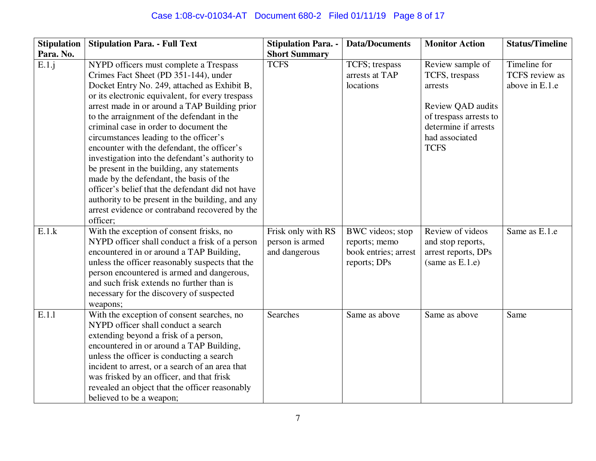| <b>Stipulation</b> | <b>Stipulation Para. - Full Text</b>             | <b>Stipulation Para. -</b> | <b>Data/Documents</b> | <b>Monitor Action</b>  | <b>Status/Timeline</b> |
|--------------------|--------------------------------------------------|----------------------------|-----------------------|------------------------|------------------------|
| Para. No.          |                                                  | <b>Short Summary</b>       |                       |                        |                        |
| E.1.j              | NYPD officers must complete a Trespass           | <b>TCFS</b>                | TCFS; trespass        | Review sample of       | Timeline for           |
|                    | Crimes Fact Sheet (PD 351-144), under            |                            | arrests at TAP        | TCFS, trespass         | <b>TCFS</b> review as  |
|                    | Docket Entry No. 249, attached as Exhibit B,     |                            | locations             | arrests                | above in E.1.e         |
|                    | or its electronic equivalent, for every trespass |                            |                       |                        |                        |
|                    | arrest made in or around a TAP Building prior    |                            |                       | Review QAD audits      |                        |
|                    | to the arraignment of the defendant in the       |                            |                       | of trespass arrests to |                        |
|                    | criminal case in order to document the           |                            |                       | determine if arrests   |                        |
|                    | circumstances leading to the officer's           |                            |                       | had associated         |                        |
|                    | encounter with the defendant, the officer's      |                            |                       | <b>TCFS</b>            |                        |
|                    | investigation into the defendant's authority to  |                            |                       |                        |                        |
|                    | be present in the building, any statements       |                            |                       |                        |                        |
|                    | made by the defendant, the basis of the          |                            |                       |                        |                        |
|                    | officer's belief that the defendant did not have |                            |                       |                        |                        |
|                    | authority to be present in the building, and any |                            |                       |                        |                        |
|                    | arrest evidence or contraband recovered by the   |                            |                       |                        |                        |
|                    | officer;                                         |                            |                       |                        |                        |
| E.1.k              | With the exception of consent frisks, no         | Frisk only with RS         | BWC videos; stop      | Review of videos       | Same as E.1.e          |
|                    | NYPD officer shall conduct a frisk of a person   | person is armed            | reports; memo         | and stop reports,      |                        |
|                    | encountered in or around a TAP Building,         | and dangerous              | book entries; arrest  | arrest reports, DPs    |                        |
|                    | unless the officer reasonably suspects that the  |                            | reports; DPs          | (same as E.1.e)        |                        |
|                    | person encountered is armed and dangerous,       |                            |                       |                        |                        |
|                    | and such frisk extends no further than is        |                            |                       |                        |                        |
|                    | necessary for the discovery of suspected         |                            |                       |                        |                        |
|                    | weapons;                                         |                            |                       |                        |                        |
| E.1.1              | With the exception of consent searches, no       | <b>Searches</b>            | Same as above         | Same as above          | Same                   |
|                    | NYPD officer shall conduct a search              |                            |                       |                        |                        |
|                    | extending beyond a frisk of a person,            |                            |                       |                        |                        |
|                    | encountered in or around a TAP Building,         |                            |                       |                        |                        |
|                    | unless the officer is conducting a search        |                            |                       |                        |                        |
|                    | incident to arrest, or a search of an area that  |                            |                       |                        |                        |
|                    | was frisked by an officer, and that frisk        |                            |                       |                        |                        |
|                    | revealed an object that the officer reasonably   |                            |                       |                        |                        |
|                    | believed to be a weapon;                         |                            |                       |                        |                        |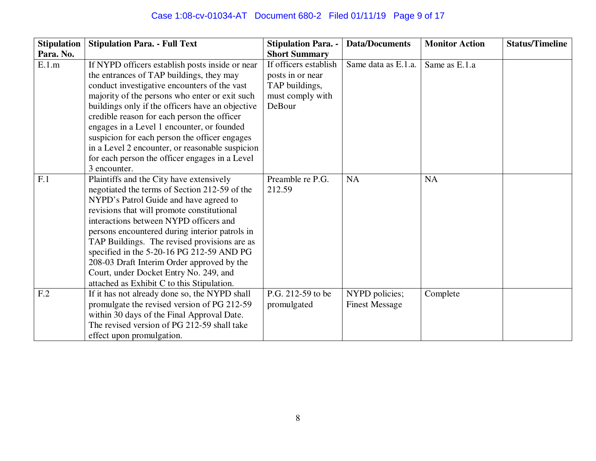# Case 1:08-cv-01034-AT Document 680-2 Filed 01/11/19 Page 9 of 17

| <b>Stipulation</b> | <b>Stipulation Para. - Full Text</b>                                                      | <b>Stipulation Para. -</b> | <b>Data/Documents</b> | <b>Monitor Action</b> | <b>Status/Timeline</b> |
|--------------------|-------------------------------------------------------------------------------------------|----------------------------|-----------------------|-----------------------|------------------------|
| Para. No.          |                                                                                           | <b>Short Summary</b>       |                       |                       |                        |
| E.1.m              | If NYPD officers establish posts inside or near                                           | If officers establish      | Same data as E.1.a.   | Same as E.1.a         |                        |
|                    | the entrances of TAP buildings, they may                                                  | posts in or near           |                       |                       |                        |
|                    | conduct investigative encounters of the vast                                              | TAP buildings,             |                       |                       |                        |
|                    | majority of the persons who enter or exit such                                            | must comply with           |                       |                       |                        |
|                    | buildings only if the officers have an objective                                          | DeBour                     |                       |                       |                        |
|                    | credible reason for each person the officer                                               |                            |                       |                       |                        |
|                    | engages in a Level 1 encounter, or founded                                                |                            |                       |                       |                        |
|                    | suspicion for each person the officer engages                                             |                            |                       |                       |                        |
|                    | in a Level 2 encounter, or reasonable suspicion                                           |                            |                       |                       |                        |
|                    | for each person the officer engages in a Level                                            |                            |                       |                       |                        |
|                    | 3 encounter.                                                                              |                            |                       |                       |                        |
| F.1                | Plaintiffs and the City have extensively                                                  | Preamble re P.G.           | <b>NA</b>             | NA                    |                        |
|                    | negotiated the terms of Section 212-59 of the                                             | 212.59                     |                       |                       |                        |
|                    | NYPD's Patrol Guide and have agreed to                                                    |                            |                       |                       |                        |
|                    | revisions that will promote constitutional                                                |                            |                       |                       |                        |
|                    | interactions between NYPD officers and                                                    |                            |                       |                       |                        |
|                    | persons encountered during interior patrols in                                            |                            |                       |                       |                        |
|                    | TAP Buildings. The revised provisions are as                                              |                            |                       |                       |                        |
|                    | specified in the 5-20-16 PG 212-59 AND PG                                                 |                            |                       |                       |                        |
|                    | 208-03 Draft Interim Order approved by the                                                |                            |                       |                       |                        |
|                    | Court, under Docket Entry No. 249, and                                                    |                            |                       |                       |                        |
|                    | attached as Exhibit C to this Stipulation.                                                |                            |                       |                       |                        |
| F <sub>.2</sub>    | If it has not already done so, the NYPD shall                                             | P.G. 212-59 to be          | NYPD policies;        | Complete              |                        |
|                    | promulgate the revised version of PG 212-59                                               | promulgated                | <b>Finest Message</b> |                       |                        |
|                    | within 30 days of the Final Approval Date.<br>The revised version of PG 212-59 shall take |                            |                       |                       |                        |
|                    |                                                                                           |                            |                       |                       |                        |
|                    | effect upon promulgation.                                                                 |                            |                       |                       |                        |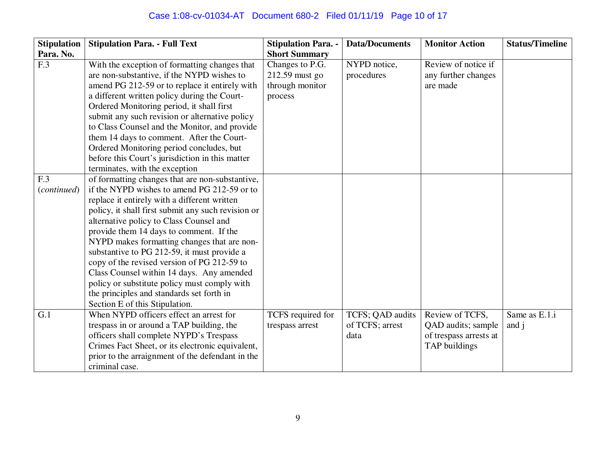# Case 1:08-cv-01034-AT Document 680-2 Filed 01/11/19 Page 10 of 17

| <b>Stipulation</b> | <b>Stipulation Para. - Full Text</b>                                                                                                                                                                                                                                                                                                                                                                                                                                                      | <b>Stipulation Para. -</b>                                      | <b>Data/Documents</b>      | <b>Monitor Action</b>                                  | <b>Status/Timeline</b> |
|--------------------|-------------------------------------------------------------------------------------------------------------------------------------------------------------------------------------------------------------------------------------------------------------------------------------------------------------------------------------------------------------------------------------------------------------------------------------------------------------------------------------------|-----------------------------------------------------------------|----------------------------|--------------------------------------------------------|------------------------|
| Para. No.          |                                                                                                                                                                                                                                                                                                                                                                                                                                                                                           | <b>Short Summary</b>                                            |                            |                                                        |                        |
| F.3                | With the exception of formatting changes that<br>are non-substantive, if the NYPD wishes to<br>amend PG 212-59 or to replace it entirely with<br>a different written policy during the Court-<br>Ordered Monitoring period, it shall first<br>submit any such revision or alternative policy<br>to Class Counsel and the Monitor, and provide<br>them 14 days to comment. After the Court-<br>Ordered Monitoring period concludes, but<br>before this Court's jurisdiction in this matter | Changes to P.G.<br>212.59 must go<br>through monitor<br>process | NYPD notice,<br>procedures | Review of notice if<br>any further changes<br>are made |                        |
| F.3                | terminates, with the exception<br>of formatting changes that are non-substantive,                                                                                                                                                                                                                                                                                                                                                                                                         |                                                                 |                            |                                                        |                        |
| (continued)        | if the NYPD wishes to amend PG 212-59 or to                                                                                                                                                                                                                                                                                                                                                                                                                                               |                                                                 |                            |                                                        |                        |
|                    | replace it entirely with a different written                                                                                                                                                                                                                                                                                                                                                                                                                                              |                                                                 |                            |                                                        |                        |
|                    | policy, it shall first submit any such revision or                                                                                                                                                                                                                                                                                                                                                                                                                                        |                                                                 |                            |                                                        |                        |
|                    | alternative policy to Class Counsel and                                                                                                                                                                                                                                                                                                                                                                                                                                                   |                                                                 |                            |                                                        |                        |
|                    | provide them 14 days to comment. If the                                                                                                                                                                                                                                                                                                                                                                                                                                                   |                                                                 |                            |                                                        |                        |
|                    | NYPD makes formatting changes that are non-                                                                                                                                                                                                                                                                                                                                                                                                                                               |                                                                 |                            |                                                        |                        |
|                    | substantive to PG 212-59, it must provide a                                                                                                                                                                                                                                                                                                                                                                                                                                               |                                                                 |                            |                                                        |                        |
|                    | copy of the revised version of PG 212-59 to                                                                                                                                                                                                                                                                                                                                                                                                                                               |                                                                 |                            |                                                        |                        |
|                    | Class Counsel within 14 days. Any amended                                                                                                                                                                                                                                                                                                                                                                                                                                                 |                                                                 |                            |                                                        |                        |
|                    | policy or substitute policy must comply with<br>the principles and standards set forth in                                                                                                                                                                                                                                                                                                                                                                                                 |                                                                 |                            |                                                        |                        |
|                    | Section E of this Stipulation.                                                                                                                                                                                                                                                                                                                                                                                                                                                            |                                                                 |                            |                                                        |                        |
| G.1                | When NYPD officers effect an arrest for                                                                                                                                                                                                                                                                                                                                                                                                                                                   | TCFS required for                                               | TCFS; QAD audits           | Review of TCFS,                                        | Same as E.1.i          |
|                    | trespass in or around a TAP building, the                                                                                                                                                                                                                                                                                                                                                                                                                                                 | trespass arrest                                                 | of TCFS; arrest            | QAD audits; sample                                     | and j                  |
|                    | officers shall complete NYPD's Trespass                                                                                                                                                                                                                                                                                                                                                                                                                                                   |                                                                 | data                       | of trespass arrests at                                 |                        |
|                    | Crimes Fact Sheet, or its electronic equivalent,                                                                                                                                                                                                                                                                                                                                                                                                                                          |                                                                 |                            | TAP buildings                                          |                        |
|                    | prior to the arraignment of the defendant in the                                                                                                                                                                                                                                                                                                                                                                                                                                          |                                                                 |                            |                                                        |                        |
|                    | criminal case.                                                                                                                                                                                                                                                                                                                                                                                                                                                                            |                                                                 |                            |                                                        |                        |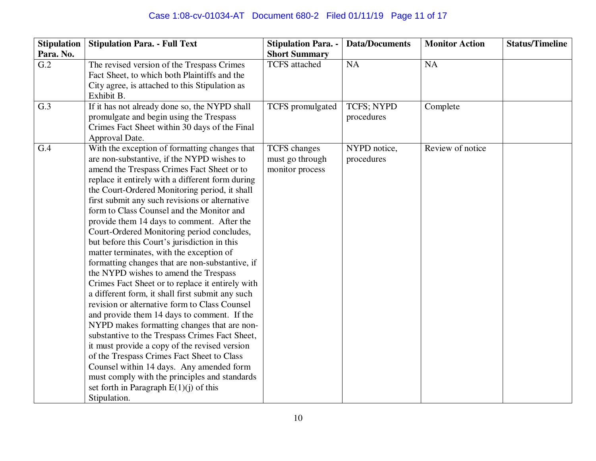# Case 1:08-cv-01034-AT Document 680-2 Filed 01/11/19 Page 11 of 17

| <b>Stipulation</b> | <b>Stipulation Para. - Full Text</b>                                                                                                                                                                                                                                                                                                                                                                                                                                                                                                                                                                                                                                                                                                                                                                                                                                                                                                                                                                                                                                                                                                                                                               | <b>Stipulation Para. -</b>                                | <b>Data/Documents</b>      | <b>Monitor Action</b> | <b>Status/Timeline</b> |
|--------------------|----------------------------------------------------------------------------------------------------------------------------------------------------------------------------------------------------------------------------------------------------------------------------------------------------------------------------------------------------------------------------------------------------------------------------------------------------------------------------------------------------------------------------------------------------------------------------------------------------------------------------------------------------------------------------------------------------------------------------------------------------------------------------------------------------------------------------------------------------------------------------------------------------------------------------------------------------------------------------------------------------------------------------------------------------------------------------------------------------------------------------------------------------------------------------------------------------|-----------------------------------------------------------|----------------------------|-----------------------|------------------------|
| Para. No.          |                                                                                                                                                                                                                                                                                                                                                                                                                                                                                                                                                                                                                                                                                                                                                                                                                                                                                                                                                                                                                                                                                                                                                                                                    | <b>Short Summary</b>                                      |                            |                       |                        |
| $\overline{G.2}$   | The revised version of the Trespass Crimes<br>Fact Sheet, to which both Plaintiffs and the<br>City agree, is attached to this Stipulation as<br>Exhibit B.                                                                                                                                                                                                                                                                                                                                                                                                                                                                                                                                                                                                                                                                                                                                                                                                                                                                                                                                                                                                                                         | <b>TCFS</b> attached                                      | <b>NA</b>                  | <b>NA</b>             |                        |
| G.3                | If it has not already done so, the NYPD shall<br>promulgate and begin using the Trespass<br>Crimes Fact Sheet within 30 days of the Final<br>Approval Date.                                                                                                                                                                                                                                                                                                                                                                                                                                                                                                                                                                                                                                                                                                                                                                                                                                                                                                                                                                                                                                        | TCFS promulgated                                          | TCFS; NYPD<br>procedures   | Complete              |                        |
| G.4                | With the exception of formatting changes that<br>are non-substantive, if the NYPD wishes to<br>amend the Trespass Crimes Fact Sheet or to<br>replace it entirely with a different form during<br>the Court-Ordered Monitoring period, it shall<br>first submit any such revisions or alternative<br>form to Class Counsel and the Monitor and<br>provide them 14 days to comment. After the<br>Court-Ordered Monitoring period concludes,<br>but before this Court's jurisdiction in this<br>matter terminates, with the exception of<br>formatting changes that are non-substantive, if<br>the NYPD wishes to amend the Trespass<br>Crimes Fact Sheet or to replace it entirely with<br>a different form, it shall first submit any such<br>revision or alternative form to Class Counsel<br>and provide them 14 days to comment. If the<br>NYPD makes formatting changes that are non-<br>substantive to the Trespass Crimes Fact Sheet,<br>it must provide a copy of the revised version<br>of the Trespass Crimes Fact Sheet to Class<br>Counsel within 14 days. Any amended form<br>must comply with the principles and standards<br>set forth in Paragraph $E(1)(j)$ of this<br>Stipulation. | <b>TCFS</b> changes<br>must go through<br>monitor process | NYPD notice,<br>procedures | Review of notice      |                        |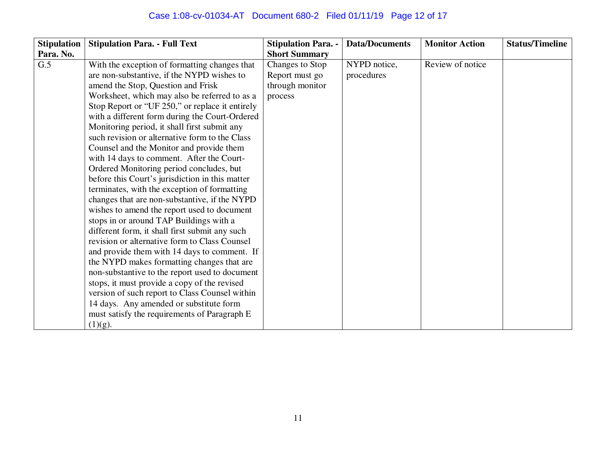# Case 1:08-cv-01034-AT Document 680-2 Filed 01/11/19 Page 12 of 17

| <b>Stipulation</b> | <b>Stipulation Para. - Full Text</b>            | <b>Stipulation Para. -</b> | <b>Data/Documents</b> | <b>Monitor Action</b> | <b>Status/Timeline</b> |
|--------------------|-------------------------------------------------|----------------------------|-----------------------|-----------------------|------------------------|
| Para. No.          |                                                 | <b>Short Summary</b>       |                       |                       |                        |
| G.5                | With the exception of formatting changes that   | Changes to Stop            | NYPD notice,          | Review of notice      |                        |
|                    | are non-substantive, if the NYPD wishes to      | Report must go             | procedures            |                       |                        |
|                    | amend the Stop, Question and Frisk              | through monitor            |                       |                       |                        |
|                    | Worksheet, which may also be referred to as a   | process                    |                       |                       |                        |
|                    | Stop Report or "UF 250," or replace it entirely |                            |                       |                       |                        |
|                    | with a different form during the Court-Ordered  |                            |                       |                       |                        |
|                    | Monitoring period, it shall first submit any    |                            |                       |                       |                        |
|                    | such revision or alternative form to the Class  |                            |                       |                       |                        |
|                    | Counsel and the Monitor and provide them        |                            |                       |                       |                        |
|                    | with 14 days to comment. After the Court-       |                            |                       |                       |                        |
|                    | Ordered Monitoring period concludes, but        |                            |                       |                       |                        |
|                    | before this Court's jurisdiction in this matter |                            |                       |                       |                        |
|                    | terminates, with the exception of formatting    |                            |                       |                       |                        |
|                    | changes that are non-substantive, if the NYPD   |                            |                       |                       |                        |
|                    | wishes to amend the report used to document     |                            |                       |                       |                        |
|                    | stops in or around TAP Buildings with a         |                            |                       |                       |                        |
|                    | different form, it shall first submit any such  |                            |                       |                       |                        |
|                    | revision or alternative form to Class Counsel   |                            |                       |                       |                        |
|                    | and provide them with 14 days to comment. If    |                            |                       |                       |                        |
|                    | the NYPD makes formatting changes that are      |                            |                       |                       |                        |
|                    | non-substantive to the report used to document  |                            |                       |                       |                        |
|                    | stops, it must provide a copy of the revised    |                            |                       |                       |                        |
|                    | version of such report to Class Counsel within  |                            |                       |                       |                        |
|                    | 14 days. Any amended or substitute form         |                            |                       |                       |                        |
|                    | must satisfy the requirements of Paragraph E    |                            |                       |                       |                        |
|                    | (1)(g).                                         |                            |                       |                       |                        |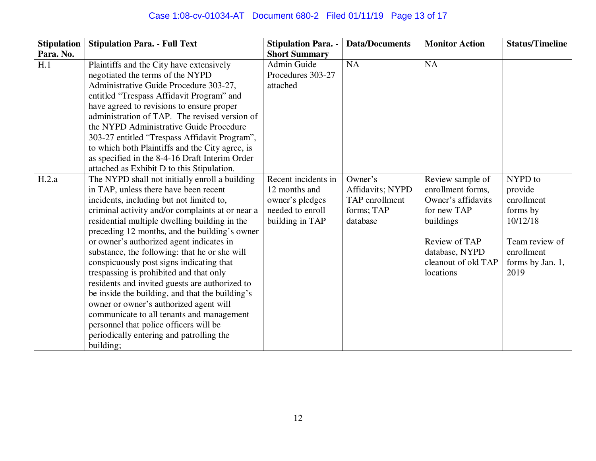# Case 1:08-cv-01034-AT Document 680-2 Filed 01/11/19 Page 13 of 17

| <b>Stipulation</b> | <b>Stipulation Para. - Full Text</b>                                                                                                                                                                                                                                                                                                                                                                                                                                                                                                                                                                                                                                                                                                                                         | <b>Stipulation Para. -</b>                                                                     | <b>Data/Documents</b>                                                   | <b>Monitor Action</b>                                                                                                                                          | <b>Status/Timeline</b>                                                                                               |
|--------------------|------------------------------------------------------------------------------------------------------------------------------------------------------------------------------------------------------------------------------------------------------------------------------------------------------------------------------------------------------------------------------------------------------------------------------------------------------------------------------------------------------------------------------------------------------------------------------------------------------------------------------------------------------------------------------------------------------------------------------------------------------------------------------|------------------------------------------------------------------------------------------------|-------------------------------------------------------------------------|----------------------------------------------------------------------------------------------------------------------------------------------------------------|----------------------------------------------------------------------------------------------------------------------|
| Para. No.          |                                                                                                                                                                                                                                                                                                                                                                                                                                                                                                                                                                                                                                                                                                                                                                              | <b>Short Summary</b>                                                                           |                                                                         |                                                                                                                                                                |                                                                                                                      |
| H.1                | Plaintiffs and the City have extensively<br>negotiated the terms of the NYPD<br>Administrative Guide Procedure 303-27,<br>entitled "Trespass Affidavit Program" and<br>have agreed to revisions to ensure proper<br>administration of TAP. The revised version of<br>the NYPD Administrative Guide Procedure<br>303-27 entitled "Trespass Affidavit Program",<br>to which both Plaintiffs and the City agree, is<br>as specified in the 8-4-16 Draft Interim Order<br>attached as Exhibit D to this Stipulation.                                                                                                                                                                                                                                                             | <b>Admin Guide</b><br>Procedures 303-27<br>attached                                            | <b>NA</b>                                                               | <b>NA</b>                                                                                                                                                      |                                                                                                                      |
| H.2.a              | The NYPD shall not initially enroll a building<br>in TAP, unless there have been recent<br>incidents, including but not limited to,<br>criminal activity and/or complaints at or near a<br>residential multiple dwelling building in the<br>preceding 12 months, and the building's owner<br>or owner's authorized agent indicates in<br>substance, the following: that he or she will<br>conspicuously post signs indicating that<br>trespassing is prohibited and that only<br>residents and invited guests are authorized to<br>be inside the building, and that the building's<br>owner or owner's authorized agent will<br>communicate to all tenants and management<br>personnel that police officers will be<br>periodically entering and patrolling the<br>building; | Recent incidents in<br>12 months and<br>owner's pledges<br>needed to enroll<br>building in TAP | Owner's<br>Affidavits; NYPD<br>TAP enrollment<br>forms; TAP<br>database | Review sample of<br>enrollment forms,<br>Owner's affidavits<br>for new TAP<br>buildings<br>Review of TAP<br>database, NYPD<br>cleanout of old TAP<br>locations | NYPD to<br>provide<br>enrollment<br>forms by<br>10/12/18<br>Team review of<br>enrollment<br>forms by Jan. 1,<br>2019 |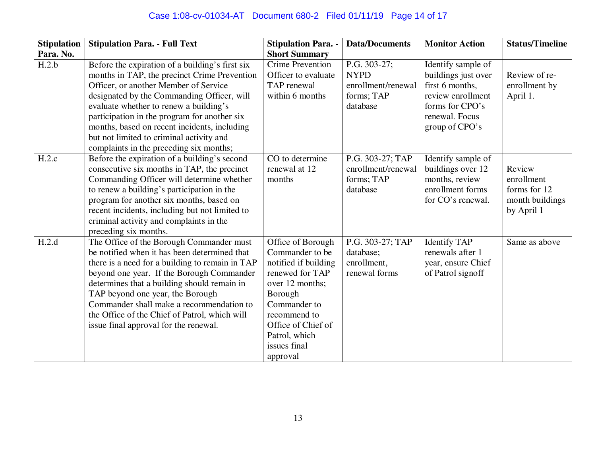# Case 1:08-cv-01034-AT Document 680-2 Filed 01/11/19 Page 14 of 17

| <b>Stipulation</b> | <b>Stipulation Para. - Full Text</b>                                                                                                                                                                                                                                                                                                                                                                                    | <b>Stipulation Para. -</b>                                                                                                                                                                                       | <b>Data/Documents</b>                                                       | <b>Monitor Action</b>                                                                                                                    | <b>Status/Timeline</b>                                                |
|--------------------|-------------------------------------------------------------------------------------------------------------------------------------------------------------------------------------------------------------------------------------------------------------------------------------------------------------------------------------------------------------------------------------------------------------------------|------------------------------------------------------------------------------------------------------------------------------------------------------------------------------------------------------------------|-----------------------------------------------------------------------------|------------------------------------------------------------------------------------------------------------------------------------------|-----------------------------------------------------------------------|
| Para. No.          |                                                                                                                                                                                                                                                                                                                                                                                                                         | <b>Short Summary</b>                                                                                                                                                                                             |                                                                             |                                                                                                                                          |                                                                       |
| H.2.b              | Before the expiration of a building's first six<br>months in TAP, the precinct Crime Prevention<br>Officer, or another Member of Service<br>designated by the Commanding Officer, will<br>evaluate whether to renew a building's<br>participation in the program for another six<br>months, based on recent incidents, including<br>but not limited to criminal activity and<br>complaints in the preceding six months; | <b>Crime Prevention</b><br>Officer to evaluate<br>TAP renewal<br>within 6 months                                                                                                                                 | P.G. 303-27;<br><b>NYPD</b><br>enrollment/renewal<br>forms; TAP<br>database | Identify sample of<br>buildings just over<br>first 6 months,<br>review enrollment<br>forms for CPO's<br>renewal. Focus<br>group of CPO's | Review of re-<br>enrollment by<br>April 1.                            |
| H.2.c              | Before the expiration of a building's second<br>consecutive six months in TAP, the precinct<br>Commanding Officer will determine whether<br>to renew a building's participation in the<br>program for another six months, based on<br>recent incidents, including but not limited to<br>criminal activity and complaints in the<br>preceding six months.                                                                | CO to determine<br>renewal at 12<br>months                                                                                                                                                                       | P.G. 303-27; TAP<br>enrollment/renewal<br>forms; TAP<br>database            | Identify sample of<br>buildings over 12<br>months, review<br>enrollment forms<br>for CO's renewal.                                       | Review<br>enrollment<br>forms for 12<br>month buildings<br>by April 1 |
| H.2.d              | The Office of the Borough Commander must<br>be notified when it has been determined that<br>there is a need for a building to remain in TAP<br>beyond one year. If the Borough Commander<br>determines that a building should remain in<br>TAP beyond one year, the Borough<br>Commander shall make a recommendation to<br>the Office of the Chief of Patrol, which will<br>is sue final approval for the renewal.      | Office of Borough<br>Commander to be<br>notified if building<br>renewed for TAP<br>over 12 months;<br>Borough<br>Commander to<br>recommend to<br>Office of Chief of<br>Patrol, which<br>issues final<br>approval | P.G. 303-27; TAP<br>database;<br>enrollment,<br>renewal forms               | <b>Identify TAP</b><br>renewals after 1<br>year, ensure Chief<br>of Patrol signoff                                                       | Same as above                                                         |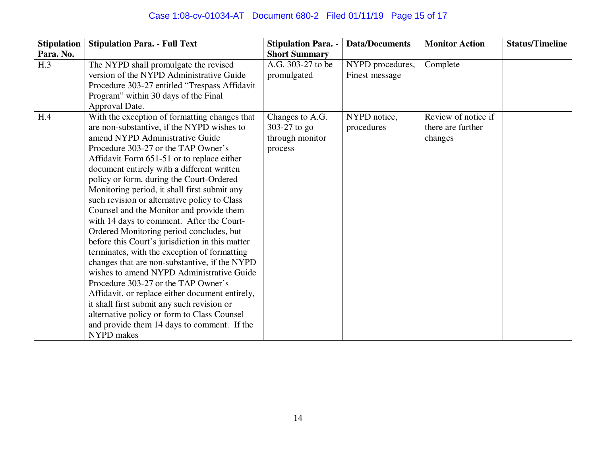# Case 1:08-cv-01034-AT Document 680-2 Filed 01/11/19 Page 15 of 17

| <b>Stipulation</b> | <b>Stipulation Para. - Full Text</b>                                                            | <b>Stipulation Para. -</b> | <b>Data/Documents</b> | <b>Monitor Action</b> | <b>Status/Timeline</b> |
|--------------------|-------------------------------------------------------------------------------------------------|----------------------------|-----------------------|-----------------------|------------------------|
| Para. No.          |                                                                                                 | <b>Short Summary</b>       |                       |                       |                        |
| H.3                | The NYPD shall promulgate the revised                                                           | A.G. 303-27 to be          | NYPD procedures,      | Complete              |                        |
|                    | version of the NYPD Administrative Guide                                                        | promulgated                | Finest message        |                       |                        |
|                    | Procedure 303-27 entitled "Trespass Affidavit                                                   |                            |                       |                       |                        |
|                    | Program" within 30 days of the Final                                                            |                            |                       |                       |                        |
|                    | Approval Date.                                                                                  |                            |                       |                       |                        |
| H.4                | With the exception of formatting changes that                                                   | Changes to A.G.            | NYPD notice,          | Review of notice if   |                        |
|                    | are non-substantive, if the NYPD wishes to                                                      | 303-27 to go               | procedures            | there are further     |                        |
|                    | amend NYPD Administrative Guide                                                                 | through monitor            |                       | changes               |                        |
|                    | Procedure 303-27 or the TAP Owner's                                                             | process                    |                       |                       |                        |
|                    | Affidavit Form 651-51 or to replace either                                                      |                            |                       |                       |                        |
|                    | document entirely with a different written                                                      |                            |                       |                       |                        |
|                    | policy or form, during the Court-Ordered                                                        |                            |                       |                       |                        |
|                    | Monitoring period, it shall first submit any                                                    |                            |                       |                       |                        |
|                    | such revision or alternative policy to Class                                                    |                            |                       |                       |                        |
|                    | Counsel and the Monitor and provide them                                                        |                            |                       |                       |                        |
|                    | with 14 days to comment. After the Court-                                                       |                            |                       |                       |                        |
|                    | Ordered Monitoring period concludes, but                                                        |                            |                       |                       |                        |
|                    | before this Court's jurisdiction in this matter<br>terminates, with the exception of formatting |                            |                       |                       |                        |
|                    | changes that are non-substantive, if the NYPD                                                   |                            |                       |                       |                        |
|                    | wishes to amend NYPD Administrative Guide                                                       |                            |                       |                       |                        |
|                    | Procedure 303-27 or the TAP Owner's                                                             |                            |                       |                       |                        |
|                    | Affidavit, or replace either document entirely,                                                 |                            |                       |                       |                        |
|                    | it shall first submit any such revision or                                                      |                            |                       |                       |                        |
|                    | alternative policy or form to Class Counsel                                                     |                            |                       |                       |                        |
|                    | and provide them 14 days to comment. If the                                                     |                            |                       |                       |                        |
|                    | NYPD makes                                                                                      |                            |                       |                       |                        |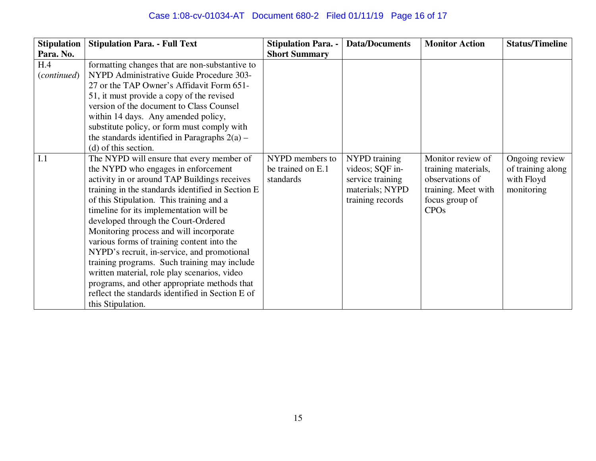# Case 1:08-cv-01034-AT Document 680-2 Filed 01/11/19 Page 16 of 17

| <b>Stipulation</b>          | <b>Stipulation Para. - Full Text</b>                                                                                                                                                                                                                                                                                                                                                                                                                                                                                                                                                                                                                                                                         | <b>Stipulation Para. -</b>                        | <b>Data/Documents</b>                                                                       | <b>Monitor Action</b>                                                                                               | <b>Status/Timeline</b>                                          |
|-----------------------------|--------------------------------------------------------------------------------------------------------------------------------------------------------------------------------------------------------------------------------------------------------------------------------------------------------------------------------------------------------------------------------------------------------------------------------------------------------------------------------------------------------------------------------------------------------------------------------------------------------------------------------------------------------------------------------------------------------------|---------------------------------------------------|---------------------------------------------------------------------------------------------|---------------------------------------------------------------------------------------------------------------------|-----------------------------------------------------------------|
| Para. No.                   |                                                                                                                                                                                                                                                                                                                                                                                                                                                                                                                                                                                                                                                                                                              | <b>Short Summary</b>                              |                                                                                             |                                                                                                                     |                                                                 |
| H.4<br>( <i>continued</i> ) | formatting changes that are non-substantive to<br>NYPD Administrative Guide Procedure 303-<br>27 or the TAP Owner's Affidavit Form 651-<br>51, it must provide a copy of the revised<br>version of the document to Class Counsel<br>within 14 days. Any amended policy,<br>substitute policy, or form must comply with<br>the standards identified in Paragraphs $2(a)$ –                                                                                                                                                                                                                                                                                                                                    |                                                   |                                                                                             |                                                                                                                     |                                                                 |
| I.1                         | (d) of this section.<br>The NYPD will ensure that every member of<br>the NYPD who engages in enforcement<br>activity in or around TAP Buildings receives<br>training in the standards identified in Section E<br>of this Stipulation. This training and a<br>timeline for its implementation will be<br>developed through the Court-Ordered<br>Monitoring process and will incorporate<br>various forms of training content into the<br>NYPD's recruit, in-service, and promotional<br>training programs. Such training may include<br>written material, role play scenarios, video<br>programs, and other appropriate methods that<br>reflect the standards identified in Section E of<br>this Stipulation. | NYPD members to<br>be trained on E.1<br>standards | NYPD training<br>videos; SQF in-<br>service training<br>materials; NYPD<br>training records | Monitor review of<br>training materials,<br>observations of<br>training. Meet with<br>focus group of<br><b>CPOs</b> | Ongoing review<br>of training along<br>with Floyd<br>monitoring |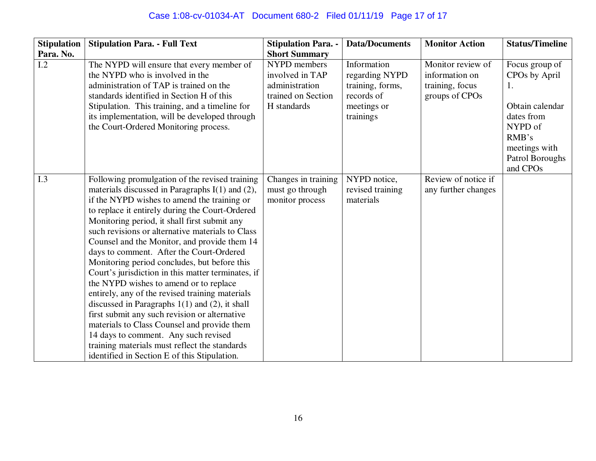# Case 1:08-cv-01034-AT Document 680-2 Filed 01/11/19 Page 17 of 17

| <b>Stipulation</b> | <b>Stipulation Para. - Full Text</b>                                                                                                                                                                                                                                                                                                                                                                                                                                                                                                                                                                                                                                                                                                                                                                                                                                                                     | <b>Stipulation Para. -</b>                                                             | <b>Data/Documents</b>                                                                       | <b>Monitor Action</b>                                                    | <b>Status/Timeline</b>                                                                                                                                 |
|--------------------|----------------------------------------------------------------------------------------------------------------------------------------------------------------------------------------------------------------------------------------------------------------------------------------------------------------------------------------------------------------------------------------------------------------------------------------------------------------------------------------------------------------------------------------------------------------------------------------------------------------------------------------------------------------------------------------------------------------------------------------------------------------------------------------------------------------------------------------------------------------------------------------------------------|----------------------------------------------------------------------------------------|---------------------------------------------------------------------------------------------|--------------------------------------------------------------------------|--------------------------------------------------------------------------------------------------------------------------------------------------------|
| Para. No.          |                                                                                                                                                                                                                                                                                                                                                                                                                                                                                                                                                                                                                                                                                                                                                                                                                                                                                                          | <b>Short Summary</b>                                                                   |                                                                                             |                                                                          |                                                                                                                                                        |
| I.2                | The NYPD will ensure that every member of<br>the NYPD who is involved in the<br>administration of TAP is trained on the<br>standards identified in Section H of this<br>Stipulation. This training, and a timeline for<br>its implementation, will be developed through<br>the Court-Ordered Monitoring process.                                                                                                                                                                                                                                                                                                                                                                                                                                                                                                                                                                                         | NYPD members<br>involved in TAP<br>administration<br>trained on Section<br>H standards | Information<br>regarding NYPD<br>training, forms,<br>records of<br>meetings or<br>trainings | Monitor review of<br>information on<br>training, focus<br>groups of CPOs | Focus group of<br>CPOs by April<br>1.<br>Obtain calendar<br>dates from<br>NYPD of<br>RMB's<br>meetings with<br>Patrol Boroughs<br>and CPO <sub>s</sub> |
| I.3                | Following promulgation of the revised training<br>materials discussed in Paragraphs $I(1)$ and $(2)$ ,<br>if the NYPD wishes to amend the training or<br>to replace it entirely during the Court-Ordered<br>Monitoring period, it shall first submit any<br>such revisions or alternative materials to Class<br>Counsel and the Monitor, and provide them 14<br>days to comment. After the Court-Ordered<br>Monitoring period concludes, but before this<br>Court's jurisdiction in this matter terminates, if<br>the NYPD wishes to amend or to replace<br>entirely, any of the revised training materials<br>discussed in Paragraphs $1(1)$ and (2), it shall<br>first submit any such revision or alternative<br>materials to Class Counsel and provide them<br>14 days to comment. Any such revised<br>training materials must reflect the standards<br>identified in Section E of this Stipulation. | Changes in training<br>must go through<br>monitor process                              | NYPD notice,<br>revised training<br>materials                                               | Review of notice if<br>any further changes                               |                                                                                                                                                        |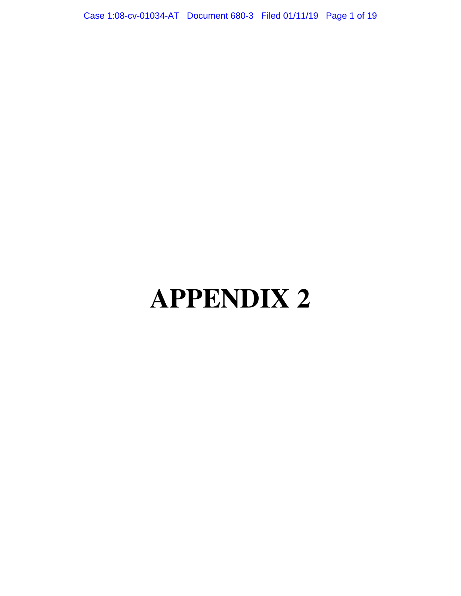Case 1:08-cv-01034-AT Document 680-3 Filed 01/11/19 Page 1 of 19

# **APPENDIX 2**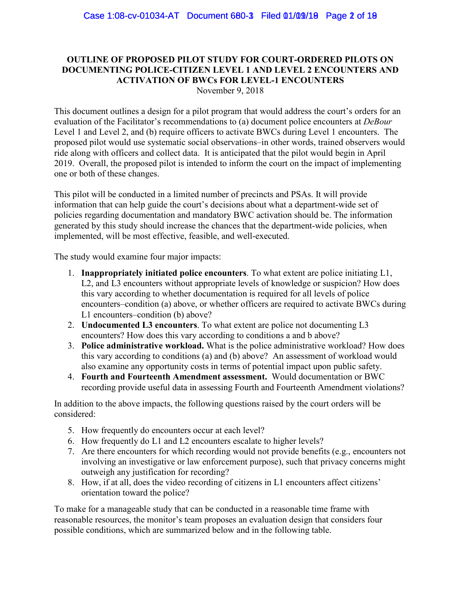## **OUTLINE OF PROPOSED PILOT STUDY FOR COURT-ORDERED PILOTS ON DOCUMENTING POLICE-CITIZEN LEVEL 1 AND LEVEL 2 ENCOUNTERS AND ACTIVATION OF BWCs FOR LEVEL-1 ENCOUNTERS**

November 9, 2018

This document outlines a design for a pilot program that would address the court's orders for an evaluation of the Facilitator's recommendations to (a) document police encounters at *DeBour* Level 1 and Level 2, and (b) require officers to activate BWCs during Level 1 encounters. The proposed pilot would use systematic social observations–in other words, trained observers would ride along with officers and collect data. It is anticipated that the pilot would begin in April 2019. Overall, the proposed pilot is intended to inform the court on the impact of implementing one or both of these changes.

This pilot will be conducted in a limited number of precincts and PSAs. It will provide information that can help guide the court's decisions about what a department-wide set of policies regarding documentation and mandatory BWC activation should be. The information generated by this study should increase the chances that the department-wide policies, when implemented, will be most effective, feasible, and well-executed.

The study would examine four major impacts:

- 1. **Inappropriately initiated police encounters**. To what extent are police initiating L1, L2, and L3 encounters without appropriate levels of knowledge or suspicion? How does this vary according to whether documentation is required for all levels of police encounters–condition (a) above, or whether officers are required to activate BWCs during L1 encounters–condition (b) above?
- 2. **Undocumented L3 encounters**. To what extent are police not documenting L3 encounters? How does this vary according to conditions a and b above?
- 3. **Police administrative workload.** What is the police administrative workload? How does this vary according to conditions (a) and (b) above? An assessment of workload would also examine any opportunity costs in terms of potential impact upon public safety.
- 4. **Fourth and Fourteenth Amendment assessment.** Would documentation or BWC recording provide useful data in assessing Fourth and Fourteenth Amendment violations?

In addition to the above impacts, the following questions raised by the court orders will be considered:

- 5. How frequently do encounters occur at each level?
- 6. How frequently do L1 and L2 encounters escalate to higher levels?
- 7. Are there encounters for which recording would not provide benefits (e.g., encounters not involving an investigative or law enforcement purpose), such that privacy concerns might outweigh any justification for recording?
- 8. How, if at all, does the video recording of citizens in L1 encounters affect citizens' orientation toward the police?

To make for a manageable study that can be conducted in a reasonable time frame with reasonable resources, the monitor's team proposes an evaluation design that considers four possible conditions, which are summarized below and in the following table.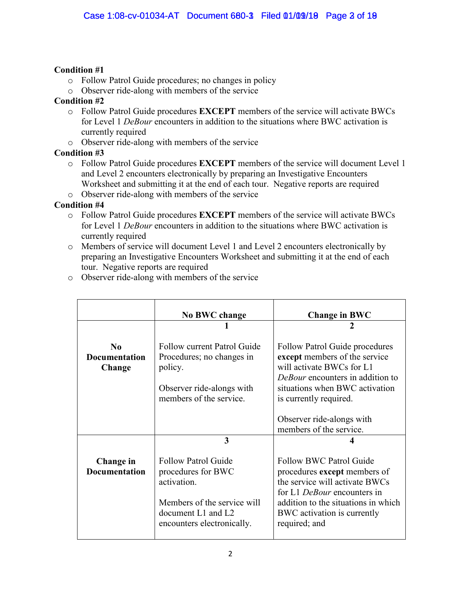### **Condition #1**

- o Follow Patrol Guide procedures; no changes in policy
- o Observer ride-along with members of the service

## **Condition #2**

- o Follow Patrol Guide procedures **EXCEPT** members of the service will activate BWCs for Level 1 *DeBour* encounters in addition to the situations where BWC activation is currently required
- o Observer ride-along with members of the service

## **Condition #3**

- o Follow Patrol Guide procedures **EXCEPT** members of the service will document Level 1 and Level 2 encounters electronically by preparing an Investigative Encounters Worksheet and submitting it at the end of each tour. Negative reports are required
- o Observer ride-along with members of the service

## **Condition #4**

- o Follow Patrol Guide procedures **EXCEPT** members of the service will activate BWCs for Level 1 *DeBour* encounters in addition to the situations where BWC activation is currently required
- o Members of service will document Level 1 and Level 2 encounters electronically by preparing an Investigative Encounters Worksheet and submitting it at the end of each tour. Negative reports are required

|                                            | No BWC change                                                                                                                                      | <b>Change in BWC</b>                                                                                                                                                                                                   |  |  |
|--------------------------------------------|----------------------------------------------------------------------------------------------------------------------------------------------------|------------------------------------------------------------------------------------------------------------------------------------------------------------------------------------------------------------------------|--|--|
|                                            |                                                                                                                                                    |                                                                                                                                                                                                                        |  |  |
| $\bf No$<br><b>Documentation</b><br>Change | Follow current Patrol Guide<br>Procedures; no changes in<br>policy.<br>Observer ride-alongs with                                                   | Follow Patrol Guide procedures<br>except members of the service<br>will activate BWCs for L1<br>DeBour encounters in addition to<br>situations when BWC activation                                                     |  |  |
|                                            | members of the service.                                                                                                                            | is currently required.                                                                                                                                                                                                 |  |  |
|                                            |                                                                                                                                                    | Observer ride-alongs with<br>members of the service.                                                                                                                                                                   |  |  |
|                                            | 3                                                                                                                                                  |                                                                                                                                                                                                                        |  |  |
| Change in<br><b>Documentation</b>          | <b>Follow Patrol Guide</b><br>procedures for BWC<br>activation.<br>Members of the service will<br>document L1 and L2<br>encounters electronically. | <b>Follow BWC Patrol Guide</b><br>procedures except members of<br>the service will activate BWCs<br>for L1 DeBour encounters in<br>addition to the situations in which<br>BWC activation is currently<br>required; and |  |  |

o Observer ride-along with members of the service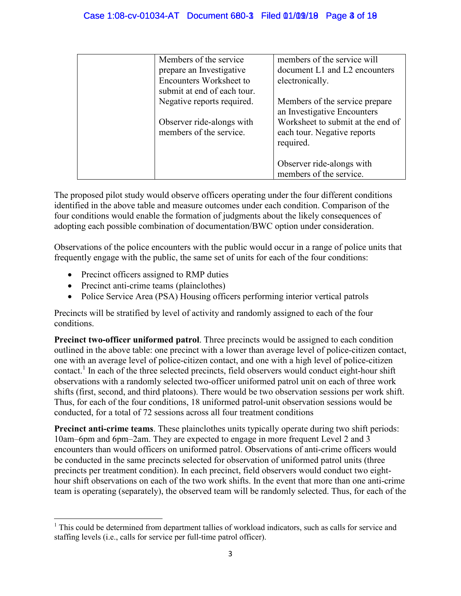| Members of the service         | members of the service will       |
|--------------------------------|-----------------------------------|
| prepare an Investigative       | document L1 and L2 encounters     |
| <b>Encounters Worksheet to</b> | electronically.                   |
| submit at end of each tour.    |                                   |
| Negative reports required.     | Members of the service prepare    |
|                                | an Investigative Encounters       |
| Observer ride-alongs with      | Worksheet to submit at the end of |
| members of the service.        | each tour. Negative reports       |
|                                | required.                         |
|                                |                                   |
|                                | Observer ride-alongs with         |
|                                | members of the service.           |

The proposed pilot study would observe officers operating under the four different conditions identified in the above table and measure outcomes under each condition. Comparison of the four conditions would enable the formation of judgments about the likely consequences of adopting each possible combination of documentation/BWC option under consideration.

Observations of the police encounters with the public would occur in a range of police units that frequently engage with the public, the same set of units for each of the four conditions:

- Precinct officers assigned to RMP duties
- Precinct anti-crime teams (plainclothes)
- Police Service Area (PSA) Housing officers performing interior vertical patrols

Precincts will be stratified by level of activity and randomly assigned to each of the four conditions.

**Precinct two-officer uniformed patrol**. Three precincts would be assigned to each condition outlined in the above table: one precinct with a lower than average level of police-citizen contact, one with an average level of police-citizen contact, and one with a high level of police-citizen contact.<sup>1</sup> In each of the three selected precincts, field observers would conduct eight-hour shift observations with a randomly selected two-officer uniformed patrol unit on each of three work shifts (first, second, and third platoons). There would be two observation sessions per work shift. Thus, for each of the four conditions, 18 uniformed patrol-unit observation sessions would be conducted, for a total of 72 sessions across all four treatment conditions

**Precinct anti-crime teams**. These plainclothes units typically operate during two shift periods: 10am–6pm and 6pm–2am. They are expected to engage in more frequent Level 2 and 3 encounters than would officers on uniformed patrol. Observations of anti-crime officers would be conducted in the same precincts selected for observation of uniformed patrol units (three precincts per treatment condition). In each precinct, field observers would conduct two eighthour shift observations on each of the two work shifts. In the event that more than one anti-crime team is operating (separately), the observed team will be randomly selected. Thus, for each of the

<sup>&</sup>lt;sup>1</sup> This could be determined from department tallies of workload indicators, such as calls for service and staffing levels (i.e., calls for service per full-time patrol officer).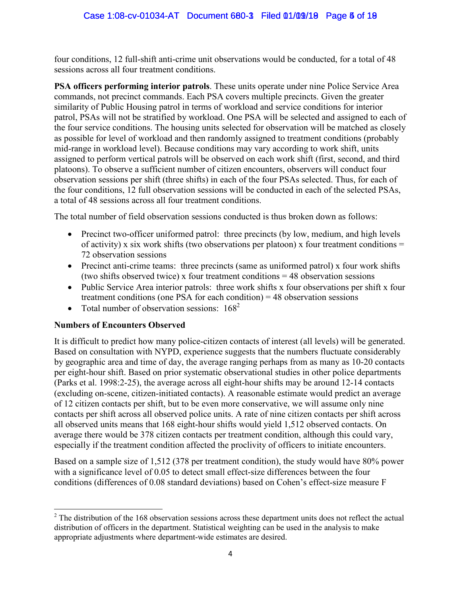four conditions, 12 full-shift anti-crime unit observations would be conducted, for a total of 48 sessions across all four treatment conditions.

**PSA officers performing interior patrols**. These units operate under nine Police Service Area commands, not precinct commands. Each PSA covers multiple precincts. Given the greater similarity of Public Housing patrol in terms of workload and service conditions for interior patrol, PSAs will not be stratified by workload. One PSA will be selected and assigned to each of the four service conditions. The housing units selected for observation will be matched as closely as possible for level of workload and then randomly assigned to treatment conditions (probably mid-range in workload level). Because conditions may vary according to work shift, units assigned to perform vertical patrols will be observed on each work shift (first, second, and third platoons). To observe a sufficient number of citizen encounters, observers will conduct four observation sessions per shift (three shifts) in each of the four PSAs selected. Thus, for each of the four conditions, 12 full observation sessions will be conducted in each of the selected PSAs, a total of 48 sessions across all four treatment conditions.

The total number of field observation sessions conducted is thus broken down as follows:

- Precinct two-officer uniformed patrol: three precincts (by low, medium, and high levels of activity) x six work shifts (two observations per platoon) x four treatment conditions  $=$ 72 observation sessions
- Precinct anti-crime teams: three precincts (same as uniformed patrol) x four work shifts (two shifts observed twice) x four treatment conditions = 48 observation sessions
- Public Service Area interior patrols: three work shifts x four observations per shift x four treatment conditions (one PSA for each condition) = 48 observation sessions
- Total number of observation sessions:  $168^2$

### **Numbers of Encounters Observed**

It is difficult to predict how many police-citizen contacts of interest (all levels) will be generated. Based on consultation with NYPD, experience suggests that the numbers fluctuate considerably by geographic area and time of day, the average ranging perhaps from as many as 10-20 contacts per eight-hour shift. Based on prior systematic observational studies in other police departments (Parks et al. 1998:2-25), the average across all eight-hour shifts may be around 12-14 contacts (excluding on-scene, citizen-initiated contacts). A reasonable estimate would predict an average of 12 citizen contacts per shift, but to be even more conservative, we will assume only nine contacts per shift across all observed police units. A rate of nine citizen contacts per shift across all observed units means that 168 eight-hour shifts would yield 1,512 observed contacts. On average there would be 378 citizen contacts per treatment condition, although this could vary, especially if the treatment condition affected the proclivity of officers to initiate encounters.

Based on a sample size of 1,512 (378 per treatment condition), the study would have 80% power with a significance level of 0.05 to detect small effect-size differences between the four conditions (differences of 0.08 standard deviations) based on Cohen's effect-size measure F

 $2^2$  The distribution of the 168 observation sessions across these department units does not reflect the actual distribution of officers in the department. Statistical weighting can be used in the analysis to make appropriate adjustments where department-wide estimates are desired.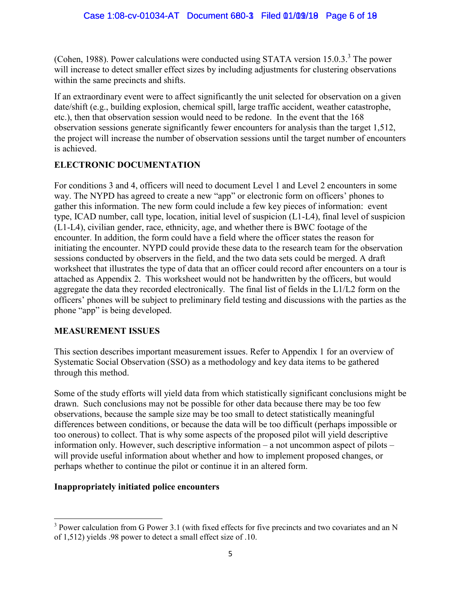(Cohen, 1988). Power calculations were conducted using STATA version 15.0.3.<sup>3</sup> The power will increase to detect smaller effect sizes by including adjustments for clustering observations within the same precincts and shifts.

If an extraordinary event were to affect significantly the unit selected for observation on a given date/shift (e.g., building explosion, chemical spill, large traffic accident, weather catastrophe, etc.), then that observation session would need to be redone. In the event that the 168 observation sessions generate significantly fewer encounters for analysis than the target 1,512, the project will increase the number of observation sessions until the target number of encounters is achieved.

## **ELECTRONIC DOCUMENTATION**

For conditions 3 and 4, officers will need to document Level 1 and Level 2 encounters in some way. The NYPD has agreed to create a new "app" or electronic form on officers' phones to gather this information. The new form could include a few key pieces of information: event type, ICAD number, call type, location, initial level of suspicion (L1-L4), final level of suspicion (L1-L4), civilian gender, race, ethnicity, age, and whether there is BWC footage of the encounter. In addition, the form could have a field where the officer states the reason for initiating the encounter. NYPD could provide these data to the research team for the observation sessions conducted by observers in the field, and the two data sets could be merged. A draft worksheet that illustrates the type of data that an officer could record after encounters on a tour is attached as Appendix 2. This worksheet would not be handwritten by the officers, but would aggregate the data they recorded electronically. The final list of fields in the L1/L2 form on the officers' phones will be subject to preliminary field testing and discussions with the parties as the phone "app" is being developed.

### **MEASUREMENT ISSUES**

This section describes important measurement issues. Refer to Appendix 1 for an overview of Systematic Social Observation (SSO) as a methodology and key data items to be gathered through this method.

Some of the study efforts will yield data from which statistically significant conclusions might be drawn. Such conclusions may not be possible for other data because there may be too few observations, because the sample size may be too small to detect statistically meaningful differences between conditions, or because the data will be too difficult (perhaps impossible or too onerous) to collect. That is why some aspects of the proposed pilot will yield descriptive information only. However, such descriptive information – a not uncommon aspect of pilots – will provide useful information about whether and how to implement proposed changes, or perhaps whether to continue the pilot or continue it in an altered form.

## **Inappropriately initiated police encounters**

 $3$  Power calculation from G Power 3.1 (with fixed effects for five precincts and two covariates and an N of 1,512) yields .98 power to detect a small effect size of .10.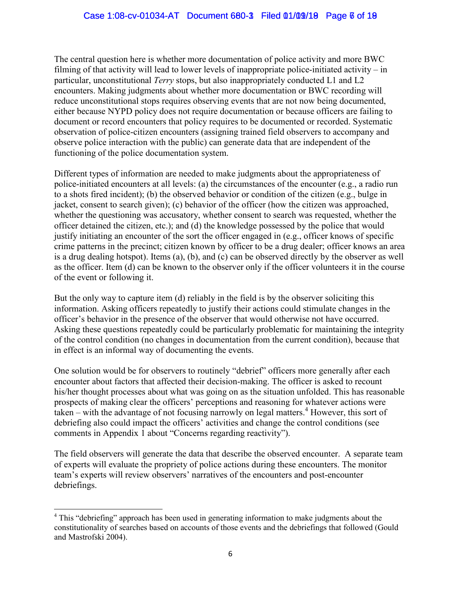The central question here is whether more documentation of police activity and more BWC filming of that activity will lead to lower levels of inappropriate police-initiated activity – in particular, unconstitutional *Terry* stops, but also inappropriately conducted L1 and L2 encounters. Making judgments about whether more documentation or BWC recording will reduce unconstitutional stops requires observing events that are not now being documented, either because NYPD policy does not require documentation or because officers are failing to document or record encounters that policy requires to be documented or recorded. Systematic observation of police-citizen encounters (assigning trained field observers to accompany and observe police interaction with the public) can generate data that are independent of the functioning of the police documentation system.

Different types of information are needed to make judgments about the appropriateness of police-initiated encounters at all levels: (a) the circumstances of the encounter (e.g., a radio run to a shots fired incident); (b) the observed behavior or condition of the citizen (e.g., bulge in jacket, consent to search given); (c) behavior of the officer (how the citizen was approached, whether the questioning was accusatory, whether consent to search was requested, whether the officer detained the citizen, etc.); and (d) the knowledge possessed by the police that would justify initiating an encounter of the sort the officer engaged in (e.g., officer knows of specific crime patterns in the precinct; citizen known by officer to be a drug dealer; officer knows an area is a drug dealing hotspot). Items (a), (b), and (c) can be observed directly by the observer as well as the officer. Item (d) can be known to the observer only if the officer volunteers it in the course of the event or following it.

But the only way to capture item (d) reliably in the field is by the observer soliciting this information. Asking officers repeatedly to justify their actions could stimulate changes in the officer's behavior in the presence of the observer that would otherwise not have occurred. Asking these questions repeatedly could be particularly problematic for maintaining the integrity of the control condition (no changes in documentation from the current condition), because that in effect is an informal way of documenting the events.

One solution would be for observers to routinely "debrief" officers more generally after each encounter about factors that affected their decision-making. The officer is asked to recount his/her thought processes about what was going on as the situation unfolded. This has reasonable prospects of making clear the officers' perceptions and reasoning for whatever actions were  $\alpha$  taken – with the advantage of not focusing narrowly on legal matters.<sup>4</sup> However, this sort of debriefing also could impact the officers' activities and change the control conditions (see comments in Appendix 1 about "Concerns regarding reactivity").

The field observers will generate the data that describe the observed encounter. A separate team of experts will evaluate the propriety of police actions during these encounters. The monitor team's experts will review observers' narratives of the encounters and post-encounter debriefings.

<sup>&</sup>lt;sup>4</sup> This "debriefing" approach has been used in generating information to make judgments about the constitutionality of searches based on accounts of those events and the debriefings that followed (Gould and Mastrofski 2004).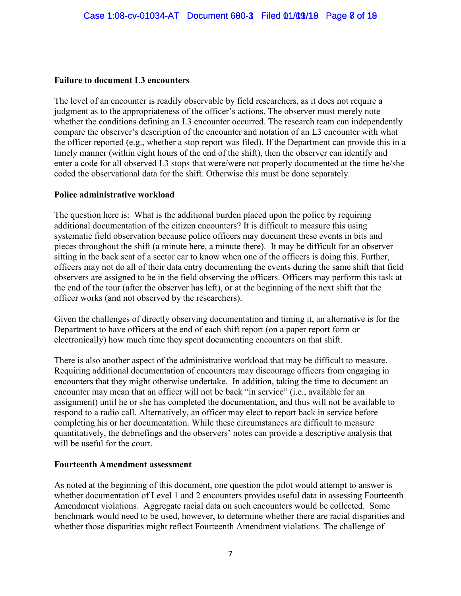#### **Failure to document L3 encounters**

The level of an encounter is readily observable by field researchers, as it does not require a judgment as to the appropriateness of the officer's actions. The observer must merely note whether the conditions defining an L3 encounter occurred. The research team can independently compare the observer's description of the encounter and notation of an L3 encounter with what the officer reported (e.g., whether a stop report was filed). If the Department can provide this in a timely manner (within eight hours of the end of the shift), then the observer can identify and enter a code for all observed L3 stops that were/were not properly documented at the time he/she coded the observational data for the shift. Otherwise this must be done separately.

#### **Police administrative workload**

The question here is: What is the additional burden placed upon the police by requiring additional documentation of the citizen encounters? It is difficult to measure this using systematic field observation because police officers may document these events in bits and pieces throughout the shift (a minute here, a minute there). It may be difficult for an observer sitting in the back seat of a sector car to know when one of the officers is doing this. Further, officers may not do all of their data entry documenting the events during the same shift that field observers are assigned to be in the field observing the officers. Officers may perform this task at the end of the tour (after the observer has left), or at the beginning of the next shift that the officer works (and not observed by the researchers).

Given the challenges of directly observing documentation and timing it, an alternative is for the Department to have officers at the end of each shift report (on a paper report form or electronically) how much time they spent documenting encounters on that shift.

There is also another aspect of the administrative workload that may be difficult to measure. Requiring additional documentation of encounters may discourage officers from engaging in encounters that they might otherwise undertake. In addition, taking the time to document an encounter may mean that an officer will not be back "in service" (i.e., available for an assignment) until he or she has completed the documentation, and thus will not be available to respond to a radio call. Alternatively, an officer may elect to report back in service before completing his or her documentation. While these circumstances are difficult to measure quantitatively, the debriefings and the observers' notes can provide a descriptive analysis that will be useful for the court.

#### **Fourteenth Amendment assessment**

As noted at the beginning of this document, one question the pilot would attempt to answer is whether documentation of Level 1 and 2 encounters provides useful data in assessing Fourteenth Amendment violations. Aggregate racial data on such encounters would be collected. Some benchmark would need to be used, however, to determine whether there are racial disparities and whether those disparities might reflect Fourteenth Amendment violations. The challenge of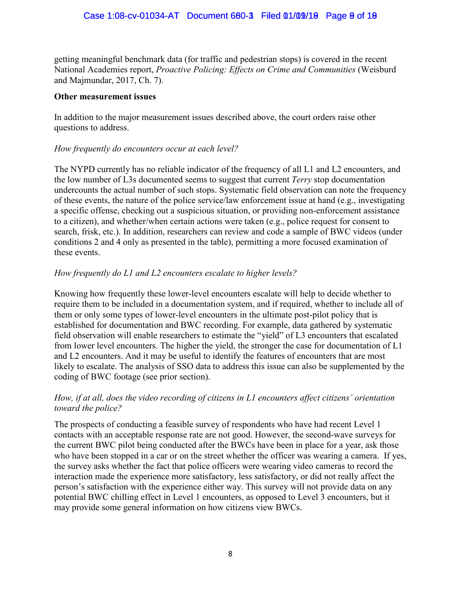getting meaningful benchmark data (for traffic and pedestrian stops) is covered in the recent National Academies report, *Proactive Policing: Effects on Crime and Communities* (Weisburd and Majmundar, 2017, Ch. 7).

#### **Other measurement issues**

In addition to the major measurement issues described above, the court orders raise other questions to address.

#### *How frequently do encounters occur at each level?*

The NYPD currently has no reliable indicator of the frequency of all L1 and L2 encounters, and the low number of L3s documented seems to suggest that current *Terry* stop documentation undercounts the actual number of such stops. Systematic field observation can note the frequency of these events, the nature of the police service/law enforcement issue at hand (e.g., investigating a specific offense, checking out a suspicious situation, or providing non-enforcement assistance to a citizen), and whether/when certain actions were taken (e.g., police request for consent to search, frisk, etc.). In addition, researchers can review and code a sample of BWC videos (under conditions 2 and 4 only as presented in the table), permitting a more focused examination of these events.

### *How frequently do L1 and L2 encounters escalate to higher levels?*

Knowing how frequently these lower-level encounters escalate will help to decide whether to require them to be included in a documentation system, and if required, whether to include all of them or only some types of lower-level encounters in the ultimate post-pilot policy that is established for documentation and BWC recording. For example, data gathered by systematic field observation will enable researchers to estimate the "yield" of L3 encounters that escalated from lower level encounters. The higher the yield, the stronger the case for documentation of L1 and L2 encounters. And it may be useful to identify the features of encounters that are most likely to escalate. The analysis of SSO data to address this issue can also be supplemented by the coding of BWC footage (see prior section).

#### *How, if at all, does the video recording of citizens in L1 encounters affect citizens' orientation toward the police?*

The prospects of conducting a feasible survey of respondents who have had recent Level 1 contacts with an acceptable response rate are not good. However, the second-wave surveys for the current BWC pilot being conducted after the BWCs have been in place for a year, ask those who have been stopped in a car or on the street whether the officer was wearing a camera. If yes, the survey asks whether the fact that police officers were wearing video cameras to record the interaction made the experience more satisfactory, less satisfactory, or did not really affect the person's satisfaction with the experience either way. This survey will not provide data on any potential BWC chilling effect in Level 1 encounters, as opposed to Level 3 encounters, but it may provide some general information on how citizens view BWCs.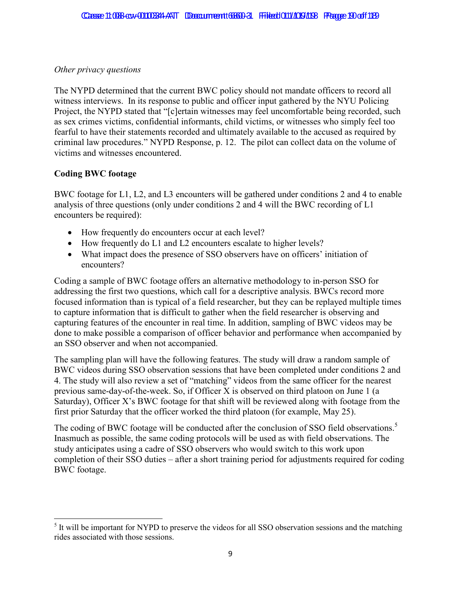#### *Other privacy questions*

The NYPD determined that the current BWC policy should not mandate officers to record all witness interviews. In its response to public and officer input gathered by the NYU Policing Project, the NYPD stated that "[c]ertain witnesses may feel uncomfortable being recorded, such as sex crimes victims, confidential informants, child victims, or witnesses who simply feel too fearful to have their statements recorded and ultimately available to the accused as required by criminal law procedures." NYPD Response, p. 12. The pilot can collect data on the volume of victims and witnesses encountered.

### **Coding BWC footage**

BWC footage for L1, L2, and L3 encounters will be gathered under conditions 2 and 4 to enable analysis of three questions (only under conditions 2 and 4 will the BWC recording of L1 encounters be required):

- How frequently do encounters occur at each level?
- How frequently do L1 and L2 encounters escalate to higher levels?
- What impact does the presence of SSO observers have on officers' initiation of encounters?

Coding a sample of BWC footage offers an alternative methodology to in-person SSO for addressing the first two questions, which call for a descriptive analysis. BWCs record more focused information than is typical of a field researcher, but they can be replayed multiple times to capture information that is difficult to gather when the field researcher is observing and capturing features of the encounter in real time. In addition, sampling of BWC videos may be done to make possible a comparison of officer behavior and performance when accompanied by an SSO observer and when not accompanied.

The sampling plan will have the following features. The study will draw a random sample of BWC videos during SSO observation sessions that have been completed under conditions 2 and 4. The study will also review a set of "matching" videos from the same officer for the nearest previous same-day-of-the-week. So, if Officer X is observed on third platoon on June 1 (a Saturday), Officer X's BWC footage for that shift will be reviewed along with footage from the first prior Saturday that the officer worked the third platoon (for example, May 25).

The coding of BWC footage will be conducted after the conclusion of SSO field observations.<sup>5</sup> Inasmuch as possible, the same coding protocols will be used as with field observations. The study anticipates using a cadre of SSO observers who would switch to this work upon completion of their SSO duties – after a short training period for adjustments required for coding BWC footage.

<sup>&</sup>lt;sup>5</sup> It will be important for NYPD to preserve the videos for all SSO observation sessions and the matching rides associated with those sessions.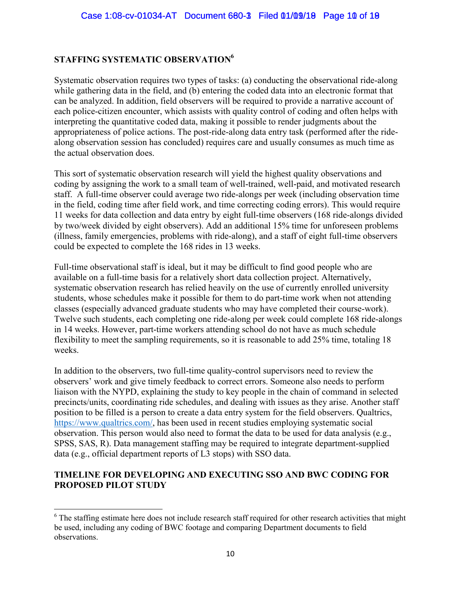## **STAFFING SYSTEMATIC OBSERVATION<sup>6</sup>**

Systematic observation requires two types of tasks: (a) conducting the observational ride-along while gathering data in the field, and (b) entering the coded data into an electronic format that can be analyzed. In addition, field observers will be required to provide a narrative account of each police-citizen encounter, which assists with quality control of coding and often helps with interpreting the quantitative coded data, making it possible to render judgments about the appropriateness of police actions. The post-ride-along data entry task (performed after the ridealong observation session has concluded) requires care and usually consumes as much time as the actual observation does.

This sort of systematic observation research will yield the highest quality observations and coding by assigning the work to a small team of well-trained, well-paid, and motivated research staff. A full-time observer could average two ride-alongs per week (including observation time in the field, coding time after field work, and time correcting coding errors). This would require 11 weeks for data collection and data entry by eight full-time observers (168 ride-alongs divided by two/week divided by eight observers). Add an additional 15% time for unforeseen problems (illness, family emergencies, problems with ride-along), and a staff of eight full-time observers could be expected to complete the 168 rides in 13 weeks.

Full-time observational staff is ideal, but it may be difficult to find good people who are available on a full-time basis for a relatively short data collection project. Alternatively, systematic observation research has relied heavily on the use of currently enrolled university students, whose schedules make it possible for them to do part-time work when not attending classes (especially advanced graduate students who may have completed their course-work). Twelve such students, each completing one ride-along per week could complete 168 ride-alongs in 14 weeks. However, part-time workers attending school do not have as much schedule flexibility to meet the sampling requirements, so it is reasonable to add 25% time, totaling 18 weeks.

In addition to the observers, two full-time quality-control supervisors need to review the observers' work and give timely feedback to correct errors. Someone also needs to perform liaison with the NYPD, explaining the study to key people in the chain of command in selected precincts/units, coordinating ride schedules, and dealing with issues as they arise. Another staff position to be filled is a person to create a data entry system for the field observers. Qualtrics, https://www.qualtrics.com/, has been used in recent studies employing systematic social observation. This person would also need to format the data to be used for data analysis (e.g., SPSS, SAS, R). Data management staffing may be required to integrate department-supplied data (e.g., official department reports of L3 stops) with SSO data.

#### **TIMELINE FOR DEVELOPING AND EXECUTING SSO AND BWC CODING FOR PROPOSED PILOT STUDY**

<sup>&</sup>lt;sup>6</sup> The staffing estimate here does not include research staff required for other research activities that might be used, including any coding of BWC footage and comparing Department documents to field observations.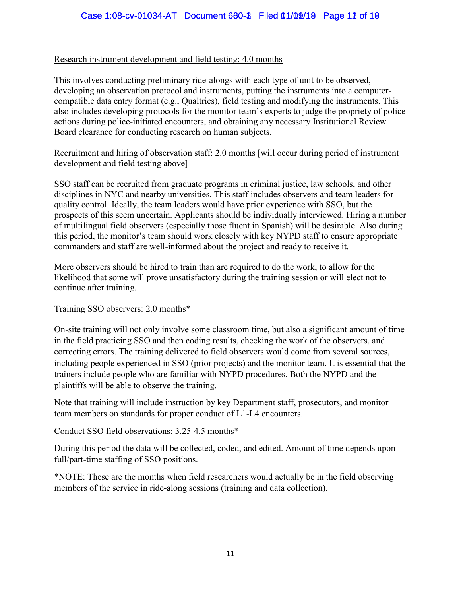#### Research instrument development and field testing: 4.0 months

This involves conducting preliminary ride-alongs with each type of unit to be observed, developing an observation protocol and instruments, putting the instruments into a computercompatible data entry format (e.g., Qualtrics), field testing and modifying the instruments. This also includes developing protocols for the monitor team's experts to judge the propriety of police actions during police-initiated encounters, and obtaining any necessary Institutional Review Board clearance for conducting research on human subjects.

Recruitment and hiring of observation staff: 2.0 months [will occur during period of instrument development and field testing above]

SSO staff can be recruited from graduate programs in criminal justice, law schools, and other disciplines in NYC and nearby universities. This staff includes observers and team leaders for quality control. Ideally, the team leaders would have prior experience with SSO, but the prospects of this seem uncertain. Applicants should be individually interviewed. Hiring a number of multilingual field observers (especially those fluent in Spanish) will be desirable. Also during this period, the monitor's team should work closely with key NYPD staff to ensure appropriate commanders and staff are well-informed about the project and ready to receive it.

More observers should be hired to train than are required to do the work, to allow for the likelihood that some will prove unsatisfactory during the training session or will elect not to continue after training.

#### Training SSO observers: 2.0 months\*

On-site training will not only involve some classroom time, but also a significant amount of time in the field practicing SSO and then coding results, checking the work of the observers, and correcting errors. The training delivered to field observers would come from several sources, including people experienced in SSO (prior projects) and the monitor team. It is essential that the trainers include people who are familiar with NYPD procedures. Both the NYPD and the plaintiffs will be able to observe the training.

Note that training will include instruction by key Department staff, prosecutors, and monitor team members on standards for proper conduct of L1-L4 encounters.

### Conduct SSO field observations: 3.25-4.5 months\*

During this period the data will be collected, coded, and edited. Amount of time depends upon full/part-time staffing of SSO positions.

\*NOTE: These are the months when field researchers would actually be in the field observing members of the service in ride-along sessions (training and data collection).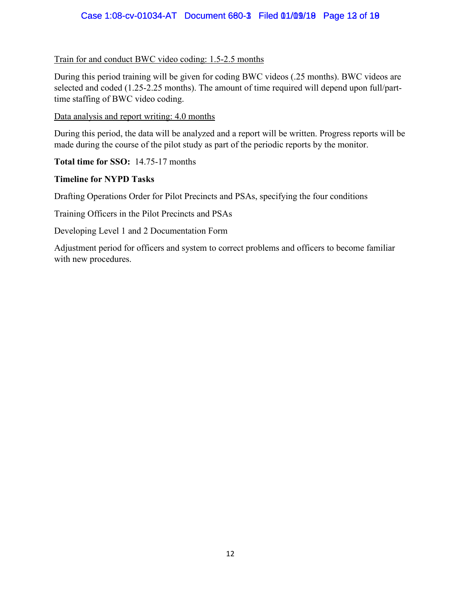#### Case 1:08-cv-01034-AT Document 680-3 Filed 01/09/18 Page 12 of 19

Train for and conduct BWC video coding: 1.5-2.5 months

During this period training will be given for coding BWC videos (.25 months). BWC videos are selected and coded (1.25-2.25 months). The amount of time required will depend upon full/parttime staffing of BWC video coding.

Data analysis and report writing: 4.0 months

During this period, the data will be analyzed and a report will be written. Progress reports will be made during the course of the pilot study as part of the periodic reports by the monitor.

**Total time for SSO:** 14.75-17 months

#### **Timeline for NYPD Tasks**

Drafting Operations Order for Pilot Precincts and PSAs, specifying the four conditions

Training Officers in the Pilot Precincts and PSAs

Developing Level 1 and 2 Documentation Form

Adjustment period for officers and system to correct problems and officers to become familiar with new procedures.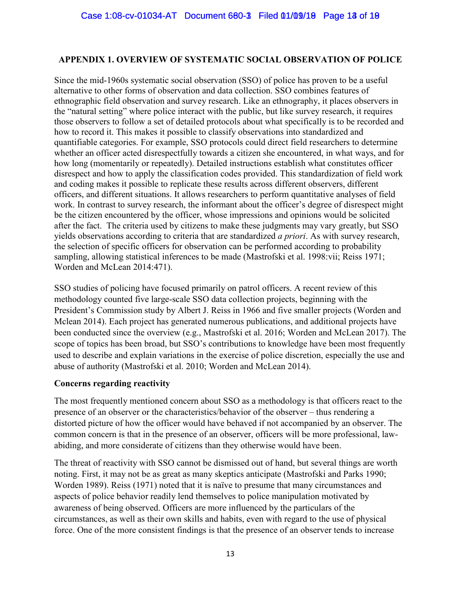#### **APPENDIX 1. OVERVIEW OF SYSTEMATIC SOCIAL OBSERVATION OF POLICE**

Since the mid-1960s systematic social observation (SSO) of police has proven to be a useful alternative to other forms of observation and data collection. SSO combines features of ethnographic field observation and survey research. Like an ethnography, it places observers in the "natural setting" where police interact with the public, but like survey research, it requires those observers to follow a set of detailed protocols about what specifically is to be recorded and how to record it. This makes it possible to classify observations into standardized and quantifiable categories. For example, SSO protocols could direct field researchers to determine whether an officer acted disrespectfully towards a citizen she encountered, in what ways, and for how long (momentarily or repeatedly). Detailed instructions establish what constitutes officer disrespect and how to apply the classification codes provided. This standardization of field work and coding makes it possible to replicate these results across different observers, different officers, and different situations. It allows researchers to perform quantitative analyses of field work. In contrast to survey research, the informant about the officer's degree of disrespect might be the citizen encountered by the officer, whose impressions and opinions would be solicited after the fact. The criteria used by citizens to make these judgments may vary greatly, but SSO yields observations according to criteria that are standardized *a priori*. As with survey research, the selection of specific officers for observation can be performed according to probability sampling, allowing statistical inferences to be made (Mastrofski et al. 1998:vii; Reiss 1971; Worden and McLean 2014:471).

SSO studies of policing have focused primarily on patrol officers. A recent review of this methodology counted five large-scale SSO data collection projects, beginning with the President's Commission study by Albert J. Reiss in 1966 and five smaller projects (Worden and Mclean 2014). Each project has generated numerous publications, and additional projects have been conducted since the overview (e.g., Mastrofski et al. 2016; Worden and McLean 2017). The scope of topics has been broad, but SSO's contributions to knowledge have been most frequently used to describe and explain variations in the exercise of police discretion, especially the use and abuse of authority (Mastrofski et al. 2010; Worden and McLean 2014).

#### **Concerns regarding reactivity**

The most frequently mentioned concern about SSO as a methodology is that officers react to the presence of an observer or the characteristics/behavior of the observer – thus rendering a distorted picture of how the officer would have behaved if not accompanied by an observer. The common concern is that in the presence of an observer, officers will be more professional, lawabiding, and more considerate of citizens than they otherwise would have been.

The threat of reactivity with SSO cannot be dismissed out of hand, but several things are worth noting. First, it may not be as great as many skeptics anticipate (Mastrofski and Parks 1990; Worden 1989). Reiss (1971) noted that it is naïve to presume that many circumstances and aspects of police behavior readily lend themselves to police manipulation motivated by awareness of being observed. Officers are more influenced by the particulars of the circumstances, as well as their own skills and habits, even with regard to the use of physical force. One of the more consistent findings is that the presence of an observer tends to increase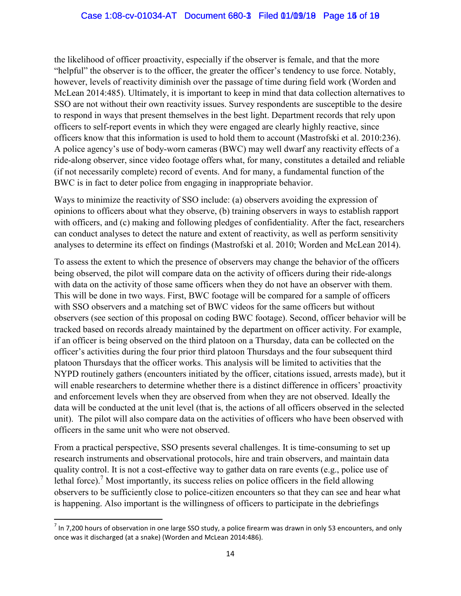the likelihood of officer proactivity, especially if the observer is female, and that the more "helpful" the observer is to the officer, the greater the officer's tendency to use force. Notably, however, levels of reactivity diminish over the passage of time during field work (Worden and McLean 2014:485). Ultimately, it is important to keep in mind that data collection alternatives to SSO are not without their own reactivity issues. Survey respondents are susceptible to the desire to respond in ways that present themselves in the best light. Department records that rely upon officers to self-report events in which they were engaged are clearly highly reactive, since officers know that this information is used to hold them to account (Mastrofski et al. 2010:236). A police agency's use of body-worn cameras (BWC) may well dwarf any reactivity effects of a ride-along observer, since video footage offers what, for many, constitutes a detailed and reliable (if not necessarily complete) record of events. And for many, a fundamental function of the BWC is in fact to deter police from engaging in inappropriate behavior.

Ways to minimize the reactivity of SSO include: (a) observers avoiding the expression of opinions to officers about what they observe, (b) training observers in ways to establish rapport with officers, and (c) making and following pledges of confidentiality. After the fact, researchers can conduct analyses to detect the nature and extent of reactivity, as well as perform sensitivity analyses to determine its effect on findings (Mastrofski et al. 2010; Worden and McLean 2014).

To assess the extent to which the presence of observers may change the behavior of the officers being observed, the pilot will compare data on the activity of officers during their ride-alongs with data on the activity of those same officers when they do not have an observer with them. This will be done in two ways. First, BWC footage will be compared for a sample of officers with SSO observers and a matching set of BWC videos for the same officers but without observers (see section of this proposal on coding BWC footage). Second, officer behavior will be tracked based on records already maintained by the department on officer activity. For example, if an officer is being observed on the third platoon on a Thursday, data can be collected on the officer's activities during the four prior third platoon Thursdays and the four subsequent third platoon Thursdays that the officer works. This analysis will be limited to activities that the NYPD routinely gathers (encounters initiated by the officer, citations issued, arrests made), but it will enable researchers to determine whether there is a distinct difference in officers' proactivity and enforcement levels when they are observed from when they are not observed. Ideally the data will be conducted at the unit level (that is, the actions of all officers observed in the selected unit). The pilot will also compare data on the activities of officers who have been observed with officers in the same unit who were not observed.

From a practical perspective, SSO presents several challenges. It is time-consuming to set up research instruments and observational protocols, hire and train observers, and maintain data quality control. It is not a cost-effective way to gather data on rare events (e.g., police use of lethal force).<sup>7</sup> Most importantly, its success relies on police officers in the field allowing observers to be sufficiently close to police-citizen encounters so that they can see and hear what is happening. Also important is the willingness of officers to participate in the debriefings

 $^7$  In 7,200 hours of observation in one large SSO study, a police firearm was drawn in only 53 encounters, and only once was it discharged (at a snake) (Worden and McLean 2014:486).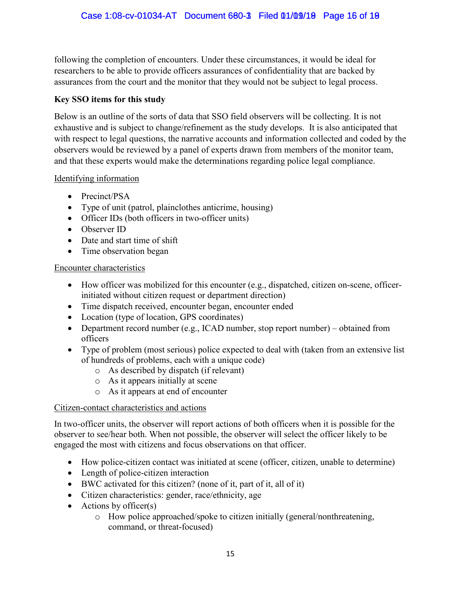following the completion of encounters. Under these circumstances, it would be ideal for researchers to be able to provide officers assurances of confidentiality that are backed by assurances from the court and the monitor that they would not be subject to legal process.

## **Key SSO items for this study**

Below is an outline of the sorts of data that SSO field observers will be collecting. It is not exhaustive and is subject to change/refinement as the study develops. It is also anticipated that with respect to legal questions, the narrative accounts and information collected and coded by the observers would be reviewed by a panel of experts drawn from members of the monitor team, and that these experts would make the determinations regarding police legal compliance.

### Identifying information

- Precinct/PSA
- Type of unit (patrol, plainclothes anticrime, housing)
- Officer IDs (both officers in two-officer units)
- Observer ID
- Date and start time of shift
- Time observation began

### Encounter characteristics

- How officer was mobilized for this encounter (e.g., dispatched, citizen on-scene, officerinitiated without citizen request or department direction)
- Time dispatch received, encounter began, encounter ended
- Location (type of location, GPS coordinates)
- Department record number (e.g., ICAD number, stop report number) obtained from officers
- Type of problem (most serious) police expected to deal with (taken from an extensive list of hundreds of problems, each with a unique code)
	- o As described by dispatch (if relevant)
	- o As it appears initially at scene
	- o As it appears at end of encounter

### Citizen-contact characteristics and actions

In two-officer units, the observer will report actions of both officers when it is possible for the observer to see/hear both. When not possible, the observer will select the officer likely to be engaged the most with citizens and focus observations on that officer.

- How police-citizen contact was initiated at scene (officer, citizen, unable to determine)
- Length of police-citizen interaction
- BWC activated for this citizen? (none of it, part of it, all of it)
- Citizen characteristics: gender, race/ethnicity, age
- $\bullet$  Actions by officer(s)
	- o How police approached/spoke to citizen initially (general/nonthreatening, command, or threat-focused)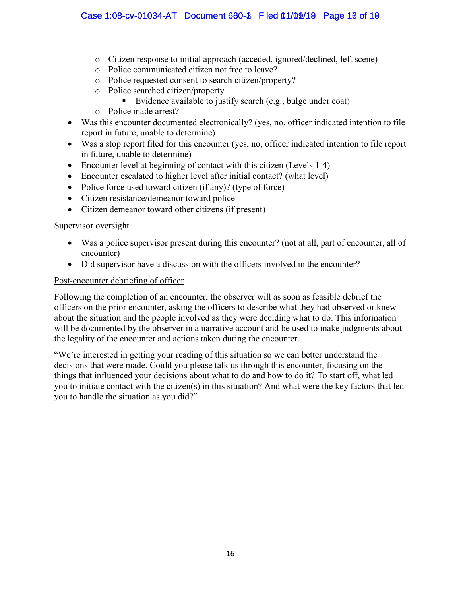- o Citizen response to initial approach (acceded, ignored/declined, left scene)
- o Police communicated citizen not free to leave?
- o Police requested consent to search citizen/property?
- <p>○ <b>Police searched citizen/proparty</b></p>\n<p>■ <b>Evidence available to</b></p>
	- Evidence available to justify search (e.g., bulge under coat)
- o Police made arrest?
- Was this encounter documented electronically? (yes, no, officer indicated intention to file report in future, unable to determine)
- Was a stop report filed for this encounter (yes, no, officer indicated intention to file report in future, unable to determine)
- Encounter level at beginning of contact with this citizen (Levels 1-4)
- Encounter escalated to higher level after initial contact? (what level)
- Police force used toward citizen (if any)? (type of force)
- Citizen resistance/demeanor toward police
- Citizen demeanor toward other citizens (if present)

#### Supervisor oversight

- Was a police supervisor present during this encounter? (not at all, part of encounter, all of encounter)
- Did supervisor have a discussion with the officers involved in the encounter?

#### Post-encounter debriefing of officer

Following the completion of an encounter, the observer will as soon as feasible debrief the officers on the prior encounter, asking the officers to describe what they had observed or knew about the situation and the people involved as they were deciding what to do. This information will be documented by the observer in a narrative account and be used to make judgments about the legality of the encounter and actions taken during the encounter.

"We're interested in getting your reading of this situation so we can better understand the decisions that were made. Could you please talk us through this encounter, focusing on the things that influenced your decisions about what to do and how to do it? To start off, what led you to initiate contact with the citizen(s) in this situation? And what were the key factors that led you to handle the situation as you did?"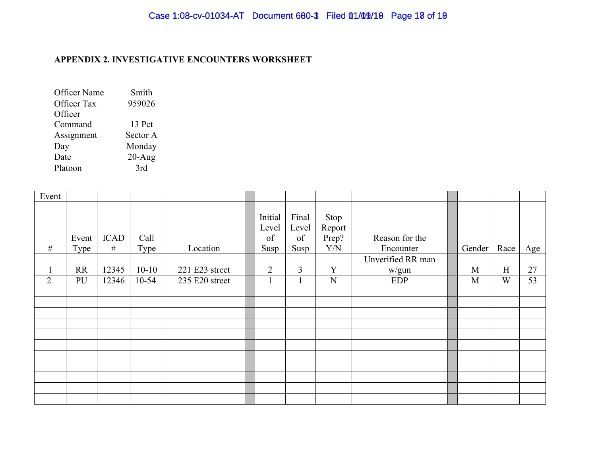#### **APPENDIX 2. INVESTIGATIVE ENCOUNTERS WORKSHEET**

| <b>Officer Name</b> | Smith     |
|---------------------|-----------|
| <b>Officer Tax</b>  | 959026    |
| Officer             |           |
| Command             | 13 Pct    |
| Assignment          | Sector A  |
| Day                 | Monday    |
| Date                | $20-Au$ g |
| Platoon             | 3rd       |

| Event          |               |                  |              |                |                                |                              |                                        |                             |        |      |     |
|----------------|---------------|------------------|--------------|----------------|--------------------------------|------------------------------|----------------------------------------|-----------------------------|--------|------|-----|
| $\#$           | Event<br>Type | <b>ICAD</b><br># | Call<br>Type | Location       | Initial<br>Level<br>of<br>Susp | Final<br>Level<br>of<br>Susp | Stop<br>Report<br>Prep?<br>${\rm Y/N}$ | Reason for the<br>Encounter | Gender | Race | Age |
|                |               |                  |              |                |                                |                              |                                        | Unverified RR man           |        |      |     |
|                | <b>RR</b>     | 12345            | $10 - 10$    | 221 E23 street | $\overline{2}$                 | $\overline{3}$               | Y                                      | w/gun                       | M      | H    | 27  |
| $\overline{2}$ | PU            | 12346            | $10 - 54$    | 235 E20 street |                                |                              | N                                      | <b>EDP</b>                  | M      | W    | 53  |
|                |               |                  |              |                |                                |                              |                                        |                             |        |      |     |
|                |               |                  |              |                |                                |                              |                                        |                             |        |      |     |
|                |               |                  |              |                |                                |                              |                                        |                             |        |      |     |
|                |               |                  |              |                |                                |                              |                                        |                             |        |      |     |
|                |               |                  |              |                |                                |                              |                                        |                             |        |      |     |
|                |               |                  |              |                |                                |                              |                                        |                             |        |      |     |
|                |               |                  |              |                |                                |                              |                                        |                             |        |      |     |
|                |               |                  |              |                |                                |                              |                                        |                             |        |      |     |
|                |               |                  |              |                |                                |                              |                                        |                             |        |      |     |
|                |               |                  |              |                |                                |                              |                                        |                             |        |      |     |
|                |               |                  |              |                |                                |                              |                                        |                             |        |      |     |